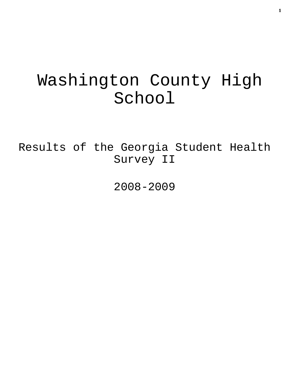# Washington County High School

Results of the Georgia Student Health Survey II

2008-2009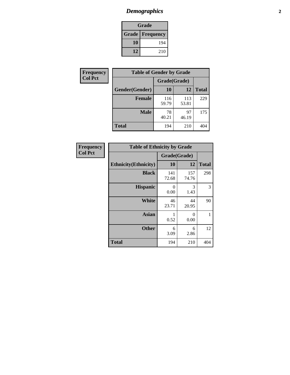# *Demographics* **2**

| Grade                    |     |  |  |  |
|--------------------------|-----|--|--|--|
| <b>Grade   Frequency</b> |     |  |  |  |
| 10                       | 194 |  |  |  |
| 12                       | 210 |  |  |  |

| Frequency      | <b>Table of Gender by Grade</b> |              |              |              |  |  |
|----------------|---------------------------------|--------------|--------------|--------------|--|--|
| <b>Col Pct</b> |                                 | Grade(Grade) |              |              |  |  |
|                | Gender(Gender)                  | 10           | 12           | <b>Total</b> |  |  |
|                | <b>Female</b>                   | 116<br>59.79 | 113<br>53.81 | 229          |  |  |
|                | <b>Male</b>                     | 78<br>40.21  | 97<br>46.19  | 175          |  |  |
|                | <b>Total</b>                    | 194          | 210          | 404          |  |  |

| Frequency<br>Col Pct |
|----------------------|

|                              | <b>Table of Ethnicity by Grade</b> |              |              |              |  |  |  |
|------------------------------|------------------------------------|--------------|--------------|--------------|--|--|--|
|                              |                                    | Grade(Grade) |              |              |  |  |  |
| <b>Ethnicity</b> (Ethnicity) |                                    | 10           | 12           | <b>Total</b> |  |  |  |
|                              | <b>Black</b>                       | 141<br>72.68 | 157<br>74.76 | 298          |  |  |  |
|                              | <b>Hispanic</b>                    | 0<br>0.00    | 3<br>1.43    | 3            |  |  |  |
|                              | <b>White</b>                       | 46<br>23.71  | 44<br>20.95  | 90           |  |  |  |
|                              | <b>Asian</b>                       | 1<br>0.52    | 0<br>0.00    | 1            |  |  |  |
|                              | <b>Other</b>                       | 6<br>3.09    | 6<br>2.86    | 12           |  |  |  |
| <b>Total</b>                 |                                    | 194          | 210          | 404          |  |  |  |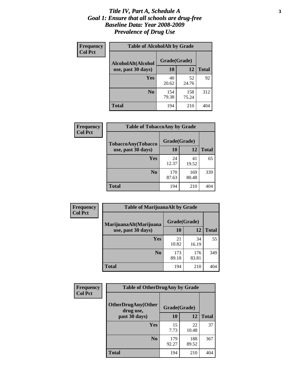### *Title IV, Part A, Schedule A* **3** *Goal 1: Ensure that all schools are drug-free Baseline Data: Year 2008-2009 Prevalence of Drug Use*

| Frequency<br><b>Col Pct</b> | <b>Table of AlcoholAlt by Grade</b> |              |              |              |  |  |
|-----------------------------|-------------------------------------|--------------|--------------|--------------|--|--|
|                             | AlcoholAlt(Alcohol                  | Grade(Grade) |              |              |  |  |
|                             | use, past 30 days)                  | <b>10</b>    | 12           | <b>Total</b> |  |  |
|                             | Yes                                 | 40<br>20.62  | 52<br>24.76  | 92           |  |  |
|                             | N <sub>0</sub>                      | 154<br>79.38 | 158<br>75.24 | 312          |  |  |
|                             | Total                               | 194          | 210          | 404          |  |  |

| Frequency<br><b>Col Pct</b> | <b>Table of TobaccoAny by Grade</b> |              |              |              |  |  |
|-----------------------------|-------------------------------------|--------------|--------------|--------------|--|--|
|                             | TobaccoAny(Tobacco                  | Grade(Grade) |              |              |  |  |
|                             | use, past 30 days)                  | 10           | 12           | <b>Total</b> |  |  |
|                             | Yes                                 | 24<br>12.37  | 41<br>19.52  | 65           |  |  |
|                             | N <sub>0</sub>                      | 170<br>87.63 | 169<br>80.48 | 339          |  |  |
|                             | <b>Total</b>                        | 194          | 210          | 404          |  |  |

| Frequency<br><b>Col Pct</b> | <b>Table of MarijuanaAlt by Grade</b> |              |              |              |  |
|-----------------------------|---------------------------------------|--------------|--------------|--------------|--|
|                             | MarijuanaAlt(Marijuana                | Grade(Grade) |              |              |  |
|                             | use, past 30 days)                    | <b>10</b>    | 12           | <b>Total</b> |  |
|                             | <b>Yes</b>                            | 21<br>10.82  | 34<br>16.19  | 55           |  |
|                             | N <sub>0</sub>                        | 173<br>89.18 | 176<br>83.81 | 349          |  |
|                             | <b>Total</b>                          | 194          | 210          | 404          |  |

| Frequency<br><b>Col Pct</b> | <b>Table of OtherDrugAny by Grade</b>                  |              |              |              |  |
|-----------------------------|--------------------------------------------------------|--------------|--------------|--------------|--|
|                             | <b>OtherDrugAny(Other</b><br>Grade(Grade)<br>drug use, |              |              |              |  |
|                             | past 30 days)                                          | 10           | 12           | <b>Total</b> |  |
|                             | Yes                                                    | 15<br>7.73   | 22<br>10.48  | 37           |  |
|                             | N <sub>0</sub>                                         | 179<br>92.27 | 188<br>89.52 | 367          |  |
|                             | <b>Total</b>                                           | 194          | 210          | 404          |  |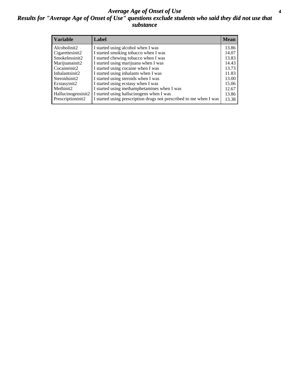### *Average Age of Onset of Use* **4** *Results for "Average Age of Onset of Use" questions exclude students who said they did not use that substance*

| <b>Variable</b>    | Label                                                              | Mean  |
|--------------------|--------------------------------------------------------------------|-------|
| Alcoholinit2       | I started using alcohol when I was                                 | 13.86 |
| Cigarettesinit2    | I started smoking tobacco when I was                               | 14.07 |
| Smokelessinit2     | I started chewing tobacco when I was                               | 13.83 |
| Marijuanainit2     | I started using marijuana when I was                               | 14.43 |
| Cocaineinit2       | I started using cocaine when I was                                 | 13.73 |
| Inhalantsinit2     | I started using inhalants when I was                               | 11.83 |
| Steroidsinit2      | I started using steroids when I was                                | 13.00 |
| Ecstasyinit2       | I started using ecstasy when I was                                 | 15.06 |
| Methinit2          | I started using methamphetamines when I was                        | 12.67 |
| Hallucinogensinit2 | I started using hallucinogens when I was                           | 13.86 |
| Prescriptioninit2  | I started using prescription drugs not prescribed to me when I was | 13.38 |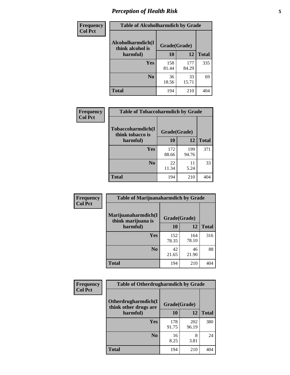# *Perception of Health Risk* **5**

| Frequency      | <b>Table of Alcoholharmdich by Grade</b> |              |              |              |  |
|----------------|------------------------------------------|--------------|--------------|--------------|--|
| <b>Col Pct</b> | Alcoholharmdich(I<br>think alcohol is    | Grade(Grade) |              |              |  |
|                | harmful)                                 | 10           | 12           | <b>Total</b> |  |
|                | Yes                                      | 158<br>81.44 | 177<br>84.29 | 335          |  |
|                | N <sub>0</sub>                           | 36<br>18.56  | 33<br>15.71  | 69           |  |
|                | <b>Total</b>                             | 194          | 210          | 404          |  |

| <b>Frequency</b> | <b>Table of Tobaccoharmdich by Grade</b> |              |              |              |  |
|------------------|------------------------------------------|--------------|--------------|--------------|--|
| <b>Col Pct</b>   | Tobaccoharmdich(I<br>think tobacco is    | Grade(Grade) |              |              |  |
|                  | harmful)                                 | 10           | 12           | <b>Total</b> |  |
|                  | Yes                                      | 172<br>88.66 | 199<br>94.76 | 371          |  |
|                  | N <sub>0</sub>                           | 22<br>11.34  | 11<br>5.24   | 33           |  |
|                  | <b>Total</b>                             | 194          | 210          |              |  |

| <b>Frequency</b> | <b>Table of Marijuanaharmdich by Grade</b>                |              |              |              |  |  |
|------------------|-----------------------------------------------------------|--------------|--------------|--------------|--|--|
| <b>Col Pct</b>   | Marijuanaharmdich(I<br>Grade(Grade)<br>think marijuana is |              |              |              |  |  |
|                  | harmful)                                                  | 10           | 12           | <b>Total</b> |  |  |
|                  | Yes                                                       | 152<br>78.35 | 164<br>78.10 | 316          |  |  |
|                  | N <sub>0</sub>                                            | 42<br>21.65  | 46<br>21.90  | 88           |  |  |
|                  | <b>Total</b>                                              | 194          | 210          | 404          |  |  |

| <b>Frequency</b> | <b>Table of Otherdrugharmdich by Grade</b>                   |              |              |              |  |  |  |
|------------------|--------------------------------------------------------------|--------------|--------------|--------------|--|--|--|
| <b>Col Pct</b>   | Otherdrugharmdich(I<br>Grade(Grade)<br>think other drugs are |              |              |              |  |  |  |
|                  | harmful)                                                     | <b>10</b>    | 12           | <b>Total</b> |  |  |  |
|                  | <b>Yes</b>                                                   | 178<br>91.75 | 202<br>96.19 | 380          |  |  |  |
|                  | N <sub>0</sub>                                               | 16<br>8.25   | 8<br>3.81    | 24           |  |  |  |
|                  | <b>Total</b>                                                 | 194          | 210          | 404          |  |  |  |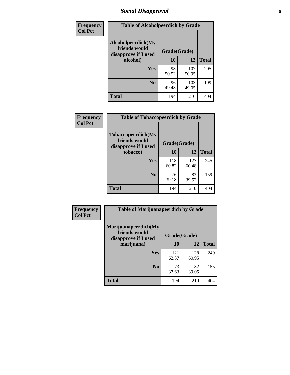# *Social Disapproval* **6**

| Frequency      | <b>Table of Alcoholpeerdich by Grade</b>                    |              |              |              |  |  |  |  |
|----------------|-------------------------------------------------------------|--------------|--------------|--------------|--|--|--|--|
| <b>Col Pct</b> | Alcoholpeerdich(My<br>friends would<br>disapprove if I used | Grade(Grade) |              |              |  |  |  |  |
|                | alcohol)                                                    |              | 12           | <b>Total</b> |  |  |  |  |
|                | <b>Yes</b>                                                  | 98<br>50.52  | 107<br>50.95 | 205          |  |  |  |  |
|                | N <sub>0</sub>                                              | 96<br>49.48  | 103<br>49.05 | 199          |  |  |  |  |
|                | <b>Total</b>                                                | 194          | 210          | 404          |  |  |  |  |

| <b>Frequency</b> |
|------------------|
| <b>Col Pct</b>   |

| <b>Table of Tobaccopeerdich by Grade</b>                            |              |              |              |  |  |  |  |
|---------------------------------------------------------------------|--------------|--------------|--------------|--|--|--|--|
| <b>Tobaccopeerdich</b> (My<br>friends would<br>disapprove if I used | Grade(Grade) |              |              |  |  |  |  |
| tobacco)                                                            | 10           | 12           | <b>Total</b> |  |  |  |  |
| Yes                                                                 | 118<br>60.82 | 127<br>60.48 | 245          |  |  |  |  |
| N <sub>0</sub>                                                      | 76<br>39.18  | 83<br>39.52  | 159          |  |  |  |  |
| <b>Total</b>                                                        | 194          | 210          |              |  |  |  |  |

| <b>Frequency</b> | <b>Table of Marijuanapeerdich by Grade</b>                    |              |              |              |  |  |  |  |
|------------------|---------------------------------------------------------------|--------------|--------------|--------------|--|--|--|--|
| <b>Col Pct</b>   | Marijuanapeerdich(My<br>friends would<br>disapprove if I used | Grade(Grade) |              |              |  |  |  |  |
|                  | marijuana)                                                    | 10           | 12           | <b>Total</b> |  |  |  |  |
|                  | <b>Yes</b>                                                    | 121<br>62.37 | 128<br>60.95 | 249          |  |  |  |  |
|                  | N <sub>0</sub>                                                | 73<br>37.63  | 82<br>39.05  | 155          |  |  |  |  |
|                  | <b>Total</b>                                                  | 194          | 210          | 404          |  |  |  |  |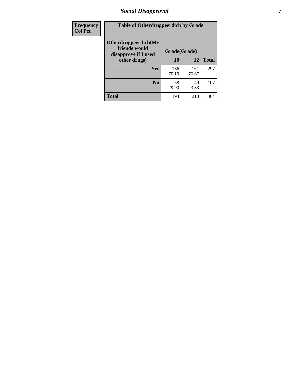# *Social Disapproval* **7**

| Frequency      | <b>Table of Otherdrugpeerdich by Grade</b>                    |              |              |              |  |  |  |  |
|----------------|---------------------------------------------------------------|--------------|--------------|--------------|--|--|--|--|
| <b>Col Pct</b> | Otherdrugpeerdich(My<br>friends would<br>disapprove if I used | Grade(Grade) |              |              |  |  |  |  |
|                | other drugs)                                                  | 10           | 12           | <b>Total</b> |  |  |  |  |
|                | Yes                                                           | 136<br>70.10 | 161<br>76.67 | 297          |  |  |  |  |
|                | N <sub>0</sub>                                                | 58<br>29.90  | 49<br>23.33  | 107          |  |  |  |  |
|                | <b>Total</b>                                                  | 194          | 210          | 404          |  |  |  |  |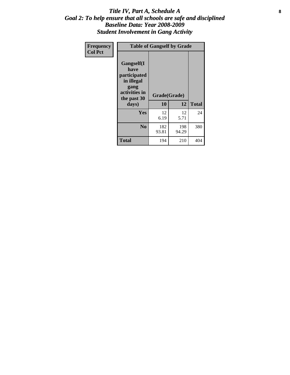### Title IV, Part A, Schedule A **8** *Goal 2: To help ensure that all schools are safe and disciplined Baseline Data: Year 2008-2009 Student Involvement in Gang Activity*

| Frequency      |                                                                                                   | <b>Table of Gangself by Grade</b> |              |              |
|----------------|---------------------------------------------------------------------------------------------------|-----------------------------------|--------------|--------------|
| <b>Col Pct</b> | Gangself(I<br>have<br>participated<br>in illegal<br>gang<br>activities in<br>the past 30<br>days) | Grade(Grade)<br>10                | 12           | <b>Total</b> |
|                | Yes                                                                                               | 12<br>6.19                        | 12<br>5.71   | 24           |
|                | N <sub>0</sub>                                                                                    | 182<br>93.81                      | 198<br>94.29 | 380          |
|                | <b>Total</b>                                                                                      | 194                               | 210          | 404          |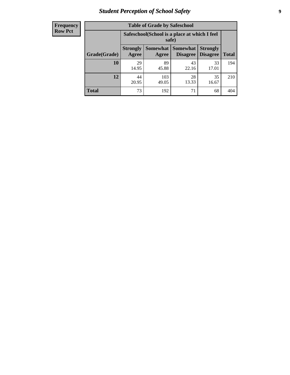# *Student Perception of School Safety* **9**

| <b>Frequency</b><br>Row Pct |
|-----------------------------|
|                             |

| <b>Table of Grade by Safeschool</b> |                                                                                                          |                                                        |             |             |     |  |  |  |
|-------------------------------------|----------------------------------------------------------------------------------------------------------|--------------------------------------------------------|-------------|-------------|-----|--|--|--|
|                                     |                                                                                                          | Safeschool (School is a place at which I feel<br>safe) |             |             |     |  |  |  |
| Grade(Grade)                        | Somewhat Somewhat<br><b>Strongly</b><br><b>Strongly</b><br><b>Disagree</b><br>Agree<br>Disagree<br>Agree |                                                        |             |             |     |  |  |  |
| 10                                  | 29<br>14.95                                                                                              | 89<br>45.88                                            | 43<br>22.16 | 33<br>17.01 | 194 |  |  |  |
| 12                                  | 44<br>20.95                                                                                              | 103<br>49.05                                           | 28<br>13.33 | 35<br>16.67 | 210 |  |  |  |
| <b>Total</b>                        | 73                                                                                                       | 192                                                    | 71          | 68          | 404 |  |  |  |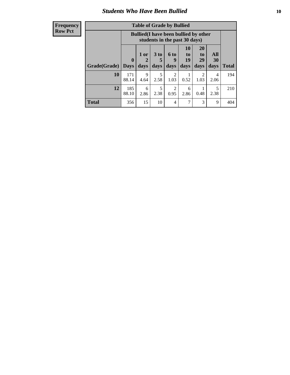### *Students Who Have Been Bullied* **10**

| <b>Frequency</b> |
|------------------|
| Row Pct          |

| <b>Table of Grade by Bullied</b> |                  |                                                                               |                              |                          |                        |                               |                   |              |
|----------------------------------|------------------|-------------------------------------------------------------------------------|------------------------------|--------------------------|------------------------|-------------------------------|-------------------|--------------|
|                                  |                  | <b>Bullied</b> (I have been bullied by other<br>students in the past 30 days) |                              |                          |                        |                               |                   |              |
| Grade(Grade)                     | 0<br><b>Days</b> | 1 or<br>days                                                                  | 3 <sub>to</sub><br>5<br>days | <b>6 to</b><br>9<br>days | 10<br>to<br>19<br>days | <b>20</b><br>to<br>29<br>days | All<br>30<br>days | <b>Total</b> |
| 10                               | 171<br>88.14     | 9<br>4.64                                                                     | 5<br>2.58                    | $\overline{2}$<br>1.03   | 0.52                   | 2<br>1.03                     | 4<br>2.06         | 194          |
| 12                               | 185<br>88.10     | 6<br>2.86                                                                     | 5<br>2.38                    | $\overline{2}$<br>0.95   | 6<br>2.86              | 0.48                          | 5<br>2.38         | 210          |
| <b>Total</b>                     | 356              | 15                                                                            | 10                           | 4                        | 7                      | 3                             | 9                 | 404          |

 $\blacksquare$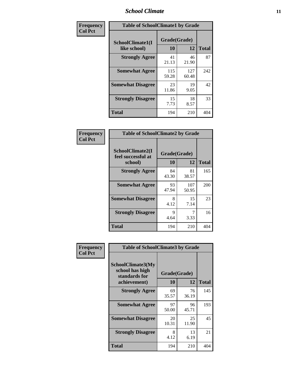### *School Climate* **11**

| Frequency      | <b>Table of SchoolClimate1 by Grade</b> |                    |              |              |  |  |  |
|----------------|-----------------------------------------|--------------------|--------------|--------------|--|--|--|
| <b>Col Pct</b> | SchoolClimate1(I<br>like school)        | Grade(Grade)<br>10 | 12           | <b>Total</b> |  |  |  |
|                | <b>Strongly Agree</b>                   | 41<br>21.13        | 46<br>21.90  | 87           |  |  |  |
|                | <b>Somewhat Agree</b>                   | 115<br>59.28       | 127<br>60.48 | 242          |  |  |  |
|                | <b>Somewhat Disagree</b>                | 23<br>11.86        | 19<br>9.05   | 42           |  |  |  |
|                | <b>Strongly Disagree</b>                | 15<br>7.73         | 18<br>8.57   | 33           |  |  |  |
|                | <b>Total</b>                            | 194                | 210          | 404          |  |  |  |

| <b>Frequency</b> |
|------------------|
| <b>Col Pct</b>   |

| <b>Table of SchoolClimate2 by Grade</b>           |                    |              |              |  |  |
|---------------------------------------------------|--------------------|--------------|--------------|--|--|
| SchoolClimate2(I<br>feel successful at<br>school) | Grade(Grade)<br>10 | 12           | <b>Total</b> |  |  |
| <b>Strongly Agree</b>                             | 84<br>43.30        | 81<br>38.57  | 165          |  |  |
| <b>Somewhat Agree</b>                             | 93<br>47.94        | 107<br>50.95 | 200          |  |  |
| <b>Somewhat Disagree</b>                          | 8<br>4.12          | 15<br>7.14   | 23           |  |  |
| <b>Strongly Disagree</b>                          | 9<br>4.64          | 3.33         | 16           |  |  |
| <b>Total</b>                                      | 194                | 210          | 404          |  |  |

| Frequency      | <b>Table of SchoolClimate3 by Grade</b>                                      |                                 |             |              |  |
|----------------|------------------------------------------------------------------------------|---------------------------------|-------------|--------------|--|
| <b>Col Pct</b> | <b>SchoolClimate3(My</b><br>school has high<br>standards for<br>achievement) | Grade(Grade)<br><b>10</b><br>12 |             | <b>Total</b> |  |
|                | <b>Strongly Agree</b>                                                        | 69<br>35.57                     | 76<br>36.19 | 145          |  |
|                | <b>Somewhat Agree</b>                                                        | 97<br>50.00                     | 96<br>45.71 | 193          |  |
|                | <b>Somewhat Disagree</b>                                                     | 20<br>10.31                     | 25<br>11.90 | 45           |  |
|                | <b>Strongly Disagree</b>                                                     | 8<br>4.12                       | 13<br>6.19  | 21           |  |
|                | Total                                                                        | 194                             | 210         | 404          |  |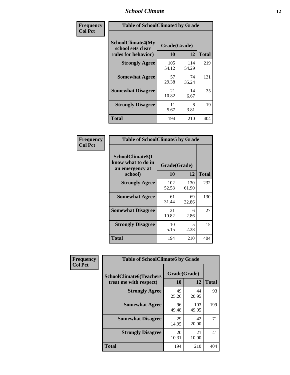### *School Climate* **12**

| Frequency      | <b>Table of SchoolClimate4 by Grade</b>                       |                    |              |              |  |
|----------------|---------------------------------------------------------------|--------------------|--------------|--------------|--|
| <b>Col Pct</b> | SchoolClimate4(My<br>school sets clear<br>rules for behavior) | Grade(Grade)<br>10 | 12           | <b>Total</b> |  |
|                | <b>Strongly Agree</b>                                         | 105<br>54.12       | 114<br>54.29 | 219          |  |
|                | <b>Somewhat Agree</b>                                         | 57<br>29.38        | 74<br>35.24  | 131          |  |
|                | <b>Somewhat Disagree</b>                                      | 21<br>10.82        | 14<br>6.67   | 35           |  |
|                | <b>Strongly Disagree</b>                                      | 11<br>5.67         | 8<br>3.81    | 19           |  |
|                | <b>Total</b>                                                  | 194                | 210          | 404          |  |

| <b>Table of SchoolClimate5 by Grade</b>                   |              |              |              |  |  |
|-----------------------------------------------------------|--------------|--------------|--------------|--|--|
| SchoolClimate5(I<br>know what to do in<br>an emergency at | Grade(Grade) |              |              |  |  |
| school)                                                   | 10           | 12           | <b>Total</b> |  |  |
| <b>Strongly Agree</b>                                     | 102<br>52.58 | 130<br>61.90 | 232          |  |  |
| <b>Somewhat Agree</b>                                     | 61<br>31.44  | 69<br>32.86  | 130          |  |  |
| <b>Somewhat Disagree</b>                                  | 21<br>10.82  | 6<br>2.86    | 27           |  |  |
| <b>Strongly Disagree</b>                                  | 10<br>5.15   | 5<br>2.38    | 15           |  |  |
| Total                                                     | 194          | 210          | 404          |  |  |

| Frequency      | <b>Table of SchoolClimate6 by Grade</b>                  |                    |              |              |  |  |
|----------------|----------------------------------------------------------|--------------------|--------------|--------------|--|--|
| <b>Col Pct</b> | <b>SchoolClimate6(Teachers</b><br>treat me with respect) | Grade(Grade)<br>10 | 12           | <b>Total</b> |  |  |
|                | <b>Strongly Agree</b>                                    | 49<br>25.26        | 44<br>20.95  | 93           |  |  |
|                | <b>Somewhat Agree</b>                                    | 96<br>49.48        | 103<br>49.05 | 199          |  |  |
|                | <b>Somewhat Disagree</b>                                 | 29<br>14.95        | 42<br>20.00  | 71           |  |  |
|                | <b>Strongly Disagree</b>                                 | 20<br>10.31        | 21<br>10.00  | 41           |  |  |
|                | <b>Total</b>                                             | 194                | 210          | 404          |  |  |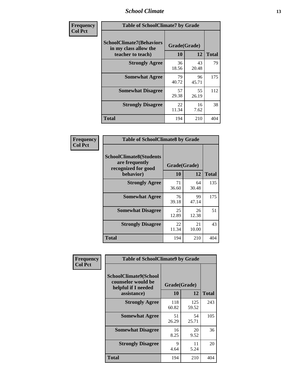### *School Climate* **13**

| Frequency      | <b>Table of SchoolClimate7 by Grade</b>                                       |                    |             |              |  |
|----------------|-------------------------------------------------------------------------------|--------------------|-------------|--------------|--|
| <b>Col Pct</b> | <b>SchoolClimate7(Behaviors</b><br>in my class allow the<br>teacher to teach) | Grade(Grade)<br>10 | 12          | <b>Total</b> |  |
|                | <b>Strongly Agree</b>                                                         | 36<br>18.56        | 43<br>20.48 | 79           |  |
|                | <b>Somewhat Agree</b>                                                         | 79<br>40.72        | 96<br>45.71 | 175          |  |
|                | <b>Somewhat Disagree</b>                                                      | 57<br>29.38        | 55<br>26.19 | 112          |  |
|                | <b>Strongly Disagree</b>                                                      | 22<br>11.34        | 16<br>7.62  | 38           |  |
|                | <b>Total</b>                                                                  | 194                | 210         | 404          |  |

| Frequency      | <b>Table of SchoolClimate8 by Grade</b>                                              |                    |             |              |  |
|----------------|--------------------------------------------------------------------------------------|--------------------|-------------|--------------|--|
| <b>Col Pct</b> | <b>SchoolClimate8(Students</b><br>are frequently<br>recognized for good<br>behavior) | Grade(Grade)<br>10 | 12          | <b>Total</b> |  |
|                | <b>Strongly Agree</b>                                                                | 71<br>36.60        | 64<br>30.48 | 135          |  |
|                | <b>Somewhat Agree</b>                                                                | 76<br>39.18        | 99<br>47.14 | 175          |  |
|                | <b>Somewhat Disagree</b>                                                             | 25<br>12.89        | 26<br>12.38 | 51           |  |
|                | <b>Strongly Disagree</b>                                                             | 22<br>11.34        | 21<br>10.00 | 43           |  |
|                | <b>Total</b>                                                                         | 194                | 210         | 404          |  |

| Frequency      | <b>Table of SchoolClimate9 by Grade</b>                                           |                    |              |              |  |
|----------------|-----------------------------------------------------------------------------------|--------------------|--------------|--------------|--|
| <b>Col Pct</b> | SchoolClimate9(School<br>counselor would be<br>helpful if I needed<br>assistance) | Grade(Grade)<br>10 | 12           | <b>Total</b> |  |
|                | <b>Strongly Agree</b>                                                             | 118<br>60.82       | 125<br>59.52 | 243          |  |
|                | <b>Somewhat Agree</b>                                                             | 51<br>26.29        | 54<br>25.71  | 105          |  |
|                | <b>Somewhat Disagree</b>                                                          | 16<br>8.25         | 20<br>9.52   | 36           |  |
|                | <b>Strongly Disagree</b>                                                          | 9<br>4.64          | 11<br>5.24   | 20           |  |
|                | Total                                                                             | 194                | 210          | 404          |  |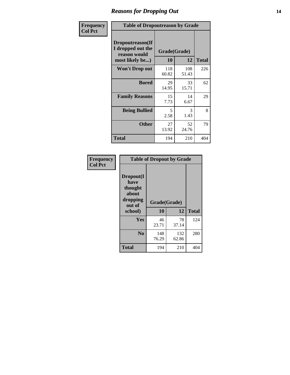### *Reasons for Dropping Out* **14**

| Frequency      | <b>Table of Dropoutreason by Grade</b>                                   |                    |              |              |
|----------------|--------------------------------------------------------------------------|--------------------|--------------|--------------|
| <b>Col Pct</b> | Dropoutreason(If<br>I dropped out the<br>reason would<br>most likely be) | Grade(Grade)<br>10 | 12           | <b>Total</b> |
|                | Won't Drop out                                                           | 118<br>60.82       | 108<br>51.43 | 226          |
|                | <b>Bored</b>                                                             | 29<br>14.95        | 33<br>15.71  | 62           |
|                | <b>Family Reasons</b>                                                    | 15<br>7.73         | 14<br>6.67   | 29           |
|                | <b>Being Bullied</b>                                                     | 5<br>2.58          | 3<br>1.43    | 8            |
|                | <b>Other</b>                                                             | 27<br>13.92        | 52<br>24.76  | 79           |
|                | Total                                                                    | 194                | 210          | 404          |

| Frequency      | <b>Table of Dropout by Grade</b>                                       |                    |       |              |  |
|----------------|------------------------------------------------------------------------|--------------------|-------|--------------|--|
| <b>Col Pct</b> | Dropout(I<br>have<br>thought<br>about<br>dropping<br>out of<br>school) | Grade(Grade)<br>10 | 12    | <b>Total</b> |  |
|                | Yes                                                                    | 46                 | 78    | 124          |  |
|                |                                                                        | 23.71              | 37.14 |              |  |
|                | N <sub>0</sub>                                                         | 148                | 132   | 280          |  |
|                |                                                                        | 76.29              | 62.86 |              |  |
|                | <b>Total</b>                                                           | 194                | 210   | 404          |  |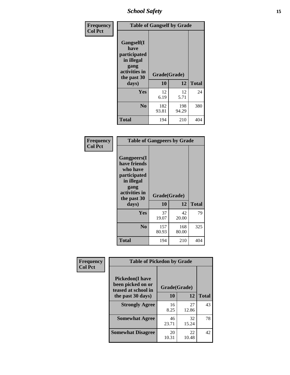*School Safety* **15**

| Frequency      | <b>Table of Gangself by Grade</b>                                                                 |                    |              |              |  |
|----------------|---------------------------------------------------------------------------------------------------|--------------------|--------------|--------------|--|
| <b>Col Pct</b> | Gangself(I<br>have<br>participated<br>in illegal<br>gang<br>activities in<br>the past 30<br>days) | Grade(Grade)<br>10 | 12           | <b>Total</b> |  |
|                | Yes                                                                                               | 12<br>6.19         | 12<br>5.71   | 24           |  |
|                | N <sub>0</sub>                                                                                    | 182<br>93.81       | 198<br>94.29 | 380          |  |
|                | <b>Total</b>                                                                                      | 194                | 210          | 404          |  |

| Frequency<br><b>Col Pct</b> | <b>Table of Gangpeers by Grade</b>                                                                                             |                    |              |              |  |  |  |  |  |  |  |
|-----------------------------|--------------------------------------------------------------------------------------------------------------------------------|--------------------|--------------|--------------|--|--|--|--|--|--|--|
|                             | <b>Gangpeers</b> (I<br>have friends<br>who have<br>participated<br>in illegal<br>gang<br>activities in<br>the past 30<br>days) | Grade(Grade)<br>10 | 12           | <b>Total</b> |  |  |  |  |  |  |  |
|                             | Yes                                                                                                                            | 37<br>19.07        | 42<br>20.00  | 79           |  |  |  |  |  |  |  |
|                             | N <sub>0</sub>                                                                                                                 | 157<br>80.93       | 168<br>80.00 | 325          |  |  |  |  |  |  |  |
|                             | <b>Total</b>                                                                                                                   | 194                | 210          | 404          |  |  |  |  |  |  |  |

| Frequency      | <b>Table of Pickedon by Grade</b>                                   |              |             |              |  |  |  |  |  |
|----------------|---------------------------------------------------------------------|--------------|-------------|--------------|--|--|--|--|--|
| <b>Col Pct</b> | <b>Pickedon</b> (I have<br>been picked on or<br>teased at school in | Grade(Grade) |             |              |  |  |  |  |  |
|                | the past 30 days)                                                   | 10           | 12          | <b>Total</b> |  |  |  |  |  |
|                | <b>Strongly Agree</b>                                               | 16<br>8.25   | 27<br>12.86 | 43           |  |  |  |  |  |
|                | <b>Somewhat Agree</b>                                               | 46<br>23.71  | 32<br>15.24 | 78           |  |  |  |  |  |
|                | <b>Somewhat Disagree</b>                                            | 20<br>10.31  | 22<br>10.48 | 42           |  |  |  |  |  |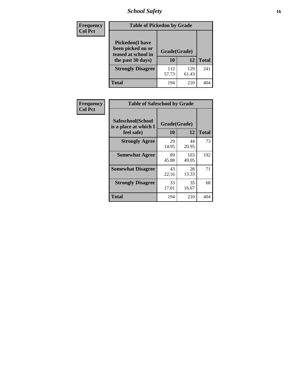# *School Safety* **16**

| <b>Frequency</b> |                                                                                          | <b>Table of Pickedon by Grade</b> |              |              |  |  |  |  |  |  |
|------------------|------------------------------------------------------------------------------------------|-----------------------------------|--------------|--------------|--|--|--|--|--|--|
| <b>Col Pct</b>   | <b>Pickedon</b> (I have<br>been picked on or<br>teased at school in<br>the past 30 days) | Grade(Grade)<br>10                | 12           | <b>Total</b> |  |  |  |  |  |  |
|                  | <b>Strongly Disagree</b>                                                                 | 112<br>57.73                      | 129<br>61.43 | 241          |  |  |  |  |  |  |
|                  | Total                                                                                    | 194                               | 210          | 404          |  |  |  |  |  |  |

| Frequency      | <b>Table of Safeschool by Grade</b>                      |                    |              |              |
|----------------|----------------------------------------------------------|--------------------|--------------|--------------|
| <b>Col Pct</b> | Safeschool(School<br>is a place at which I<br>feel safe) | Grade(Grade)<br>10 | 12           | <b>Total</b> |
|                | <b>Strongly Agree</b>                                    | 29<br>14.95        | 44<br>20.95  | 73           |
|                | <b>Somewhat Agree</b>                                    | 89<br>45.88        | 103<br>49.05 | 192          |
|                | <b>Somewhat Disagree</b>                                 | 43<br>22.16        | 28<br>13.33  | 71           |
|                | <b>Strongly Disagree</b>                                 | 33<br>17.01        | 35<br>16.67  | 68           |
|                | <b>Total</b>                                             | 194                | 210          | 404          |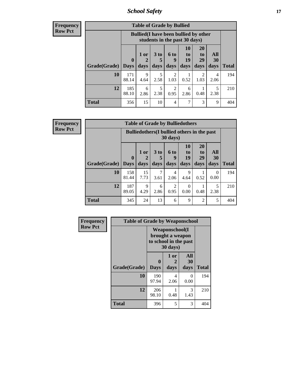*School Safety* **17**

**Frequency Row Pct**

| <b>Table of Grade by Bullied</b> |              |                                                                               |                              |                        |                        |                               |                          |              |  |  |  |
|----------------------------------|--------------|-------------------------------------------------------------------------------|------------------------------|------------------------|------------------------|-------------------------------|--------------------------|--------------|--|--|--|
|                                  |              | <b>Bullied</b> (I have been bullied by other<br>students in the past 30 days) |                              |                        |                        |                               |                          |              |  |  |  |
| Grade(Grade)                     | 0<br>  Days  | 1 or<br>2<br>days                                                             | 3 <sub>to</sub><br>5<br>days | 6 to<br>9<br>days      | 10<br>to<br>19<br>days | <b>20</b><br>to<br>29<br>days | All<br><b>30</b><br>days | <b>Total</b> |  |  |  |
| <b>10</b>                        | 171<br>88.14 | 9<br>4.64                                                                     | 5<br>2.58                    | $\overline{c}$<br>1.03 | 0.52                   | 2<br>1.03                     | 4<br>2.06                | 194          |  |  |  |
| 12                               | 185<br>88.10 | 6<br>2.86                                                                     | 5<br>2.38                    | $\mathfrak{D}$<br>0.95 | 6<br>2.86              | 0.48                          | 5<br>2.38                | 210          |  |  |  |
| <b>Total</b>                     | 356          | 15                                                                            | 10                           | 4                      | 7                      | 3                             | 9                        | 404          |  |  |  |

| <b>Table of Grade by Bulliedothers</b> |                       |                                                                |                              |                        |                               |                               |                   |              |  |  |  |
|----------------------------------------|-----------------------|----------------------------------------------------------------|------------------------------|------------------------|-------------------------------|-------------------------------|-------------------|--------------|--|--|--|
|                                        |                       | <b>Bulliedothers</b> (I bullied others in the past<br>30 days) |                              |                        |                               |                               |                   |              |  |  |  |
| <b>Grade</b> (Grade)                   | $\mathbf 0$<br>  Days | 1 or<br>2<br>days                                              | 3 <sub>to</sub><br>5<br>days | 6 to<br>9<br>days      | <b>10</b><br>to<br>19<br>days | <b>20</b><br>to<br>29<br>days | All<br>30<br>days | <b>Total</b> |  |  |  |
| 10                                     | 158<br>81.44          | 15<br>7.73                                                     | 7<br>3.61                    | 4<br>2.06              | 9<br>4.64                     | 0.52                          | 0<br>0.00         | 194          |  |  |  |
| 12                                     | 187<br>89.05          | 9<br>4.29                                                      | 6<br>2.86                    | $\overline{2}$<br>0.95 | $\Omega$<br>0.00              | 0.48                          | 5<br>2.38         | 210          |  |  |  |
| <b>Total</b>                           | 345                   | 24                                                             | 13                           | 6                      | 9                             | $\overline{2}$                | 5                 | 404          |  |  |  |

| Frequency      | <b>Table of Grade by Weaponschool</b> |                                                                                 |                   |                   |              |  |  |  |  |  |  |
|----------------|---------------------------------------|---------------------------------------------------------------------------------|-------------------|-------------------|--------------|--|--|--|--|--|--|
| <b>Row Pct</b> |                                       | <b>Weaponschool</b> (I<br>brought a weapon<br>to school in the past<br>30 days) |                   |                   |              |  |  |  |  |  |  |
|                | Grade(Grade)                          | $\mathbf 0$<br><b>Days</b>                                                      | 1 or<br>2<br>days | All<br>30<br>days | <b>Total</b> |  |  |  |  |  |  |
|                | 10                                    | 190<br>97.94                                                                    | 4<br>2.06         | 0<br>0.00         | 194          |  |  |  |  |  |  |
|                | 12                                    | 206<br>98.10                                                                    | 0.48              | 3<br>1.43         | 210          |  |  |  |  |  |  |
|                | <b>Total</b>                          | 396                                                                             | 5                 | 3                 | 404          |  |  |  |  |  |  |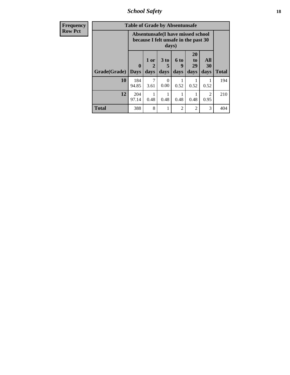*School Safety* **18**

| <b>Frequency</b> | <b>Table of Grade by Absentunsafe</b> |                            |                                                                                    |                              |                     |                        |                        |              |  |  |  |  |
|------------------|---------------------------------------|----------------------------|------------------------------------------------------------------------------------|------------------------------|---------------------|------------------------|------------------------|--------------|--|--|--|--|
| <b>Row Pct</b>   |                                       |                            | Absentunsafe(I have missed school<br>because I felt unsafe in the past 30<br>days) |                              |                     |                        |                        |              |  |  |  |  |
|                  | Grade(Grade)                          | $\mathbf 0$<br><b>Days</b> | 1 or<br>2<br>days                                                                  | 3 <sub>to</sub><br>5<br>days | $6$ to<br>9<br>days | 20<br>to<br>29<br>days | All<br>30<br>days      | <b>Total</b> |  |  |  |  |
|                  | 10                                    | 184<br>94.85               | 3.61                                                                               | 0<br>0.00                    | 0.52                | 0.52                   | 0.52                   | 194          |  |  |  |  |
|                  | 12                                    | 204<br>97.14               | 0.48                                                                               | 0.48                         | 0.48                | 0.48                   | $\mathfrak{D}$<br>0.95 | 210          |  |  |  |  |
|                  | <b>Total</b>                          | 388                        | 8                                                                                  |                              | 2                   | 2                      | 3                      | 404          |  |  |  |  |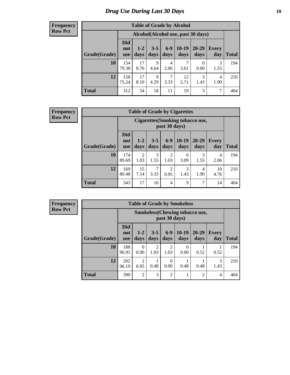# *Drug Use During Last 30 Days* **19**

#### **Frequency Row Pct**

| <b>Table of Grade by Alcohol</b> |                                 |                                     |                     |                 |                 |               |              |              |  |  |  |
|----------------------------------|---------------------------------|-------------------------------------|---------------------|-----------------|-----------------|---------------|--------------|--------------|--|--|--|
|                                  |                                 | Alcohol (Alcohol use, past 30 days) |                     |                 |                 |               |              |              |  |  |  |
| Grade(Grade)                     | <b>Did</b><br>not<br><b>use</b> | $1 - 2$<br>days                     | $3 - 5$<br>days     | $6 - 9$<br>days | $10-19$<br>days | 20-29<br>days | Every<br>day | <b>Total</b> |  |  |  |
| 10                               | 154<br>79.38                    | 17<br>8.76                          | $\mathbf Q$<br>4.64 | 4<br>2.06       | 7<br>3.61       | 0<br>0.00     | 3<br>1.55    | 194          |  |  |  |
| 12                               | 158<br>75.24                    | 17<br>8.10                          | 9<br>4.29           | 7<br>3.33       | 12<br>5.71      | 3<br>1.43     | 4<br>1.90    | 210          |  |  |  |
| <b>Total</b>                     | 312                             | 34                                  | 18                  | 11              | 19              | 3             | 7            | 404          |  |  |  |

#### **Frequency Row Pct**

| <b>Table of Grade by Cigarettes</b> |                                 |                                                   |                 |                        |                 |               |              |              |  |  |  |
|-------------------------------------|---------------------------------|---------------------------------------------------|-----------------|------------------------|-----------------|---------------|--------------|--------------|--|--|--|
|                                     |                                 | Cigarettes (Smoking tobacco use,<br>past 30 days) |                 |                        |                 |               |              |              |  |  |  |
| Grade(Grade)                        | <b>Did</b><br>not<br><b>use</b> | $1 - 2$<br>days                                   | $3 - 5$<br>days | $6-9$<br>days          | $10-19$<br>days | 20-29<br>days | Every<br>day | <b>Total</b> |  |  |  |
| 10                                  | 174<br>89.69                    | $\overline{2}$<br>1.03                            | 3<br>1.55       | $\overline{c}$<br>1.03 | 6<br>3.09       | 3<br>1.55     | 4<br>2.06    | 194          |  |  |  |
| 12                                  | 169<br>80.48                    | 15<br>7.14                                        | 7<br>3.33       | $\overline{c}$<br>0.95 | 3<br>1.43       | 4<br>1.90     | 10<br>4.76   | 210          |  |  |  |
| <b>Total</b>                        | 343                             | 17                                                | 10              | $\overline{4}$         | 9               | 7             | 14           | 404          |  |  |  |

| <b>Table of Grade by Smokeless</b> |                                 |                                                        |                        |                  |                 |                   |                     |              |  |  |  |
|------------------------------------|---------------------------------|--------------------------------------------------------|------------------------|------------------|-----------------|-------------------|---------------------|--------------|--|--|--|
|                                    |                                 | <b>Smokeless</b> (Chewing tobaccouse,<br>past 30 days) |                        |                  |                 |                   |                     |              |  |  |  |
| Grade(Grade)                       | <b>Did</b><br>not<br><b>use</b> | $1 - 2$<br>days                                        | $3 - 5$<br>days        | $6-9$<br>days    | $10-19$<br>days | $20 - 29$<br>days | <b>Every</b><br>day | <b>Total</b> |  |  |  |
| 10                                 | 188<br>96.91                    | 0<br>0.00                                              | $\overline{c}$<br>1.03 | 2<br>1.03        | 0<br>0.00       | 0.52              | 0.52                | 194          |  |  |  |
| 12                                 | 202<br>96.19                    | $\mathfrak{D}$<br>0.95                                 | 0.48                   | $\Omega$<br>0.00 | 0.48            | 0.48              | 3<br>1.43           | 210          |  |  |  |
| <b>Total</b>                       | 390                             | $\overline{2}$                                         | 3                      | $\overline{2}$   | 1               | $\overline{2}$    | 4                   | 404          |  |  |  |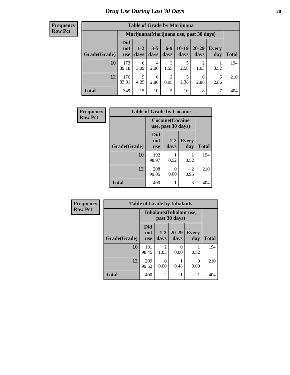| <b>Table of Grade by Marijuana</b> |                          |                                         |                 |               |                 |               |                     |       |  |  |  |
|------------------------------------|--------------------------|-----------------------------------------|-----------------|---------------|-----------------|---------------|---------------------|-------|--|--|--|
|                                    |                          | Marijuana (Marijuana use, past 30 days) |                 |               |                 |               |                     |       |  |  |  |
| Grade(Grade)                       | Did<br>not<br><b>use</b> | $1 - 2$<br>days                         | $3 - 5$<br>days | $6-9$<br>days | $10-19$<br>days | 20-29<br>days | <b>Every</b><br>day | Total |  |  |  |
| 10                                 | 173<br>89.18             | 6<br>3.09                               | 4<br>2.06       | 3<br>1.55     | 5<br>2.58       | ↑<br>1.03     | 0.52                | 194   |  |  |  |
| 12                                 | 176<br>83.81             | $\mathbf Q$<br>4.29                     | 6<br>2.86       | 2<br>0.95     | 5<br>2.38       | 6<br>2.86     | 6<br>2.86           | 210   |  |  |  |
| <b>Total</b>                       | 349                      | 15                                      | 10              | 5             | 10              | 8             | 7                   | 404   |  |  |  |

| Frequency      | <b>Table of Grade by Cocaine</b> |                                               |               |                     |              |  |  |  |
|----------------|----------------------------------|-----------------------------------------------|---------------|---------------------|--------------|--|--|--|
| <b>Row Pct</b> |                                  | <b>Cocaine</b> (Cocaine<br>use, past 30 days) |               |                     |              |  |  |  |
|                | Grade(Grade)                     | <b>Did</b><br>not<br><b>use</b>               | $1-2$<br>days | <b>Every</b><br>day | <b>Total</b> |  |  |  |
|                | 10                               | 192<br>98.97                                  | 0.52          | 0.52                | 194          |  |  |  |
|                | 12                               | 208<br>99.05                                  | 0<br>0.00     | 2<br>0.95           | 210          |  |  |  |
|                | <b>Total</b>                     | 400                                           |               | 3                   | 404          |  |  |  |

| <b>Frequency</b> | <b>Table of Grade by Inhalants</b> |                                 |                        |                   |                     |              |  |  |  |
|------------------|------------------------------------|---------------------------------|------------------------|-------------------|---------------------|--------------|--|--|--|
| <b>Row Pct</b>   |                                    | <b>Inhalants</b> (Inhalant use, |                        |                   |                     |              |  |  |  |
|                  | Grade(Grade)                       | <b>Did</b><br>not<br><b>use</b> | $1 - 2$<br>days        | $20 - 29$<br>days | <b>Every</b><br>day | <b>Total</b> |  |  |  |
|                  | 10                                 | 191<br>98.45                    | $\mathfrak{D}$<br>1.03 | 0<br>0.00         | 0.52                | 194          |  |  |  |
|                  | 12                                 | 209<br>99.52                    | 0<br>0.00              | 0.48              | $\Omega$<br>0.00    | 210          |  |  |  |
|                  | <b>Total</b>                       | 400                             | $\overline{2}$         |                   | 1                   | 404          |  |  |  |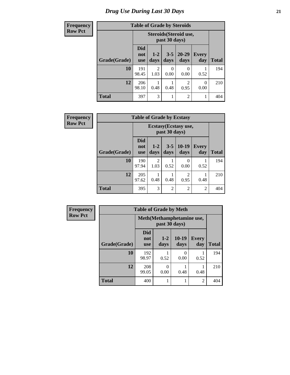# *Drug Use During Last 30 Days* **21**

| <b>Frequency</b> | <b>Table of Grade by Steroids</b> |                                 |                 |                  |                        |                     |              |
|------------------|-----------------------------------|---------------------------------|-----------------|------------------|------------------------|---------------------|--------------|
| <b>Row Pct</b>   |                                   |                                 |                 | past 30 days)    | Steroids (Steroid use, |                     |              |
|                  | Grade(Grade)                      | <b>Did</b><br>not<br><b>use</b> | $1 - 2$<br>days | $3 - 5$<br>days  | $20 - 29$<br>days      | <b>Every</b><br>day | <b>Total</b> |
|                  | 10                                | 191<br>98.45                    | 2<br>1.03       | $\Omega$<br>0.00 | 0<br>0.00              | 0.52                | 194          |
|                  | 12                                | 206<br>98.10                    | 0.48            | 0.48             | $\overline{c}$<br>0.95 | $\Omega$<br>0.00    | 210          |
|                  | <b>Total</b>                      | 397                             | 3               |                  | $\overline{c}$         | 1                   | 404          |

| Frequency      | <b>Table of Grade by Ecstasy</b>       |                                 |                        |                 |                        |              |              |
|----------------|----------------------------------------|---------------------------------|------------------------|-----------------|------------------------|--------------|--------------|
| <b>Row Pct</b> | Ecstasy (Ecstasy use,<br>past 30 days) |                                 |                        |                 |                        |              |              |
|                | Grade(Grade)                           | <b>Did</b><br>not<br><b>use</b> | $1-2$<br>days          | $3 - 5$<br>days | $10-19$<br>days        | Every<br>day | <b>Total</b> |
|                | 10                                     | 190<br>97.94                    | $\mathfrak{D}$<br>1.03 | 0.52            | 0<br>0.00              | 0.52         | 194          |
|                | 12                                     | 205<br>97.62                    | 0.48                   | 0.48            | $\overline{c}$<br>0.95 | 0.48         | 210          |
|                | <b>Total</b>                           | 395                             | 3                      | $\overline{2}$  | $\overline{2}$         | 2            | 404          |

| <b>Frequency</b> | <b>Table of Grade by Meth</b> |                                 |               |                 |                     |              |  |
|------------------|-------------------------------|---------------------------------|---------------|-----------------|---------------------|--------------|--|
| <b>Row Pct</b>   |                               | Meth (Methamphetamine use,      |               |                 |                     |              |  |
|                  | Grade(Grade)                  | <b>Did</b><br>not<br><b>use</b> | $1-2$<br>days | $10-19$<br>days | <b>Every</b><br>day | <b>Total</b> |  |
|                  | 10                            | 192<br>98.97                    | 0.52          | 0<br>0.00       | 0.52                | 194          |  |
|                  | 12                            | 208<br>99.05                    | 0<br>0.00     | 0.48            | 0.48                | 210          |  |
|                  | <b>Total</b>                  | 400                             |               |                 | 2                   | 404          |  |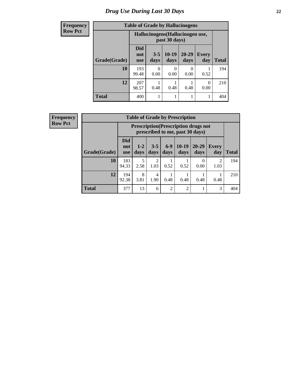# *Drug Use During Last 30 Days* **22**

| <b>Frequency</b> | <b>Table of Grade by Hallucinogens</b> |                                  |                 |                  |                   |                     |              |
|------------------|----------------------------------------|----------------------------------|-----------------|------------------|-------------------|---------------------|--------------|
| <b>Row Pct</b>   |                                        | Hallucinogens (Hallucinogen use, |                 |                  |                   |                     |              |
|                  | Grade(Grade)                           | <b>Did</b><br>not<br><b>use</b>  | $3 - 5$<br>days | $10-19$<br>days  | $20 - 29$<br>days | <b>Every</b><br>day | <b>Total</b> |
|                  | 10                                     | 193<br>99.48                     | ∩<br>0.00       | $\Omega$<br>0.00 | 0<br>0.00         | 0.52                | 194          |
|                  | 12                                     | 207<br>98.57                     | 0.48            | 0.48             | 0.48              | $\Omega$<br>0.00    | 210          |
|                  | <b>Total</b>                           | 400                              |                 |                  | 1                 |                     | 404          |

| <b>Frequency</b> |
|------------------|
| <b>Row Pct</b>   |

| <b>Table of Grade by Prescription</b> |                                 |                                                                                |                 |                |                 |                   |                        |       |
|---------------------------------------|---------------------------------|--------------------------------------------------------------------------------|-----------------|----------------|-----------------|-------------------|------------------------|-------|
|                                       |                                 | <b>Prescription</b> (Prescription drugs not<br>prescribed to me, past 30 days) |                 |                |                 |                   |                        |       |
| Grade(Grade)                          | <b>Did</b><br>not<br><b>use</b> | $1 - 2$<br>days                                                                | $3 - 5$<br>days | $6-9$<br>days  | $10-19$<br>days | $20 - 29$<br>days | Every<br>day           | Total |
| 10                                    | 183<br>94.33                    | 5<br>2.58                                                                      | 2<br>1.03       | 0.52           | 0.52            | 0<br>0.00         | $\mathfrak{D}$<br>1.03 | 194   |
| 12                                    | 194<br>92.38                    | 8<br>3.81                                                                      | 4<br>1.90       | 0.48           | 0.48            | 0.48              | 0.48                   | 210   |
| <b>Total</b>                          | 377                             | 13                                                                             | 6               | $\overline{2}$ | $\overline{2}$  |                   | 3                      | 404   |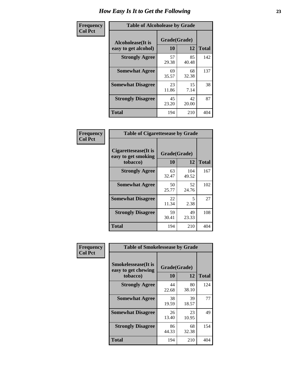| Frequency      | <b>Table of Alcoholease by Grade</b>              |                    |             |              |  |  |  |
|----------------|---------------------------------------------------|--------------------|-------------|--------------|--|--|--|
| <b>Col Pct</b> | <b>Alcoholease</b> (It is<br>easy to get alcohol) | Grade(Grade)<br>10 | 12          | <b>Total</b> |  |  |  |
|                | <b>Strongly Agree</b>                             | 57<br>29.38        | 85<br>40.48 | 142          |  |  |  |
|                | <b>Somewhat Agree</b>                             | 69<br>35.57        | 68<br>32.38 | 137          |  |  |  |
|                | <b>Somewhat Disagree</b>                          | 23<br>11.86        | 15<br>7.14  | 38           |  |  |  |
|                | <b>Strongly Disagree</b>                          | 45<br>23.20        | 42<br>20.00 | 87           |  |  |  |
|                | <b>Total</b>                                      | 194                | 210         | 404          |  |  |  |

| <b>Frequency  </b> | Tab              |
|--------------------|------------------|
| <b>Col Pct</b>     |                  |
|                    | <b>Cigarette</b> |
|                    | easy to ge       |

| <b>Table of Cigarettesease by Grade</b>                 |                    |              |              |  |  |  |  |
|---------------------------------------------------------|--------------------|--------------|--------------|--|--|--|--|
| Cigarettesease(It is<br>easy to get smoking<br>tobacco) | Grade(Grade)<br>10 | 12           | <b>Total</b> |  |  |  |  |
| <b>Strongly Agree</b>                                   | 63<br>32.47        | 104<br>49.52 | 167          |  |  |  |  |
| <b>Somewhat Agree</b>                                   | 50<br>25.77        | 52<br>24.76  | 102          |  |  |  |  |
| <b>Somewhat Disagree</b>                                | 22<br>11.34        | 5<br>2.38    | 27           |  |  |  |  |
| <b>Strongly Disagree</b>                                | 59<br>30.41        | 49<br>23.33  | 108          |  |  |  |  |
| <b>Total</b>                                            | 194                | 210          | 404          |  |  |  |  |

| Frequency      | <b>Table of Smokelessease by Grade</b>                         |                    |              |     |
|----------------|----------------------------------------------------------------|--------------------|--------------|-----|
| <b>Col Pct</b> | <b>Smokelessease</b> (It is<br>easy to get chewing<br>tobacco) | Grade(Grade)<br>10 | <b>Total</b> |     |
|                |                                                                |                    | 12           |     |
|                | <b>Strongly Agree</b>                                          | 44<br>22.68        | 80<br>38.10  | 124 |
|                | <b>Somewhat Agree</b>                                          | 38<br>19.59        | 39<br>18.57  | 77  |
|                | <b>Somewhat Disagree</b>                                       | 26<br>13.40        | 23<br>10.95  | 49  |
|                | <b>Strongly Disagree</b>                                       | 86<br>44.33        | 68<br>32.38  | 154 |
|                | <b>Total</b>                                                   | 194                | 210          | 404 |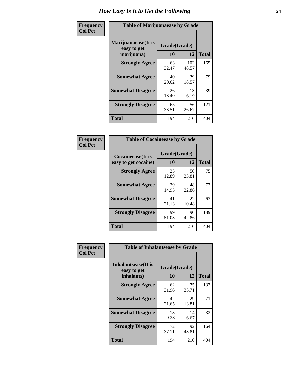| Frequency      | <b>Table of Marijuanaease by Grade</b>           |                    |              |              |  |  |  |  |  |
|----------------|--------------------------------------------------|--------------------|--------------|--------------|--|--|--|--|--|
| <b>Col Pct</b> | Marijuanaease(It is<br>easy to get<br>marijuana) | Grade(Grade)<br>10 | 12           | <b>Total</b> |  |  |  |  |  |
|                | <b>Strongly Agree</b>                            | 63<br>32.47        | 102<br>48.57 | 165          |  |  |  |  |  |
|                | <b>Somewhat Agree</b>                            | 40<br>20.62        | 39<br>18.57  | 79           |  |  |  |  |  |
|                | <b>Somewhat Disagree</b>                         | 26<br>13.40        | 13<br>6.19   | 39           |  |  |  |  |  |
|                | <b>Strongly Disagree</b>                         | 65<br>33.51        | 56<br>26.67  | 121          |  |  |  |  |  |
|                | <b>Total</b>                                     | 194                | 210          | 404          |  |  |  |  |  |

| <b>Table of Cocaineease by Grade</b>              |                    |             |              |  |  |  |  |  |
|---------------------------------------------------|--------------------|-------------|--------------|--|--|--|--|--|
| <b>Cocaineease</b> (It is<br>easy to get cocaine) | Grade(Grade)<br>10 | 12          | <b>Total</b> |  |  |  |  |  |
| <b>Strongly Agree</b>                             | 25<br>12.89        | 50<br>23.81 | 75           |  |  |  |  |  |
| <b>Somewhat Agree</b>                             | 29<br>14.95        | 48<br>22.86 | 77           |  |  |  |  |  |
| <b>Somewhat Disagree</b>                          | 41<br>21.13        | 22<br>10.48 | 63           |  |  |  |  |  |
| <b>Strongly Disagree</b>                          | 99<br>51.03        | 90<br>42.86 | 189          |  |  |  |  |  |
| <b>Total</b>                                      | 194                | 210         | 404          |  |  |  |  |  |

| Frequency      | <b>Table of Inhalantsease by Grade</b>           |                    |             |              |
|----------------|--------------------------------------------------|--------------------|-------------|--------------|
| <b>Col Pct</b> | Inhalantsease(It is<br>easy to get<br>inhalants) | Grade(Grade)<br>10 | 12          | <b>Total</b> |
|                | <b>Strongly Agree</b>                            | 62<br>31.96        | 75<br>35.71 | 137          |
|                | <b>Somewhat Agree</b>                            | 42<br>21.65        | 29<br>13.81 | 71           |
|                | <b>Somewhat Disagree</b>                         | 18<br>9.28         | 14<br>6.67  | 32           |
|                | <b>Strongly Disagree</b>                         | 72<br>37.11        | 92<br>43.81 | 164          |
|                | <b>Total</b>                                     | 194                | 210         | 404          |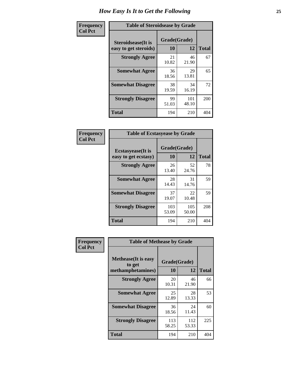| Frequency      |                                                     | <b>Table of Steroidsease by Grade</b> |              |     |  |  |  |  |  |  |  |  |
|----------------|-----------------------------------------------------|---------------------------------------|--------------|-----|--|--|--|--|--|--|--|--|
| <b>Col Pct</b> | <b>Steroidsease</b> (It is<br>easy to get steroids) | Grade(Grade)<br>10                    | <b>Total</b> |     |  |  |  |  |  |  |  |  |
|                | <b>Strongly Agree</b>                               | 21<br>10.82                           | 46<br>21.90  | 67  |  |  |  |  |  |  |  |  |
|                | <b>Somewhat Agree</b>                               | 36<br>18.56                           | 29<br>13.81  | 65  |  |  |  |  |  |  |  |  |
|                | <b>Somewhat Disagree</b>                            | 38<br>19.59                           | 34<br>16.19  | 72  |  |  |  |  |  |  |  |  |
|                | <b>Strongly Disagree</b>                            | 99<br>51.03                           | 101<br>48.10 | 200 |  |  |  |  |  |  |  |  |
|                | <b>Total</b>                                        | 194                                   | 210          | 404 |  |  |  |  |  |  |  |  |

| Frequency      | <b>Table of Ecstasyease by Grade</b>              |                    |              |     |  |  |  |  |  |  |
|----------------|---------------------------------------------------|--------------------|--------------|-----|--|--|--|--|--|--|
| <b>Col Pct</b> | <b>Ecstasyease</b> (It is<br>easy to get ecstasy) | Grade(Grade)<br>10 | <b>Total</b> |     |  |  |  |  |  |  |
|                | <b>Strongly Agree</b>                             | 26<br>13.40        | 52<br>24.76  | 78  |  |  |  |  |  |  |
|                | <b>Somewhat Agree</b>                             | 28<br>14.43        | 31<br>14.76  | 59  |  |  |  |  |  |  |
|                | <b>Somewhat Disagree</b>                          | 37<br>19.07        | 22<br>10.48  | 59  |  |  |  |  |  |  |
|                | <b>Strongly Disagree</b>                          | 103<br>53.09       | 105<br>50.00 | 208 |  |  |  |  |  |  |
|                | <b>Total</b>                                      | 194                | 210          | 404 |  |  |  |  |  |  |

| Frequency      | <b>Table of Methease by Grade</b>                          |                    |              |              |
|----------------|------------------------------------------------------------|--------------------|--------------|--------------|
| <b>Col Pct</b> | <b>Methease</b> (It is easy<br>to get<br>methamphetamines) | Grade(Grade)<br>10 | 12           | <b>Total</b> |
|                | <b>Strongly Agree</b>                                      | 20<br>10.31        | 46<br>21.90  | 66           |
|                | <b>Somewhat Agree</b>                                      | 25<br>12.89        | 28<br>13.33  | 53           |
|                | <b>Somewhat Disagree</b>                                   | 36<br>18.56        | 24<br>11.43  | 60           |
|                | <b>Strongly Disagree</b>                                   | 113<br>58.25       | 112<br>53.33 | 225          |
|                | <b>Total</b>                                               | 194                | 210          | 404          |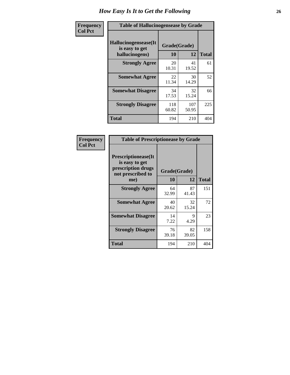| <b>Frequency</b> | <b>Table of Hallucinogensease by Grade</b>                |              |                    |     |  |  |  |  |  |
|------------------|-----------------------------------------------------------|--------------|--------------------|-----|--|--|--|--|--|
| <b>Col Pct</b>   | Hallucinogensease(It)<br>is easy to get<br>hallucinogens) | 10           | Grade(Grade)<br>12 |     |  |  |  |  |  |
|                  | <b>Strongly Agree</b>                                     | 20<br>10.31  | 41<br>19.52        | 61  |  |  |  |  |  |
|                  | <b>Somewhat Agree</b>                                     | 22<br>11.34  | 30<br>14.29        | 52  |  |  |  |  |  |
|                  | <b>Somewhat Disagree</b>                                  | 34<br>17.53  | 32<br>15.24        | 66  |  |  |  |  |  |
|                  | <b>Strongly Disagree</b>                                  | 118<br>60.82 | 107<br>50.95       | 225 |  |  |  |  |  |
|                  | <b>Total</b>                                              | 194          | 210                | 404 |  |  |  |  |  |

| Frequency<br>  Col Pct |
|------------------------|
|                        |

|                                                                                          | <b>Table of Prescriptionease by Grade</b> |              |              |  |  |  |  |  |  |
|------------------------------------------------------------------------------------------|-------------------------------------------|--------------|--------------|--|--|--|--|--|--|
| <b>Prescriptionease</b> (It<br>is easy to get<br>prescription drugs<br>not prescribed to |                                           | Grade(Grade) |              |  |  |  |  |  |  |
| me)                                                                                      | 10                                        | 12           | <b>Total</b> |  |  |  |  |  |  |
| <b>Strongly Agree</b>                                                                    | 64<br>32.99                               | 87<br>41.43  | 151          |  |  |  |  |  |  |
| <b>Somewhat Agree</b>                                                                    | 40<br>20.62                               | 32<br>15.24  | 72           |  |  |  |  |  |  |
| <b>Somewhat Disagree</b>                                                                 | 14<br>7.22                                | 9<br>4.29    | 23           |  |  |  |  |  |  |
| <b>Strongly Disagree</b>                                                                 | 76<br>39.18                               | 82<br>39.05  | 158          |  |  |  |  |  |  |
| <b>Total</b>                                                                             | 194                                       | 210          | 404          |  |  |  |  |  |  |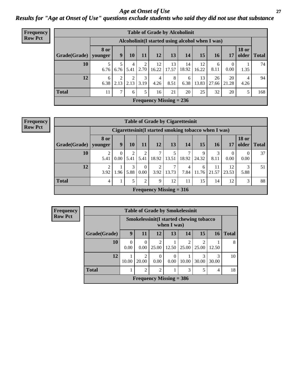### *Age at Onset of Use* **27** *Results for "Age at Onset of Use" questions exclude students who said they did not use that substance*

| <b>Frequency</b> |              |                        |                  |           |           |             |                                | <b>Table of Grade by Alcoholinit</b>             |             |             |             |                       |              |
|------------------|--------------|------------------------|------------------|-----------|-----------|-------------|--------------------------------|--------------------------------------------------|-------------|-------------|-------------|-----------------------|--------------|
| <b>Row Pct</b>   |              |                        |                  |           |           |             |                                | Alcoholinit (I started using alcohol when I was) |             |             |             |                       |              |
|                  | Grade(Grade) | <b>8 or</b><br>younger | $\boldsymbol{9}$ | <b>10</b> | 11        | 12          | 13                             | 14                                               | 15          | <b>16</b>   | 17          | <b>18 or</b><br>older | <b>Total</b> |
|                  | 10           | 6.76                   | 6.76             | 4<br>5.41 | 2<br>2.70 | 12<br>16.22 | 13<br>17.57                    | 14<br>18.92                                      | 12<br>16.22 | 6<br>8.11   | 0<br>0.00   | 1.35                  | 74           |
|                  | 12           | 6<br>6.38              | 2.13             | 2<br>2.13 | 3<br>3.19 | 4<br>4.26   | 8<br>8.51                      | 6<br>6.38                                        | 13<br>13.83 | 26<br>27.66 | 20<br>21.28 | 4<br>4.26             | 94           |
|                  | <b>Total</b> | 11                     | $\mathcal{I}$    | 6         | 5         | 16          | 21                             | 20                                               | 25          | 32          | 20          |                       | 168          |
|                  |              |                        |                  |           |           |             | <b>Frequency Missing = 236</b> |                                                  |             |             |             |                       |              |

#### **Frequency Row Pct**

|                                                                                                                               | <b>Table of Grade by Cigarettesinit</b>                   |           |      |                  |                           |            |           |            |             |             |                  |    |  |
|-------------------------------------------------------------------------------------------------------------------------------|-----------------------------------------------------------|-----------|------|------------------|---------------------------|------------|-----------|------------|-------------|-------------|------------------|----|--|
|                                                                                                                               | Cigarettesinit (I started smoking tobacco when I was)     |           |      |                  |                           |            |           |            |             |             |                  |    |  |
| <b>18 or</b><br>8 or<br>13<br>15<br>older<br>9<br>12<br>14<br>Grade(Grade)<br>11<br>17<br><b>Total</b><br>16<br>10<br>younger |                                                           |           |      |                  |                           |            |           |            |             |             |                  |    |  |
| 10                                                                                                                            | $\overline{c}$<br>5.41                                    | 0<br>0.00 | 5.41 | 2<br>5.41        | 7<br>18.92                | 5<br>13.51 | 18.92     | 9<br>24.32 | 3<br>8.11   | 0<br>0.00   | $\Omega$<br>0.00 | 37 |  |
| 12                                                                                                                            | ◠<br>3.92                                                 | 1.96      | 5.88 | $\theta$<br>0.00 | $\overline{2}$<br>3.92    | 7<br>13.73 | 4<br>7.84 | 6<br>11.76 | 11<br>21.57 | 12<br>23.53 | 3<br>5.88        | 51 |  |
| <b>Total</b>                                                                                                                  | 5<br>2<br>3<br>12<br>15<br>88<br>9<br>11<br>12<br>14<br>4 |           |      |                  |                           |            |           |            |             |             |                  |    |  |
|                                                                                                                               |                                                           |           |      |                  | Frequency Missing $= 316$ |            |           |            |             |             |                  |    |  |

| <b>Table of Grade by Smokelessinit</b>                                       |                                                                                                                                                                                                                                                         |      |                           |       |            |            |       |   |  |
|------------------------------------------------------------------------------|---------------------------------------------------------------------------------------------------------------------------------------------------------------------------------------------------------------------------------------------------------|------|---------------------------|-------|------------|------------|-------|---|--|
| Smokelessinit (I started chewing tobacco<br>when I was)                      |                                                                                                                                                                                                                                                         |      |                           |       |            |            |       |   |  |
| 9<br>12<br>15<br>13<br><b>Total</b><br>14<br>Grade(Grade)<br>11<br><b>16</b> |                                                                                                                                                                                                                                                         |      |                           |       |            |            |       |   |  |
| 10                                                                           | 0<br>0.00                                                                                                                                                                                                                                               | 0.00 | $\mathfrak{D}$<br>25.00   | 12.50 | 2<br>25.00 | 2<br>25.00 | 12.50 | 8 |  |
| 12                                                                           | $\mathcal{D}_{\mathcal{A}}^{\mathcal{A}}(\mathcal{A})=\mathcal{D}_{\mathcal{A}}^{\mathcal{A}}(\mathcal{A})\mathcal{D}_{\mathcal{A}}^{\mathcal{A}}(\mathcal{A})$<br>3<br>3<br>0<br>$\Omega$<br>30.00<br>0.00<br>10.00<br>30.00<br>10.00<br>0.00<br>20.00 |      |                           |       |            |            |       |   |  |
| <b>Total</b><br>$\overline{2}$<br>$\mathfrak{D}$<br>3<br>5<br>4              |                                                                                                                                                                                                                                                         |      |                           |       |            |            |       |   |  |
|                                                                              |                                                                                                                                                                                                                                                         |      | Frequency Missing $=$ 386 |       |            |            |       |   |  |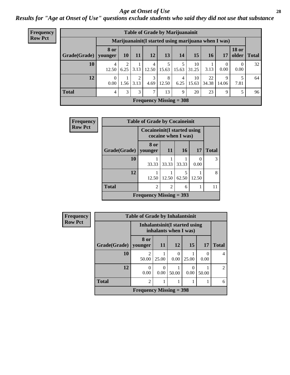### *Age at Onset of Use* **28**

*Results for "Age at Onset of Use" questions exclude students who said they did not use that substance*

| Frequency      | <b>Table of Grade by Marijuanainit</b> |             |                        |           |            |            |                           |             |             |                                                      |                       |              |
|----------------|----------------------------------------|-------------|------------------------|-----------|------------|------------|---------------------------|-------------|-------------|------------------------------------------------------|-----------------------|--------------|
| <b>Row Pct</b> |                                        |             |                        |           |            |            |                           |             |             | Marijuanainit (I started using marijuana when I was) |                       |              |
|                | Grade(Grade)   younger                 | <b>8 or</b> | <b>10</b>              | <b>11</b> | <b>12</b>  | 13         | 14                        | 15          | 16          | 17                                                   | <b>18 or</b><br>older | <b>Total</b> |
|                | 10                                     | 4<br>12.50  | $\mathfrak{D}$<br>6.25 | 3.13      | 4<br>12.50 | 15.63      | 15.63                     | 10<br>31.25 | 3.13        | $\theta$<br>0.00                                     | $\theta$<br>0.00      | 32           |
|                | 12                                     | 0<br>0.00   | 1.56                   | 2<br>3.13 | 3<br>4.69  | 8<br>12.50 | 4<br>6.25                 | 10<br>15.63 | 22<br>34.38 | $\mathbf Q$<br>14.06                                 | 5<br>7.81             | 64           |
|                | <b>Total</b>                           | 4           | 3                      | 3         | 7          | 13         | 9                         | 20          | 23          | 9                                                    | 5                     | 96           |
|                |                                        |             |                        |           |            |            | Frequency Missing $=$ 308 |             |             |                                                      |                       |              |

| Frequency      |                      | <b>Table of Grade by Cocaineinit</b> |                     |                 |           |              |
|----------------|----------------------|--------------------------------------|---------------------|-----------------|-----------|--------------|
| <b>Row Pct</b> |                      | <b>Cocaineinit</b> (I started using  | cocaine when I was) |                 |           |              |
|                | <b>Grade</b> (Grade) | 8 or<br>younger                      | <b>11</b>           | 16 <sup>1</sup> | <b>17</b> | <b>Total</b> |
|                | 10                   | 33.33                                | 33.33               | 33.33           | 0<br>0.00 | 3            |
|                | 12                   | 12.50                                | 12.50               | 62.50           | 12.50     | 8            |
|                | <b>Total</b>         | $\overline{2}$                       | $\overline{2}$      | 6               |           | 11           |
|                |                      | Frequency Missing $=$ 393            |                     |                 |           |              |

| <b>Frequency</b> |              | <b>Table of Grade by Inhalantsinit</b> |           |                                                         |       |                  |                |  |  |
|------------------|--------------|----------------------------------------|-----------|---------------------------------------------------------|-------|------------------|----------------|--|--|
| <b>Row Pct</b>   |              |                                        |           | Inhalantsinit (I started using<br>inhalants when I was) |       |                  |                |  |  |
|                  | Grade(Grade) | 8 or<br>vounger                        | <b>11</b> | <b>12</b>                                               | 15    | 17               | <b>Total</b>   |  |  |
|                  | <b>10</b>    | 2<br>50.00                             | 25.00     | 0<br>0.00                                               | 25.00 | $\Omega$<br>0.00 | 4              |  |  |
|                  | 12           | 0<br>0.00                              | 0<br>0.00 | 50.00                                                   | 0.00  | 50.00            | $\mathfrak{D}$ |  |  |
|                  | <b>Total</b> | $\overline{c}$                         |           |                                                         |       |                  | 6              |  |  |
|                  |              | Frequency Missing $=$ 398              |           |                                                         |       |                  |                |  |  |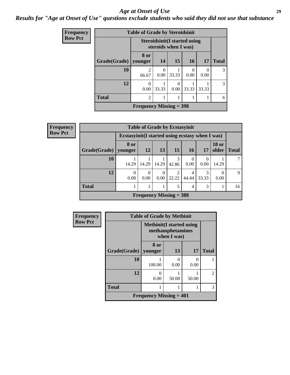### *Age at Onset of Use* **29**

*Results for "Age at Onset of Use" questions exclude students who said they did not use that substance*

| <b>Frequency</b> | <b>Table of Grade by Steroidsinit</b> |                                                              |           |                  |                 |           |               |  |  |
|------------------|---------------------------------------|--------------------------------------------------------------|-----------|------------------|-----------------|-----------|---------------|--|--|
| <b>Row Pct</b>   |                                       | <b>Steroidsinit (I started using</b><br>steroids when I was) |           |                  |                 |           |               |  |  |
|                  | Grade(Grade)                          | 8 or<br>younger                                              | 14        | 15               | 16 <sup>1</sup> | 17        | <b>Total</b>  |  |  |
|                  | 10                                    | $\mathfrak{D}$<br>66.67                                      | 0<br>0.00 | 33.33            | 0.00            | 0<br>0.00 | 3             |  |  |
|                  | 12                                    | 0<br>0.00                                                    | 33.33     | $\Omega$<br>0.00 | 33.33           | 33.33     | $\mathcal{R}$ |  |  |
|                  | <b>Total</b>                          | 2                                                            | 1         |                  |                 |           | 6             |  |  |
|                  |                                       | Frequency Missing $=$ 398                                    |           |                  |                 |           |               |  |  |

| <b>Frequency</b> |                        |                                                  |                  |           | <b>Table of Grade by Ecstasyinit</b> |            |            |                       |              |
|------------------|------------------------|--------------------------------------------------|------------------|-----------|--------------------------------------|------------|------------|-----------------------|--------------|
| <b>Row Pct</b>   |                        | Ecstasyinit (I started using ecstasy when I was) |                  |           |                                      |            |            |                       |              |
|                  | Grade(Grade)   younger | 8 or                                             | 12               | 13        | 15                                   | 16         | 17         | <b>18 or</b><br>older | <b>Total</b> |
|                  | 10                     | 14.29                                            | 14.29            | 14.29     | 3<br>42.86                           | 0.00       | 0.00       | 14.29                 |              |
|                  | 12                     | $\theta$<br>0.00                                 | $\Omega$<br>0.00 | 0<br>0.00 | 22.22                                | 4<br>44.44 | 3<br>33.33 | 0.00                  | $\mathbf Q$  |
|                  | <b>Total</b>           |                                                  |                  |           | 5                                    | 4          | 3          |                       | 16           |
|                  |                        |                                                  |                  |           | <b>Frequency Missing = 388</b>       |            |            |                       |              |

| <b>Frequency</b> | <b>Table of Grade by Methinit</b> |                                  |                                 |           |                |  |  |  |  |
|------------------|-----------------------------------|----------------------------------|---------------------------------|-----------|----------------|--|--|--|--|
| <b>Row Pct</b>   |                                   | <b>Methinit</b> (I started using | methamphetamines<br>when I was) |           |                |  |  |  |  |
|                  | Grade(Grade)   younger            | 8 or                             | 13                              | 17        | <b>Total</b>   |  |  |  |  |
|                  | 10                                | 100.00                           | 0.00                            | 0<br>0.00 |                |  |  |  |  |
|                  | 12                                | $\Omega$<br>0.00                 | 50.00                           | 50.00     | $\mathfrak{D}$ |  |  |  |  |
|                  | <b>Total</b>                      |                                  |                                 |           | 3              |  |  |  |  |
|                  |                                   | Frequency Missing $= 401$        |                                 |           |                |  |  |  |  |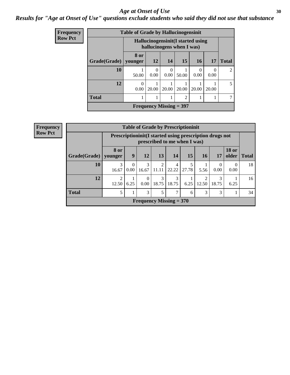### Age at Onset of Use **30**

### *Results for "Age at Onset of Use" questions exclude students who said they did not use that substance*

| Frequency      | <b>Table of Grade by Hallucinogensinit</b> |                  |                  |                                                                 |                |                  |                  |                |  |
|----------------|--------------------------------------------|------------------|------------------|-----------------------------------------------------------------|----------------|------------------|------------------|----------------|--|
| <b>Row Pct</b> |                                            |                  |                  | Hallucinogensinit (I started using<br>hallucinogens when I was) |                |                  |                  |                |  |
|                | Grade(Grade)                               | 8 or<br>younger  | 12               | 14                                                              | 15             | 16               | 17               | <b>Total</b>   |  |
|                | 10                                         | 50.00            | $\Omega$<br>0.00 | $\Omega$<br>0.00                                                | 50.00          | $\Omega$<br>0.00 | $\Omega$<br>0.00 | 2              |  |
|                | 12                                         | $\Omega$<br>0.00 | 20.00            | 20.00                                                           | 20.00          | 20.00            | 20.00            | $\mathfrak{H}$ |  |
|                | <b>Total</b>                               |                  |                  | 1                                                               | $\overline{2}$ |                  |                  | 7              |  |
|                |                                            |                  |                  | Frequency Missing $=$ 397                                       |                |                  |                  |                |  |

| <b>Frequency</b> |                           |                         |                  | <b>Table of Grade by Prescriptioninit</b>               |                         |                              |            |            |                  |                       |              |
|------------------|---------------------------|-------------------------|------------------|---------------------------------------------------------|-------------------------|------------------------------|------------|------------|------------------|-----------------------|--------------|
| <b>Row Pct</b>   |                           |                         |                  | Prescriptioninit(I started using prescription drugs not |                         | prescribed to me when I was) |            |            |                  |                       |              |
|                  | Grade(Grade)              | <b>8 or</b><br>vounger  | 9                | 12                                                      | 13                      | 14                           | 15         | 16         | 17               | <b>18 or</b><br>older | <b>Total</b> |
|                  | 10                        | 3<br>16.67              | $\theta$<br>0.00 | 3<br>16.67                                              | $\mathfrak{D}$<br>11.11 | 4<br>22.22                   | 5<br>27.78 | 5.56       | $\Omega$<br>0.00 | $\theta$<br>0.00      | 18           |
|                  | 12                        | $\overline{2}$<br>12.50 | 6.25             | $\overline{0}$<br>0.00                                  | 3<br>18.75              | 3<br>18.75                   | 6.25       | ↑<br>12.50 | 18.75            | 6.25                  | 16           |
|                  | <b>Total</b>              | 5                       |                  | 3                                                       | 5                       | 7                            | 6          | 3          | 3                | 1                     | 34           |
|                  | Frequency Missing $= 370$ |                         |                  |                                                         |                         |                              |            |            |                  |                       |              |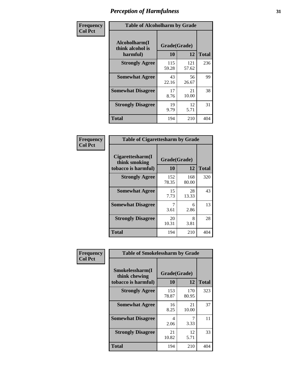| Frequency      | <b>Table of Alcoholharm by Grade</b>          |                    |              |              |  |  |  |
|----------------|-----------------------------------------------|--------------------|--------------|--------------|--|--|--|
| <b>Col Pct</b> | Alcoholharm(I<br>think alcohol is<br>harmful) | Grade(Grade)<br>10 | 12           | <b>Total</b> |  |  |  |
|                | <b>Strongly Agree</b>                         | 115<br>59.28       | 121<br>57.62 | 236          |  |  |  |
|                | <b>Somewhat Agree</b>                         | 43<br>22.16        | 56<br>26.67  | 99           |  |  |  |
|                | <b>Somewhat Disagree</b>                      | 17<br>8.76         | 21<br>10.00  | 38           |  |  |  |
|                | <b>Strongly Disagree</b>                      | 19<br>9.79         | 12<br>5.71   | 31           |  |  |  |
|                | <b>Total</b>                                  | 194                | 210          | 404          |  |  |  |

|                                                          | <b>Table of Cigarettesharm by Grade</b> |              |              |  |  |  |  |  |
|----------------------------------------------------------|-----------------------------------------|--------------|--------------|--|--|--|--|--|
| Cigarettesharm(I<br>think smoking<br>tobacco is harmful) | Grade(Grade)<br>10                      | 12           | <b>Total</b> |  |  |  |  |  |
| <b>Strongly Agree</b>                                    | 152<br>78.35                            | 168<br>80.00 | 320          |  |  |  |  |  |
| <b>Somewhat Agree</b>                                    | 15<br>7.73                              | 28<br>13.33  | 43           |  |  |  |  |  |
| <b>Somewhat Disagree</b>                                 | 7<br>3.61                               | 6<br>2.86    | 13           |  |  |  |  |  |
| <b>Strongly Disagree</b>                                 | 20<br>10.31                             | 8<br>3.81    | 28           |  |  |  |  |  |
| <b>Total</b>                                             | 194                                     | 210          | 404          |  |  |  |  |  |

| Frequency      | <b>Table of Smokelessharm by Grade</b>                  |                           |              |              |  |  |  |  |  |
|----------------|---------------------------------------------------------|---------------------------|--------------|--------------|--|--|--|--|--|
| <b>Col Pct</b> | Smokelessharm(I<br>think chewing<br>tobacco is harmful) | Grade(Grade)<br><b>10</b> | 12           | <b>Total</b> |  |  |  |  |  |
|                | <b>Strongly Agree</b>                                   | 153<br>78.87              | 170<br>80.95 | 323          |  |  |  |  |  |
|                | <b>Somewhat Agree</b>                                   | 16<br>8.25                | 21<br>10.00  | 37           |  |  |  |  |  |
|                | <b>Somewhat Disagree</b>                                | 4<br>2.06                 | 3.33         | 11           |  |  |  |  |  |
|                | <b>Strongly Disagree</b>                                | 21<br>10.82               | 12<br>5.71   | 33           |  |  |  |  |  |
|                | <b>Total</b>                                            | 194                       | 210          | 404          |  |  |  |  |  |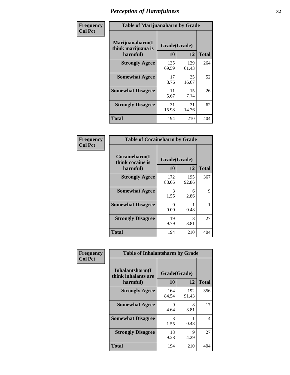| Frequency      | <b>Table of Marijuanaharm by Grade</b>            |                    |              |              |
|----------------|---------------------------------------------------|--------------------|--------------|--------------|
| <b>Col Pct</b> | Marijuanaharm(I<br>think marijuana is<br>harmful) | Grade(Grade)<br>10 | 12           | <b>Total</b> |
|                | <b>Strongly Agree</b>                             | 135<br>69.59       | 129<br>61.43 | 264          |
|                | <b>Somewhat Agree</b>                             | 17<br>8.76         | 35<br>16.67  | 52           |
|                | <b>Somewhat Disagree</b>                          | 11<br>5.67         | 15<br>7.14   | 26           |
|                | <b>Strongly Disagree</b>                          | 31<br>15.98        | 31<br>14.76  | 62           |
|                | <b>Total</b>                                      | 194                | 210          | 404          |

| <b>Table of Cocaineharm by Grade</b>          |                    |              |     |  |  |
|-----------------------------------------------|--------------------|--------------|-----|--|--|
| Cocaineharm(I<br>think cocaine is<br>harmful) | Grade(Grade)<br>10 | <b>Total</b> |     |  |  |
| <b>Strongly Agree</b>                         | 172<br>88.66       | 195<br>92.86 | 367 |  |  |
| <b>Somewhat Agree</b>                         | 3<br>1.55          | 6<br>2.86    | 9   |  |  |
| <b>Somewhat Disagree</b>                      | 0<br>0.00          | 0.48         | 1   |  |  |
| <b>Strongly Disagree</b>                      | 19<br>9.79         | 8<br>3.81    | 27  |  |  |
| <b>Total</b>                                  | 194                | 210          | 404 |  |  |

| Frequency      | <b>Table of Inhalantsharm by Grade</b>             |                           |              |              |  |
|----------------|----------------------------------------------------|---------------------------|--------------|--------------|--|
| <b>Col Pct</b> | Inhalantsharm(I<br>think inhalants are<br>harmful) | Grade(Grade)<br><b>10</b> | 12           | <b>Total</b> |  |
|                | <b>Strongly Agree</b>                              | 164<br>84.54              | 192<br>91.43 | 356          |  |
|                | <b>Somewhat Agree</b>                              | 9<br>4.64                 | 8<br>3.81    | 17           |  |
|                | <b>Somewhat Disagree</b>                           | 3<br>1.55                 | 0.48         | 4            |  |
|                | <b>Strongly Disagree</b>                           | 18<br>9.28                | 9<br>4.29    | 27           |  |
|                | <b>Total</b>                                       | 194                       | 210          | 404          |  |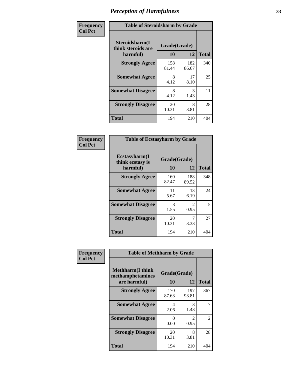| Frequency      | <b>Table of Steroidsharm by Grade</b>            |                    |              |              |  |
|----------------|--------------------------------------------------|--------------------|--------------|--------------|--|
| <b>Col Pct</b> | Steroidsharm(I<br>think steroids are<br>harmful) | Grade(Grade)<br>10 | 12           | <b>Total</b> |  |
|                | <b>Strongly Agree</b>                            | 158<br>81.44       | 182<br>86.67 | 340          |  |
|                | <b>Somewhat Agree</b>                            | 8<br>4.12          | 17<br>8.10   | 25           |  |
|                | <b>Somewhat Disagree</b>                         | 8<br>4.12          | 3<br>1.43    | 11           |  |
|                | <b>Strongly Disagree</b>                         | 20<br>10.31        | 8<br>3.81    | 28           |  |
|                | <b>Total</b>                                     | 194                | 210          | 404          |  |

| <b>Table of Ecstasyharm by Grade</b>          |                    |                                     |     |  |  |
|-----------------------------------------------|--------------------|-------------------------------------|-----|--|--|
| Ecstasyharm(I<br>think ecstasy is<br>harmful) | Grade(Grade)<br>10 | <b>Total</b>                        |     |  |  |
| <b>Strongly Agree</b>                         | 160<br>82.47       | 188<br>89.52                        | 348 |  |  |
| <b>Somewhat Agree</b>                         | 11<br>5.67         | 13<br>6.19                          | 24  |  |  |
| <b>Somewhat Disagree</b>                      | 3<br>1.55          | $\mathcal{D}_{\mathcal{L}}$<br>0.95 | 5   |  |  |
| <b>Strongly Disagree</b>                      | 20<br>10.31        | 7<br>3.33                           | 27  |  |  |
| <b>Total</b>                                  | 194                | 210                                 | 404 |  |  |

| Frequency      | <b>Table of Methharm by Grade</b>                            |                           |                               |              |
|----------------|--------------------------------------------------------------|---------------------------|-------------------------------|--------------|
| <b>Col Pct</b> | <b>Methharm</b> (I think<br>methamphetamines<br>are harmful) | Grade(Grade)<br><b>10</b> | 12                            | <b>Total</b> |
|                | <b>Strongly Agree</b>                                        | 170<br>87.63              | 197<br>93.81                  | 367          |
|                | <b>Somewhat Agree</b>                                        | 4<br>2.06                 | 3<br>1.43                     |              |
|                | <b>Somewhat Disagree</b>                                     | 0<br>0.00                 | $\mathcal{D}_{\cdot}$<br>0.95 | 2            |
|                | <b>Strongly Disagree</b>                                     | 20<br>10.31               | 8<br>3.81                     | 28           |
|                | <b>Total</b>                                                 | 194                       | 210                           | 404          |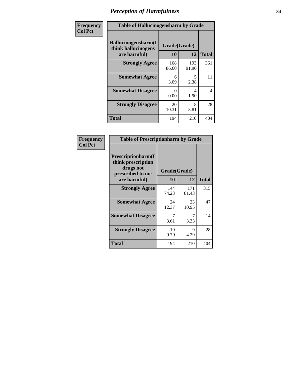| Frequency      | <b>Table of Hallucinogensharm by Grade</b>                 |                    |                                  |              |
|----------------|------------------------------------------------------------|--------------------|----------------------------------|--------------|
| <b>Col Pct</b> | Hallucinogensharm(I<br>think hallucinogens<br>are harmful) | Grade(Grade)<br>10 | 12                               | <b>Total</b> |
|                | <b>Strongly Agree</b>                                      | 168<br>86.60       | 193<br>91.90                     | 361          |
|                | <b>Somewhat Agree</b>                                      | 6<br>3.09          | $\overline{\phantom{0}}$<br>2.38 | 11           |
|                | <b>Somewhat Disagree</b>                                   | 0<br>0.00          | 4<br>1.90                        | 4            |
|                | <b>Strongly Disagree</b>                                   | 20<br>10.31        | 8<br>3.81                        | 28           |
|                | <b>Total</b>                                               | 194                | 210                              | 404          |

| <b>Table of Prescriptionharm by Grade</b>                                         |              |              |              |  |  |
|-----------------------------------------------------------------------------------|--------------|--------------|--------------|--|--|
| <b>Prescriptionharm(I)</b><br>think prescription<br>drugs not<br>prescribed to me | Grade(Grade) |              |              |  |  |
| are harmful)                                                                      | 10           | 12           | <b>Total</b> |  |  |
| <b>Strongly Agree</b>                                                             | 144<br>74.23 | 171<br>81.43 | 315          |  |  |
| <b>Somewhat Agree</b>                                                             | 24<br>12.37  | 23<br>10.95  | 47           |  |  |
| <b>Somewhat Disagree</b>                                                          | 7<br>3.61    | 3.33         | 14           |  |  |
| <b>Strongly Disagree</b>                                                          | 19<br>9.79   | 9<br>4.29    | 28           |  |  |
| Total                                                                             | 194          | 210          | 404          |  |  |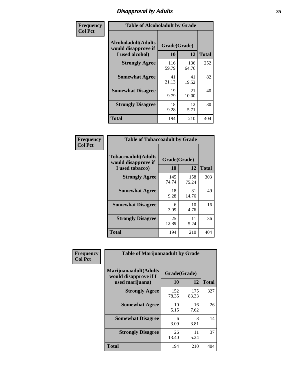# *Disapproval by Adults* **35**

| Frequency      | <b>Table of Alcoholadult by Grade</b>                                 |                    |              |              |  |
|----------------|-----------------------------------------------------------------------|--------------------|--------------|--------------|--|
| <b>Col Pct</b> | <b>Alcoholadult</b> (Adults<br>would disapprove if<br>I used alcohol) | Grade(Grade)<br>10 | 12           | <b>Total</b> |  |
|                | <b>Strongly Agree</b>                                                 | 116<br>59.79       | 136<br>64.76 | 252          |  |
|                | <b>Somewhat Agree</b>                                                 | 41<br>21.13        | 41<br>19.52  | 82           |  |
|                | <b>Somewhat Disagree</b>                                              | 19<br>9.79         | 21<br>10.00  | 40           |  |
|                | <b>Strongly Disagree</b>                                              | 18<br>9.28         | 12<br>5.71   | 30           |  |
|                | <b>Total</b>                                                          | 194                | 210          | 404          |  |

| <b>Table of Tobaccoadult by Grade</b>                                                             |              |              |     |  |  |
|---------------------------------------------------------------------------------------------------|--------------|--------------|-----|--|--|
| <b>Tobaccoadult</b> (Adults<br>Grade(Grade)<br>would disapprove if<br>10<br>12<br>I used tobacco) |              |              |     |  |  |
| <b>Strongly Agree</b>                                                                             | 145<br>74.74 | 158<br>75.24 | 303 |  |  |
| <b>Somewhat Agree</b>                                                                             | 18<br>9.28   | 31<br>14.76  | 49  |  |  |
| <b>Somewhat Disagree</b>                                                                          | 6<br>3.09    | 10<br>4.76   | 16  |  |  |
| <b>Strongly Disagree</b>                                                                          | 25<br>12.89  | 11<br>5.24   | 36  |  |  |
| Total                                                                                             | 194          | 210          | 404 |  |  |

| Frequency      | <b>Table of Marijuanaadult by Grade</b>                           |                    |              |              |  |
|----------------|-------------------------------------------------------------------|--------------------|--------------|--------------|--|
| <b>Col Pct</b> | Marijuanaadult(Adults<br>would disapprove if I<br>used marijuana) | Grade(Grade)<br>10 | 12           | <b>Total</b> |  |
|                | <b>Strongly Agree</b>                                             | 152<br>78.35       | 175<br>83.33 | 327          |  |
|                | <b>Somewhat Agree</b>                                             | 10<br>5.15         | 16<br>7.62   | 26           |  |
|                | <b>Somewhat Disagree</b>                                          | 6<br>3.09          | 8<br>3.81    | 14           |  |
|                | <b>Strongly Disagree</b>                                          | 26<br>13.40        | 11<br>5.24   | 37           |  |
|                | <b>Total</b>                                                      | 194                | 210          | 404          |  |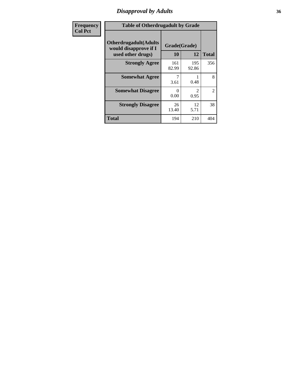# *Disapproval by Adults* **36**

| <b>Frequency</b> | <b>Table of Otherdrugadult by Grade</b>                                     |                    |              |                |
|------------------|-----------------------------------------------------------------------------|--------------------|--------------|----------------|
| <b>Col Pct</b>   | <b>Otherdrugadult</b> (Adults<br>would disapprove if I<br>used other drugs) | Grade(Grade)<br>10 | 12           | <b>Total</b>   |
|                  | <b>Strongly Agree</b>                                                       | 161<br>82.99       | 195<br>92.86 | 356            |
|                  | <b>Somewhat Agree</b>                                                       | 3.61               | 0.48         | 8              |
|                  | <b>Somewhat Disagree</b>                                                    | 0<br>0.00          | 2<br>0.95    | $\overline{2}$ |
|                  | <b>Strongly Disagree</b>                                                    | 26<br>13.40        | 12<br>5.71   | 38             |
|                  | <b>Total</b>                                                                | 194                | 210          | 404            |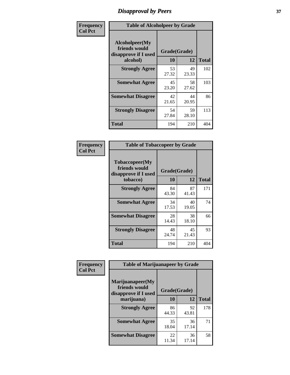# *Disapproval by Peers* **37**

| Frequency      | <b>Table of Alcoholpeer by Grade</b>                    |              |             |              |
|----------------|---------------------------------------------------------|--------------|-------------|--------------|
| <b>Col Pct</b> | Alcoholpeer(My<br>friends would<br>disapprove if I used | Grade(Grade) |             |              |
|                | alcohol)                                                | 10           | 12          | <b>Total</b> |
|                | <b>Strongly Agree</b>                                   | 53<br>27.32  | 49<br>23.33 | 102          |
|                | <b>Somewhat Agree</b>                                   | 45<br>23.20  | 58<br>27.62 | 103          |
|                | <b>Somewhat Disagree</b>                                | 42<br>21.65  | 44<br>20.95 | 86           |
|                | <b>Strongly Disagree</b>                                | 54<br>27.84  | 59<br>28.10 | 113          |
|                | Total                                                   | 194          | 210         | 404          |

| Frequency      | <b>Table of Tobaccopeer by Grade</b>                                |                    |             |              |
|----------------|---------------------------------------------------------------------|--------------------|-------------|--------------|
| <b>Col Pct</b> | Tobaccopeer(My<br>friends would<br>disapprove if I used<br>tobacco) | Grade(Grade)<br>10 | 12          | <b>Total</b> |
|                | <b>Strongly Agree</b>                                               | 84<br>43.30        | 87<br>41.43 | 171          |
|                | <b>Somewhat Agree</b>                                               | 34<br>17.53        | 40<br>19.05 | 74           |
|                | <b>Somewhat Disagree</b>                                            | 28<br>14.43        | 38<br>18.10 | 66           |
|                | <b>Strongly Disagree</b>                                            | 48<br>24.74        | 45<br>21.43 | 93           |
|                | Total                                                               | 194                | 210         | 404          |

| Frequency      | <b>Table of Marijuanapeer by Grade</b>                    |              |             |              |
|----------------|-----------------------------------------------------------|--------------|-------------|--------------|
| <b>Col Pct</b> | Marijuanapeer(My<br>friends would<br>disapprove if I used | Grade(Grade) |             |              |
|                | marijuana)                                                | <b>10</b>    | 12          | <b>Total</b> |
|                | <b>Strongly Agree</b>                                     | 86<br>44.33  | 92<br>43.81 | 178          |
|                | <b>Somewhat Agree</b>                                     | 35<br>18.04  | 36<br>17.14 | 71           |
|                | <b>Somewhat Disagree</b>                                  | 22<br>11.34  | 36<br>17.14 | 58           |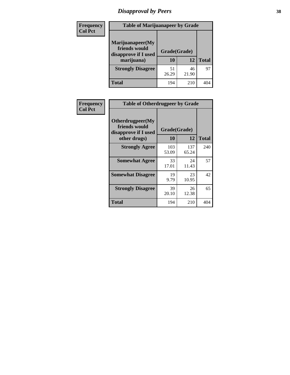# *Disapproval by Peers* **38**

| <b>Frequency</b> | <b>Table of Marijuanapeer by Grade</b>                                  |                    |             |              |
|------------------|-------------------------------------------------------------------------|--------------------|-------------|--------------|
| <b>Col Pct</b>   | Marijuanapeer(My<br>friends would<br>disapprove if I used<br>marijuana) | Grade(Grade)<br>10 | 12          | <b>Total</b> |
|                  | <b>Strongly Disagree</b>                                                | 51<br>26.29        | 46<br>21.90 | 97           |
|                  | <b>Total</b>                                                            | 194                | 210         | 404          |

| Frequency      | <b>Table of Otherdrugpeer by Grade</b>                                    |                    |              |              |
|----------------|---------------------------------------------------------------------------|--------------------|--------------|--------------|
| <b>Col Pct</b> | Otherdrugpeer(My<br>friends would<br>disapprove if I used<br>other drugs) | Grade(Grade)<br>10 | 12           | <b>Total</b> |
|                | <b>Strongly Agree</b>                                                     | 103<br>53.09       | 137<br>65.24 | 240          |
|                | <b>Somewhat Agree</b>                                                     | 33<br>17.01        | 24<br>11.43  | 57           |
|                | <b>Somewhat Disagree</b>                                                  | 19<br>9.79         | 23<br>10.95  | 42           |
|                | <b>Strongly Disagree</b>                                                  | 39<br>20.10        | 26<br>12.38  | 65           |
|                | <b>Total</b>                                                              | 194                | 210          | 404          |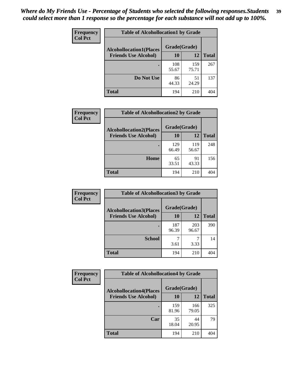| Frequency<br><b>Col Pct</b> | <b>Table of Alcohollocation1 by Grade</b> |              |              |              |
|-----------------------------|-------------------------------------------|--------------|--------------|--------------|
|                             | <b>Alcohollocation1(Places</b>            | Grade(Grade) |              |              |
|                             | <b>Friends Use Alcohol)</b>               | 10           | 12           | <b>Total</b> |
|                             |                                           | 108<br>55.67 | 159<br>75.71 | 267          |
|                             | Do Not Use                                | 86<br>44.33  | 51<br>24.29  | 137          |
|                             | <b>Total</b>                              | 194          | 210          | 404          |

| Frequency      | <b>Table of Alcohollocation2 by Grade</b>                     |                    |              |              |
|----------------|---------------------------------------------------------------|--------------------|--------------|--------------|
| <b>Col Pct</b> | <b>Alcohollocation2(Places</b><br><b>Friends Use Alcohol)</b> | Grade(Grade)<br>10 | 12           | <b>Total</b> |
|                |                                                               |                    |              |              |
|                |                                                               | 129<br>66.49       | 119<br>56.67 | 248          |
|                | Home                                                          | 65<br>33.51        | 91<br>43.33  | 156          |
|                | <b>Total</b>                                                  | 194                | 210          | 404          |

| Frequency<br><b>Col Pct</b> | <b>Table of Alcohollocation 3 by Grade</b>                    |                    |              |              |  |
|-----------------------------|---------------------------------------------------------------|--------------------|--------------|--------------|--|
|                             | <b>Alcohollocation3(Places</b><br><b>Friends Use Alcohol)</b> | Grade(Grade)<br>10 | 12           | <b>Total</b> |  |
|                             |                                                               |                    |              |              |  |
|                             |                                                               | 187<br>96.39       | 203<br>96.67 | 390          |  |
|                             | <b>School</b>                                                 | 3.61               | 3.33         | 14           |  |
|                             | <b>Total</b>                                                  | 194                | 210          | 404          |  |

| <b>Frequency</b> | <b>Table of Alcohollocation4 by Grade</b> |              |              |              |
|------------------|-------------------------------------------|--------------|--------------|--------------|
| <b>Col Pct</b>   | <b>Alcohollocation4(Places</b>            | Grade(Grade) |              |              |
|                  | <b>Friends Use Alcohol)</b>               | 10           | 12           | <b>Total</b> |
|                  |                                           | 159<br>81.96 | 166<br>79.05 | 325          |
|                  | Car                                       | 35<br>18.04  | 44<br>20.95  | 79           |
|                  | <b>Total</b>                              | 194          | 210          | 404          |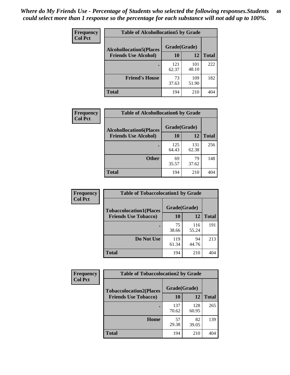| Frequency<br><b>Col Pct</b> | <b>Table of Alcohollocation5 by Grade</b><br>Grade(Grade)<br><b>Alcohollocation5(Places</b> |              |              |              |
|-----------------------------|---------------------------------------------------------------------------------------------|--------------|--------------|--------------|
|                             |                                                                                             |              |              |              |
|                             | <b>Friends Use Alcohol)</b>                                                                 | 10           | 12           | <b>Total</b> |
|                             |                                                                                             | 121<br>62.37 | 101<br>48.10 | 222          |
|                             | <b>Friend's House</b>                                                                       | 73<br>37.63  | 109<br>51.90 | 182          |
|                             | <b>Total</b>                                                                                | 194          | 210          | 404          |

| <b>Frequency</b> | <b>Table of Alcohollocation6 by Grade</b>                     |                    |              |              |
|------------------|---------------------------------------------------------------|--------------------|--------------|--------------|
| <b>Col Pct</b>   | <b>Alcohollocation6(Places</b><br><b>Friends Use Alcohol)</b> | Grade(Grade)<br>10 | 12           | <b>Total</b> |
|                  |                                                               | 125<br>64.43       | 131<br>62.38 | 256          |
|                  | <b>Other</b>                                                  | 69<br>35.57        | 79<br>37.62  | 148          |
|                  | <b>Total</b>                                                  | 194                | 210          | 404          |

| Frequency      | <b>Table of Tobaccolocation1 by Grade</b> |              |              |              |
|----------------|-------------------------------------------|--------------|--------------|--------------|
| <b>Col Pct</b> | <b>Tobaccolocation1(Places</b>            | Grade(Grade) |              |              |
|                | <b>Friends Use Tobacco)</b>               | 10           | <b>12</b>    | <b>Total</b> |
|                |                                           | 75<br>38.66  | 116<br>55.24 | 191          |
|                | Do Not Use                                | 119<br>61.34 | 94<br>44.76  | 213          |
|                | <b>Total</b>                              | 194          | 210          | 404          |

| <b>Frequency</b> | <b>Table of Tobaccolocation2 by Grade</b> |              |              |              |  |
|------------------|-------------------------------------------|--------------|--------------|--------------|--|
| <b>Col Pct</b>   | <b>Tobaccolocation2(Places</b>            | Grade(Grade) |              |              |  |
|                  | <b>Friends Use Tobacco)</b>               | 10           | 12           | <b>Total</b> |  |
|                  |                                           | 137<br>70.62 | 128<br>60.95 | 265          |  |
|                  | Home                                      | 57<br>29.38  | 82<br>39.05  | 139          |  |
|                  | <b>Total</b>                              | 194          | 210          | 404          |  |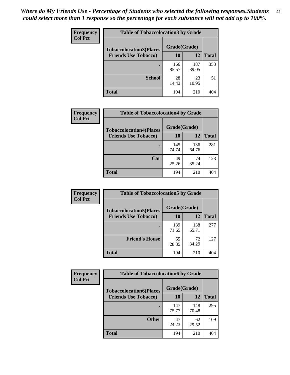| Frequency      | <b>Table of Tobaccolocation 3 by Grade</b> |              |              |              |
|----------------|--------------------------------------------|--------------|--------------|--------------|
| <b>Col Pct</b> | <b>Tobaccolocation3(Places</b>             | Grade(Grade) |              |              |
|                | <b>Friends Use Tobacco)</b>                | 10           | 12           | <b>Total</b> |
|                |                                            | 166<br>85.57 | 187<br>89.05 | 353          |
|                | <b>School</b>                              | 28<br>14.43  | 23<br>10.95  | 51           |
|                | <b>Total</b>                               | 194          | 210          | 404          |

| Frequency      | <b>Table of Tobaccolocation4 by Grade</b>                     |                    |              |              |
|----------------|---------------------------------------------------------------|--------------------|--------------|--------------|
| <b>Col Pct</b> | <b>Tobaccolocation4(Places</b><br><b>Friends Use Tobacco)</b> | Grade(Grade)<br>10 | 12           | <b>Total</b> |
|                |                                                               |                    |              |              |
|                |                                                               | 145<br>74.74       | 136<br>64.76 | 281          |
|                | Car                                                           | 49<br>25.26        | 74<br>35.24  | 123          |
|                | <b>Total</b>                                                  | 194                | 210          | 404          |

| Frequency      | <b>Table of Tobaccolocation5 by Grade</b> |              |              |              |
|----------------|-------------------------------------------|--------------|--------------|--------------|
| <b>Col Pct</b> | <b>Tobaccolocation5(Places</b>            | Grade(Grade) |              |              |
|                | <b>Friends Use Tobacco)</b>               | 10           | <b>12</b>    | <b>Total</b> |
|                |                                           | 139<br>71.65 | 138<br>65.71 | 277          |
|                | <b>Friend's House</b>                     | 55<br>28.35  | 72<br>34.29  | 127          |
|                | <b>Total</b>                              | 194          | 210          | 404          |

| <b>Frequency</b> | <b>Table of Tobaccolocation6 by Grade</b> |              |              |              |  |
|------------------|-------------------------------------------|--------------|--------------|--------------|--|
| <b>Col Pct</b>   | <b>Tobaccolocation6(Places</b>            | Grade(Grade) |              |              |  |
|                  | <b>Friends Use Tobacco)</b>               | 10           | 12           | <b>Total</b> |  |
|                  |                                           | 147<br>75.77 | 148<br>70.48 | 295          |  |
|                  | <b>Other</b>                              | 47<br>24.23  | 62<br>29.52  | 109          |  |
|                  | <b>Total</b>                              | 194          | 210          | 404          |  |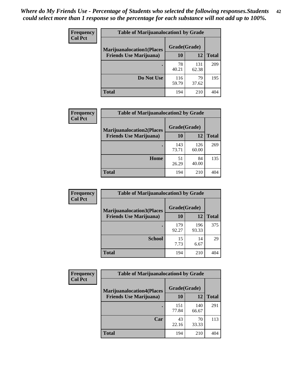| <b>Frequency</b> | <b>Table of Marijuanalocation1 by Grade</b> |              |              |              |
|------------------|---------------------------------------------|--------------|--------------|--------------|
| <b>Col Pct</b>   | <b>Marijuanalocation1(Places</b>            | Grade(Grade) |              |              |
|                  | <b>Friends Use Marijuana</b> )              | <b>10</b>    | 12           | <b>Total</b> |
|                  |                                             | 78<br>40.21  | 131<br>62.38 | 209          |
|                  | Do Not Use                                  | 116<br>59.79 | 79<br>37.62  | 195          |
|                  | <b>Total</b>                                | 194          | 210          | 404          |

| <b>Frequency</b> | <b>Table of Marijuanalocation2 by Grade</b>                        |                    |              |              |
|------------------|--------------------------------------------------------------------|--------------------|--------------|--------------|
| <b>Col Pct</b>   | <b>Marijuanalocation2(Places</b><br><b>Friends Use Marijuana</b> ) | Grade(Grade)<br>10 | 12           | <b>Total</b> |
|                  |                                                                    | 143<br>73.71       | 126<br>60.00 | 269          |
|                  | Home                                                               | 51<br>26.29        | 84<br>40.00  | 135          |
|                  | <b>Total</b>                                                       | 194                | 210          | 404          |

| Frequency      | <b>Table of Marijuanalocation3 by Grade</b> |              |              |              |
|----------------|---------------------------------------------|--------------|--------------|--------------|
| <b>Col Pct</b> | <b>Marijuanalocation3</b> (Places           | Grade(Grade) |              |              |
|                | <b>Friends Use Marijuana</b> )              | 10           | 12           | <b>Total</b> |
|                |                                             | 179<br>92.27 | 196<br>93.33 | 375          |
|                | <b>School</b>                               | 15<br>7.73   | 14<br>6.67   | 29           |
|                | <b>Total</b>                                | 194          | 210          | 404          |

| <b>Frequency</b> | <b>Table of Marijuanalocation4 by Grade</b> |              |              |              |  |
|------------------|---------------------------------------------|--------------|--------------|--------------|--|
| <b>Col Pct</b>   | <b>Marijuanalocation4(Places</b>            | Grade(Grade) |              |              |  |
|                  | <b>Friends Use Marijuana</b> )              | <b>10</b>    | 12           | <b>Total</b> |  |
|                  |                                             | 151<br>77.84 | 140<br>66.67 | 291          |  |
|                  | Car                                         | 43<br>22.16  | 70<br>33.33  | 113          |  |
|                  | <b>Total</b>                                | 194          | 210          | 404          |  |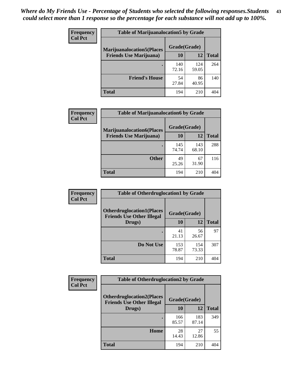| <b>Frequency</b> | <b>Table of Marijuanalocation5 by Grade</b> |              |              |              |
|------------------|---------------------------------------------|--------------|--------------|--------------|
| <b>Col Pct</b>   | <b>Marijuanalocation5(Places</b>            | Grade(Grade) |              |              |
|                  | <b>Friends Use Marijuana</b> )              | 10           | 12           | <b>Total</b> |
|                  |                                             | 140<br>72.16 | 124<br>59.05 | 264          |
|                  | <b>Friend's House</b>                       | 54<br>27.84  | 86<br>40.95  | 140          |
|                  | Total                                       | 194          | 210          | 404          |

| <b>Frequency</b> | <b>Table of Marijuanalocation6 by Grade</b>                        |                    |              |              |
|------------------|--------------------------------------------------------------------|--------------------|--------------|--------------|
| <b>Col Pct</b>   | <b>Marijuanalocation6(Places</b><br><b>Friends Use Marijuana</b> ) | Grade(Grade)<br>10 | 12           | <b>Total</b> |
|                  |                                                                    | 145<br>74.74       | 143<br>68.10 | 288          |
|                  | <b>Other</b>                                                       | 49<br>25.26        | 67<br>31.90  | 116          |
|                  | <b>Total</b>                                                       | 194                | 210          | 404          |

| <b>Frequency</b> | <b>Table of Otherdruglocation1 by Grade</b>                          |              |              |              |
|------------------|----------------------------------------------------------------------|--------------|--------------|--------------|
| <b>Col Pct</b>   | <b>Otherdruglocation1(Places</b><br><b>Friends Use Other Illegal</b> | Grade(Grade) |              |              |
|                  | Drugs)                                                               | 10           | 12           | <b>Total</b> |
|                  |                                                                      | 41<br>21.13  | 56<br>26.67  | 97           |
|                  | Do Not Use                                                           | 153<br>78.87 | 154<br>73.33 | 307          |
|                  | <b>Total</b>                                                         | 194          | 210          | 404          |

| Frequency      | <b>Table of Otherdruglocation2 by Grade</b>                          |              |              |              |
|----------------|----------------------------------------------------------------------|--------------|--------------|--------------|
| <b>Col Pct</b> | <b>Otherdruglocation2(Places</b><br><b>Friends Use Other Illegal</b> | Grade(Grade) |              |              |
|                | Drugs)                                                               | 10           | 12           | <b>Total</b> |
|                |                                                                      | 166<br>85.57 | 183<br>87.14 | 349          |
|                | Home                                                                 | 28<br>14.43  | 27<br>12.86  | 55           |
|                | Total                                                                | 194          | 210          | 404          |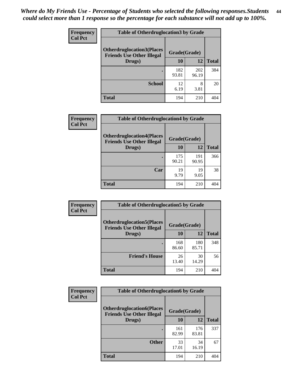| <b>Frequency</b> | <b>Table of Otherdruglocation3 by Grade</b>                          |              |              |              |
|------------------|----------------------------------------------------------------------|--------------|--------------|--------------|
| <b>Col Pct</b>   | <b>Otherdruglocation3(Places</b><br><b>Friends Use Other Illegal</b> | Grade(Grade) |              |              |
|                  | Drugs)                                                               | 10           | 12           | <b>Total</b> |
|                  |                                                                      | 182<br>93.81 | 202<br>96.19 | 384          |
|                  | <b>School</b>                                                        | 12<br>6.19   | 8<br>3.81    | 20           |
|                  | <b>Total</b>                                                         | 194          | 210          |              |

| Frequency      | <b>Table of Otherdruglocation4 by Grade</b>                          |              |              |              |  |
|----------------|----------------------------------------------------------------------|--------------|--------------|--------------|--|
| <b>Col Pct</b> | <b>Otherdruglocation4(Places</b><br><b>Friends Use Other Illegal</b> | Grade(Grade) |              |              |  |
|                | Drugs)                                                               | 10           | 12           | <b>Total</b> |  |
|                |                                                                      | 175<br>90.21 | 191<br>90.95 | 366          |  |
|                | Car                                                                  | 19<br>9.79   | 19<br>9.05   | 38           |  |
|                | <b>Total</b>                                                         | 194          | 210          |              |  |

| <b>Frequency</b> | <b>Table of Otherdruglocation5 by Grade</b>                          |              |              |              |
|------------------|----------------------------------------------------------------------|--------------|--------------|--------------|
| <b>Col Pct</b>   | <b>Otherdruglocation5(Places</b><br><b>Friends Use Other Illegal</b> | Grade(Grade) |              |              |
|                  | Drugs)                                                               | <b>10</b>    | 12           | <b>Total</b> |
|                  |                                                                      | 168<br>86.60 | 180<br>85.71 | 348          |
|                  | <b>Friend's House</b>                                                | 26<br>13.40  | 30<br>14.29  | 56           |
|                  | <b>Total</b>                                                         | 194          | 210          | 404          |

| <b>Frequency</b> | <b>Table of Otherdruglocation6 by Grade</b>                          |              |              |              |
|------------------|----------------------------------------------------------------------|--------------|--------------|--------------|
| <b>Col Pct</b>   | <b>Otherdruglocation6(Places</b><br><b>Friends Use Other Illegal</b> | Grade(Grade) |              |              |
|                  | Drugs)                                                               | 10           | 12           | <b>Total</b> |
|                  |                                                                      | 161<br>82.99 | 176<br>83.81 | 337          |
|                  | <b>Other</b>                                                         | 33<br>17.01  | 34<br>16.19  | 67           |
|                  | <b>Total</b>                                                         | 194          | 210          | 404          |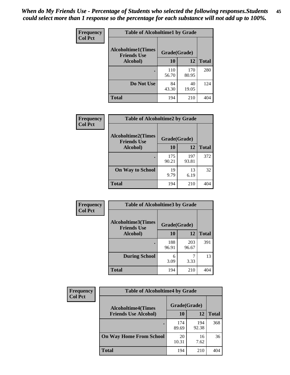| Frequency      | <b>Table of Alcoholtime1 by Grade</b> |                    |              |              |
|----------------|---------------------------------------|--------------------|--------------|--------------|
| <b>Col Pct</b> | <b>Alcoholtime1(Times</b>             | Grade(Grade)       |              |              |
|                | <b>Friends Use</b><br>Alcohol)        |                    | 12           | <b>Total</b> |
|                |                                       | 10<br>110<br>56.70 | 170<br>80.95 | 280          |
|                | Do Not Use                            | 84                 | 40           | 124          |
|                |                                       | 43.30              | 19.05        |              |
|                | <b>Total</b>                          | 194                | 210          | 404          |

| Frequency      | <b>Table of Alcoholtime2 by Grade</b><br><b>Alcoholtime2(Times</b><br>Grade(Grade)<br><b>Friends Use</b> |              |              |              |
|----------------|----------------------------------------------------------------------------------------------------------|--------------|--------------|--------------|
| <b>Col Pct</b> |                                                                                                          |              |              |              |
|                | Alcohol)                                                                                                 | 10           | 12           | <b>Total</b> |
|                |                                                                                                          | 175<br>90.21 | 197<br>93.81 | 372          |
|                | <b>On Way to School</b>                                                                                  | 19<br>9.79   | 13<br>6.19   | 32           |
|                | <b>Total</b>                                                                                             | 194          | 210          | 404          |

| Frequency      | <b>Table of Alcoholtime3 by Grade</b>                           |              |              |              |
|----------------|-----------------------------------------------------------------|--------------|--------------|--------------|
| <b>Col Pct</b> | <b>Alcoholtime3(Times</b><br>Grade(Grade)<br><b>Friends Use</b> |              |              |              |
|                | Alcohol)                                                        | 10           | 12           | <b>Total</b> |
|                |                                                                 | 188<br>96.91 | 203<br>96.67 | 391          |
|                | <b>During School</b>                                            | 6<br>3.09    | 3.33         | 13           |
|                | <b>Total</b>                                                    | 194          | 210          | 404          |

| <b>Frequency</b> | <b>Table of Alcoholtime4 by Grade</b> |              |              |              |  |
|------------------|---------------------------------------|--------------|--------------|--------------|--|
| <b>Col Pct</b>   | <b>Alcoholtime4(Times</b>             | Grade(Grade) |              |              |  |
|                  | <b>Friends Use Alcohol)</b>           | 10           | 12           | <b>Total</b> |  |
|                  | $\bullet$                             | 174<br>89.69 | 194<br>92.38 | 368          |  |
|                  | <b>On Way Home From School</b>        | 20<br>10.31  | 16<br>7.62   | 36           |  |
|                  | <b>Total</b>                          | 194          | 210          | 404          |  |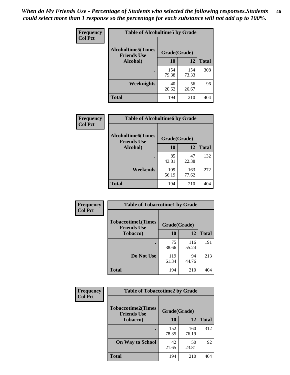*When do My Friends Use - Percentage of Students who selected the following responses.Students could select more than 1 response so the percentage for each substance will not add up to 100%.* **46**

| Frequency      | <b>Table of Alcoholtime5 by Grade</b>            |              |              |              |
|----------------|--------------------------------------------------|--------------|--------------|--------------|
| <b>Col Pct</b> | <b>Alcoholtime5</b> (Times<br><b>Friends Use</b> | Grade(Grade) |              |              |
|                | Alcohol)                                         | 10           | 12           | <b>Total</b> |
|                |                                                  | 154<br>79.38 | 154<br>73.33 | 308          |
|                | Weeknights                                       | 40<br>20.62  | 56<br>26.67  | 96           |
|                | <b>Total</b>                                     | 194          | 210          | 404          |

| Frequency      | <b>Table of Alcoholtime6 by Grade</b>           |              |              |              |
|----------------|-------------------------------------------------|--------------|--------------|--------------|
| <b>Col Pct</b> | <b>Alcoholtime6(Times</b><br><b>Friends Use</b> | Grade(Grade) |              |              |
|                | <b>Alcohol</b> )                                | 10           | 12           | <b>Total</b> |
|                |                                                 | 85<br>43.81  | 47<br>22.38  | 132          |
|                | Weekends                                        | 109<br>56.19 | 163<br>77.62 | 272          |
|                | <b>Total</b>                                    | 194          | 210          | 404          |

| Frequency      | <b>Table of Tobaccotime1 by Grade</b>                           |              |              |              |
|----------------|-----------------------------------------------------------------|--------------|--------------|--------------|
| <b>Col Pct</b> | <b>Tobaccotime1(Times</b><br>Grade(Grade)<br><b>Friends Use</b> |              |              |              |
|                | <b>Tobacco</b> )                                                | 10           | 12           | <b>Total</b> |
|                |                                                                 | 75<br>38.66  | 116<br>55.24 | 191          |
|                | Do Not Use                                                      | 119<br>61.34 | 94<br>44.76  | 213          |
|                | <b>Total</b>                                                    | 194          | 210          | 404          |

| <b>Frequency</b> | <b>Table of Tobaccotime2 by Grade</b>           |              |              |              |  |
|------------------|-------------------------------------------------|--------------|--------------|--------------|--|
| <b>Col Pct</b>   | <b>Tobaccotime2(Times</b><br><b>Friends Use</b> | Grade(Grade) |              |              |  |
|                  | <b>Tobacco</b> )                                | 10           | 12           | <b>Total</b> |  |
|                  |                                                 | 152<br>78.35 | 160<br>76.19 | 312          |  |
|                  | <b>On Way to School</b>                         | 42<br>21.65  | 50<br>23.81  | 92           |  |
|                  | <b>Total</b>                                    | 194          | 210          | 404          |  |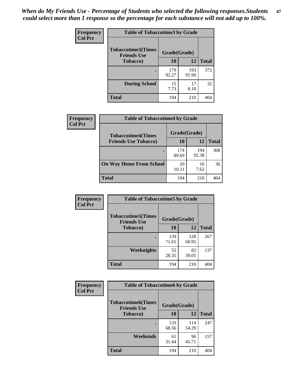*When do My Friends Use - Percentage of Students who selected the following responses.Students could select more than 1 response so the percentage for each substance will not add up to 100%.* **47**

| <b>Frequency</b> | <b>Table of Tobaccotime3 by Grade</b>           |              |              |              |  |
|------------------|-------------------------------------------------|--------------|--------------|--------------|--|
| <b>Col Pct</b>   | <b>Tobaccotime3(Times</b><br><b>Friends Use</b> | Grade(Grade) |              |              |  |
|                  | <b>Tobacco</b> )                                | 10           | 12           | <b>Total</b> |  |
|                  |                                                 | 179<br>92.27 | 193<br>91.90 | 372          |  |
|                  | <b>During School</b>                            | 15<br>7.73   | 17<br>8.10   | 32           |  |
|                  | <b>Total</b>                                    | 194          | 210          | 404          |  |

| <b>Frequency</b> | <b>Table of Tobaccotime4 by Grade</b> |              |              |              |
|------------------|---------------------------------------|--------------|--------------|--------------|
| <b>Col Pct</b>   | <b>Tobaccotime4(Times</b>             | Grade(Grade) |              |              |
|                  | <b>Friends Use Tobacco)</b>           | 10           | 12           | <b>Total</b> |
|                  |                                       | 174<br>89.69 | 194<br>92.38 | 368          |
|                  | <b>On Way Home From School</b>        | 20<br>10.31  | 16<br>7.62   | 36           |
|                  | <b>Total</b>                          | 194          | 210          | 404          |

| <b>Frequency</b> | <b>Table of Tobaccotime5 by Grade</b>           |              |              |              |
|------------------|-------------------------------------------------|--------------|--------------|--------------|
| <b>Col Pct</b>   | <b>Tobaccotime5(Times</b><br><b>Friends Use</b> | Grade(Grade) |              |              |
|                  | <b>Tobacco</b> )                                | 10           | 12           | <b>Total</b> |
|                  |                                                 | 139<br>71.65 | 128<br>60.95 | 267          |
|                  | Weeknights                                      | 55<br>28.35  | 82<br>39.05  | 137          |
|                  | <b>Total</b>                                    | 194          | 210          | 404          |

| Frequency      | <b>Table of Tobaccotime6 by Grade</b>                           |              |              |              |
|----------------|-----------------------------------------------------------------|--------------|--------------|--------------|
| <b>Col Pct</b> | <b>Tobaccotime6(Times</b><br>Grade(Grade)<br><b>Friends Use</b> |              |              |              |
|                | <b>Tobacco</b> )                                                | 10           | 12           | <b>Total</b> |
|                |                                                                 | 133<br>68.56 | 114<br>54.29 | 247          |
|                | Weekends                                                        | 61<br>31.44  | 96<br>45.71  | 157          |
|                | <b>Total</b>                                                    | 194          | 210          | 404          |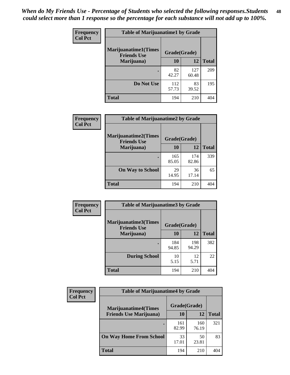| Frequency      | <b>Table of Marijuanatime1 by Grade</b>           |              |              |              |
|----------------|---------------------------------------------------|--------------|--------------|--------------|
| <b>Col Pct</b> | <b>Marijuanatime1(Times</b><br><b>Friends Use</b> | Grade(Grade) |              |              |
|                | Marijuana)                                        | 10           | 12           | <b>Total</b> |
|                |                                                   | 82<br>42.27  | 127<br>60.48 | 209          |
|                | Do Not Use                                        | 112<br>57.73 | 83<br>39.52  | 195          |
|                | <b>Total</b>                                      | 194          | 210          | 404          |

| <b>Frequency</b> | <b>Table of Marijuanatime2 by Grade</b>           |              |              |              |
|------------------|---------------------------------------------------|--------------|--------------|--------------|
| <b>Col Pct</b>   | <b>Marijuanatime2(Times</b><br><b>Friends Use</b> | Grade(Grade) |              |              |
|                  | Marijuana)                                        | 10           | 12           | <b>Total</b> |
|                  |                                                   | 165<br>85.05 | 174<br>82.86 | 339          |
|                  | <b>On Way to School</b>                           | 29<br>14.95  | 36<br>17.14  | 65           |
|                  | <b>Total</b>                                      | 194          | 210          | 404          |

| Frequency      | <b>Table of Marijuanatime3 by Grade</b>    |              |              |              |
|----------------|--------------------------------------------|--------------|--------------|--------------|
| <b>Col Pct</b> | Marijuanatime3(Times<br><b>Friends Use</b> | Grade(Grade) |              |              |
|                | Marijuana)                                 | 10           | 12           | <b>Total</b> |
|                |                                            | 184<br>94.85 | 198<br>94.29 | 382          |
|                | <b>During School</b>                       | 10<br>5.15   | 12<br>5.71   | 22           |
|                | Total                                      | 194          | 210          | 404          |

| <b>Frequency</b> | <b>Table of Marijuanatime4 by Grade</b> |              |              |              |
|------------------|-----------------------------------------|--------------|--------------|--------------|
| <b>Col Pct</b>   | <b>Marijuanatime4</b> (Times            | Grade(Grade) |              |              |
|                  | <b>Friends Use Marijuana</b> )          | 10           | 12           | <b>Total</b> |
|                  |                                         | 161<br>82.99 | 160<br>76.19 | 321          |
|                  | <b>On Way Home From School</b>          | 33<br>17.01  | 50<br>23.81  | 83           |
|                  | <b>Total</b>                            | 194          | 210          | 404          |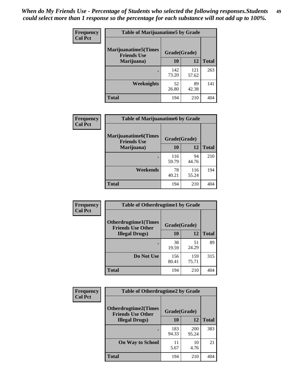| Frequency      | <b>Table of Marijuanatime5 by Grade</b>            |              |              |              |
|----------------|----------------------------------------------------|--------------|--------------|--------------|
| <b>Col Pct</b> | <b>Marijuanatime5</b> (Times<br><b>Friends Use</b> | Grade(Grade) |              |              |
|                | Marijuana)                                         | 10           | 12           | <b>Total</b> |
|                |                                                    | 142<br>73.20 | 121<br>57.62 | 263          |
|                | Weeknights                                         | 52<br>26.80  | 89<br>42.38  | 141          |
|                | <b>Total</b>                                       | 194          | 210          | 404          |

| Frequency      | <b>Table of Marijuanatime6 by Grade</b>    |              |              |              |
|----------------|--------------------------------------------|--------------|--------------|--------------|
| <b>Col Pct</b> | Marijuanatime6(Times<br><b>Friends Use</b> | Grade(Grade) |              |              |
|                | Marijuana)                                 | 10           | 12           | <b>Total</b> |
|                |                                            | 116<br>59.79 | 94<br>44.76  | 210          |
|                | Weekends                                   | 78<br>40.21  | 116<br>55.24 | 194          |
|                | <b>Total</b>                               | 194          | 210          | 404          |

| Frequency      | <b>Table of Otherdrugtime1 by Grade</b>                 |              |              |              |
|----------------|---------------------------------------------------------|--------------|--------------|--------------|
| <b>Col Pct</b> | <b>Otherdrugtime1(Times</b><br><b>Friends Use Other</b> | Grade(Grade) |              |              |
|                | <b>Illegal Drugs</b> )                                  | 10           | 12           | <b>Total</b> |
|                |                                                         | 38<br>19.59  | 51<br>24.29  | 89           |
|                | Do Not Use                                              | 156<br>80.41 | 159<br>75.71 | 315          |
|                | Total                                                   | 194          | 210          | 404          |

| Frequency      | <b>Table of Otherdrugtime2 by Grade</b>                 |              |              |              |  |  |
|----------------|---------------------------------------------------------|--------------|--------------|--------------|--|--|
| <b>Col Pct</b> | <b>Otherdrugtime2(Times</b><br><b>Friends Use Other</b> | Grade(Grade) |              |              |  |  |
|                | <b>Illegal Drugs</b> )                                  | 10           | 12           | <b>Total</b> |  |  |
|                |                                                         | 183<br>94.33 | 200<br>95.24 | 383          |  |  |
|                | <b>On Way to School</b>                                 | 11<br>5.67   | 10<br>4.76   | 21           |  |  |
|                | Total                                                   | 194          | 210          | 404          |  |  |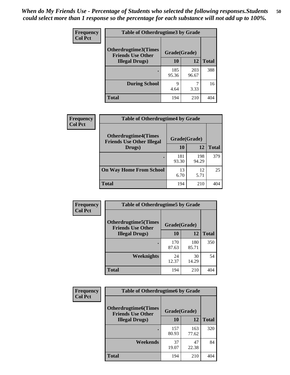| <b>Frequency</b> | <b>Table of Otherdrugtime3 by Grade</b>                 |              |              |              |  |  |
|------------------|---------------------------------------------------------|--------------|--------------|--------------|--|--|
| <b>Col Pct</b>   | <b>Otherdrugtime3(Times</b><br><b>Friends Use Other</b> | Grade(Grade) |              |              |  |  |
|                  | <b>Illegal Drugs</b> )                                  | 10           | 12           | <b>Total</b> |  |  |
|                  |                                                         | 185<br>95.36 | 203<br>96.67 | 388          |  |  |
|                  | <b>During School</b>                                    | 9<br>4.64    | ℸ<br>3.33    | 16           |  |  |
|                  | Total                                                   | 194          | 210          | 404          |  |  |

| Frequency<br><b>Col Pct</b> | <b>Table of Otherdrugtime4 by Grade</b>                         |              |              |              |  |  |
|-----------------------------|-----------------------------------------------------------------|--------------|--------------|--------------|--|--|
|                             | <b>Otherdrugtime4(Times</b><br><b>Friends Use Other Illegal</b> | Grade(Grade) |              |              |  |  |
|                             | Drugs)                                                          | 10           | 12           | <b>Total</b> |  |  |
|                             | ٠                                                               | 181<br>93.30 | 198<br>94.29 | 379          |  |  |
|                             | <b>On Way Home From School</b>                                  | 13<br>6.70   | 12<br>5.71   | 25           |  |  |
|                             | Total                                                           | 194          | 210          |              |  |  |

| <b>Frequency</b> | <b>Table of Otherdrugtime5 by Grade</b>                  |              |              |              |  |  |  |
|------------------|----------------------------------------------------------|--------------|--------------|--------------|--|--|--|
| <b>Col Pct</b>   | <b>Otherdrugtime5</b> (Times<br><b>Friends Use Other</b> | Grade(Grade) |              |              |  |  |  |
|                  | <b>Illegal Drugs</b> )                                   | 10           | 12           | <b>Total</b> |  |  |  |
|                  |                                                          | 170<br>87.63 | 180<br>85.71 | 350          |  |  |  |
|                  | Weeknights                                               | 24<br>12.37  | 30<br>14.29  | 54           |  |  |  |
|                  | Total                                                    | 194          | 210          | 404          |  |  |  |

| <b>Frequency</b> | <b>Table of Otherdrugtime6 by Grade</b>                 |              |              |              |  |  |
|------------------|---------------------------------------------------------|--------------|--------------|--------------|--|--|
| <b>Col Pct</b>   | <b>Otherdrugtime6(Times</b><br><b>Friends Use Other</b> | Grade(Grade) |              |              |  |  |
|                  | <b>Illegal Drugs)</b>                                   | 10           | 12           | <b>Total</b> |  |  |
|                  |                                                         | 157<br>80.93 | 163<br>77.62 | 320          |  |  |
|                  | Weekends                                                | 37<br>19.07  | 47<br>22.38  | 84           |  |  |
|                  | <b>Total</b>                                            | 194          | 210          | 404          |  |  |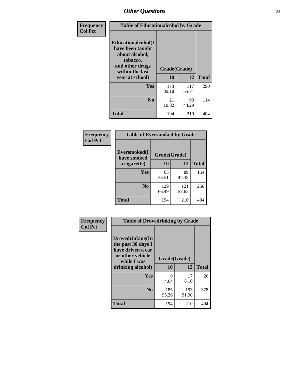| Frequency      | <b>Table of Educationalcohol by Grade</b>                                                                  |              |              |              |  |  |
|----------------|------------------------------------------------------------------------------------------------------------|--------------|--------------|--------------|--|--|
| <b>Col Pct</b> | Educationalcohol(I<br>have been taught<br>about alcohol,<br>tobacco,<br>and other drugs<br>within the last | Grade(Grade) |              |              |  |  |
|                | year at school)                                                                                            | 10           | 12           | <b>Total</b> |  |  |
|                | Yes                                                                                                        | 173<br>89.18 | 117<br>55.71 | 290          |  |  |
|                | N <sub>0</sub>                                                                                             | 21<br>10.82  | 93<br>44.29  | 114          |  |  |
|                | <b>Total</b>                                                                                               | 194          | 210          | 404          |  |  |

| Frequency      | <b>Table of Eversmoked by Grade</b> |              |              |              |  |  |  |
|----------------|-------------------------------------|--------------|--------------|--------------|--|--|--|
| <b>Col Pct</b> | Eversmoked(I<br>have smoked         | Grade(Grade) |              |              |  |  |  |
|                | a cigarette)                        | 10           | 12           | <b>Total</b> |  |  |  |
|                | Yes                                 | 65<br>33.51  | 89<br>42.38  | 154          |  |  |  |
|                | N <sub>0</sub>                      | 129<br>66.49 | 121<br>57.62 | 250          |  |  |  |
|                | <b>Total</b>                        | 194          | 210          | 404          |  |  |  |

| Frequency<br><b>Col Pct</b> | <b>Table of Drovedrinking by Grade</b>                                                                              |                    |              |              |
|-----------------------------|---------------------------------------------------------------------------------------------------------------------|--------------------|--------------|--------------|
|                             | Drovedrinking(In<br>the past 30 days I<br>have driven a car<br>or other vehicle<br>while I was<br>drinking alcohol) | Grade(Grade)<br>10 | 12           | <b>Total</b> |
|                             | <b>Yes</b>                                                                                                          | 9<br>4.64          | 17<br>8.10   | 26           |
|                             | N <sub>0</sub>                                                                                                      | 185<br>95.36       | 193<br>91.90 | 378          |
|                             | <b>Total</b>                                                                                                        | 194                | 210          | 404          |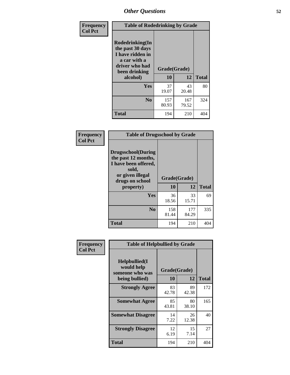| Frequency<br><b>Col Pct</b> | <b>Table of Rodedrinking by Grade</b>                                                                                                              |              |              |              |  |  |
|-----------------------------|----------------------------------------------------------------------------------------------------------------------------------------------------|--------------|--------------|--------------|--|--|
|                             | Rodedrinking(In<br>the past 30 days<br>I have ridden in<br>a car with a<br>driver who had<br>Grade(Grade)<br>been drinking<br>10<br>12<br>alcohol) |              |              |              |  |  |
|                             |                                                                                                                                                    |              |              | <b>Total</b> |  |  |
|                             | Yes                                                                                                                                                | 37<br>19.07  | 43<br>20.48  | 80           |  |  |
|                             | N <sub>0</sub>                                                                                                                                     | 157<br>80.93 | 167<br>79.52 | 324          |  |  |
|                             | <b>Total</b>                                                                                                                                       | 194          | 210          | 404          |  |  |

#### **Frequency Col Pct**

| <b>Table of Drugsschool by Grade</b>                                                                                      |              |              |              |  |  |  |  |
|---------------------------------------------------------------------------------------------------------------------------|--------------|--------------|--------------|--|--|--|--|
| <b>Drugsschool</b> (During<br>the past 12 months,<br>I have been offered,<br>sold,<br>or given illegal<br>drugs on school | Grade(Grade) |              |              |  |  |  |  |
| property)                                                                                                                 | 10           | 12           | <b>Total</b> |  |  |  |  |
| Yes                                                                                                                       | 36<br>18.56  | 33<br>15.71  | 69           |  |  |  |  |
| $\bf No$                                                                                                                  | 158<br>81.44 | 177<br>84.29 | 335          |  |  |  |  |
| <b>Total</b>                                                                                                              | 194          | 210          |              |  |  |  |  |

| Frequency      | <b>Table of Helpbullied by Grade</b>           |              |             |              |  |  |  |
|----------------|------------------------------------------------|--------------|-------------|--------------|--|--|--|
| <b>Col Pct</b> | Helpbullied(I<br>would help<br>someone who was | Grade(Grade) |             |              |  |  |  |
|                | being bullied)                                 | <b>10</b>    | 12          | <b>Total</b> |  |  |  |
|                | <b>Strongly Agree</b>                          | 83<br>42.78  | 89<br>42.38 | 172          |  |  |  |
|                | <b>Somewhat Agree</b>                          | 85<br>43.81  | 80<br>38.10 | 165          |  |  |  |
|                | <b>Somewhat Disagree</b>                       | 14<br>7.22   | 26<br>12.38 | 40           |  |  |  |
|                | <b>Strongly Disagree</b>                       | 12<br>6.19   | 15<br>7.14  | 27           |  |  |  |
|                | <b>Total</b>                                   | 194          | 210         | 404          |  |  |  |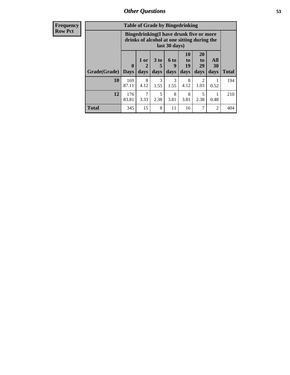| <b>Frequency</b> | <b>Table of Grade by Bingedrinking</b> |                                                                                                         |                     |                              |                     |                                  |                                     |                   |              |
|------------------|----------------------------------------|---------------------------------------------------------------------------------------------------------|---------------------|------------------------------|---------------------|----------------------------------|-------------------------------------|-------------------|--------------|
| <b>Row Pct</b>   |                                        | Bingedrinking(I have drunk five or more<br>drinks of alcohol at one sitting during the<br>last 30 days) |                     |                              |                     |                                  |                                     |                   |              |
|                  | Grade(Grade)                           | $\mathbf{0}$<br><b>Days</b>                                                                             | $1$ or<br>2<br>days | 3 <sub>to</sub><br>5<br>days | $6$ to<br>9<br>days | 10<br>$\mathbf{t}$<br>19<br>days | <b>20</b><br>to<br>29<br>days       | All<br>30<br>days | <b>Total</b> |
|                  | <b>10</b>                              | 169<br>87.11                                                                                            | 8<br>4.12           | 3<br>1.55                    | 3<br>1.55           | 8<br>4.12                        | $\mathcal{D}_{\mathcal{L}}$<br>1.03 | 0.52              | 194          |
|                  | 12                                     | 176<br>83.81                                                                                            | 7<br>3.33           | 5<br>2.38                    | 8<br>3.81           | 8<br>3.81                        | 5<br>2.38                           | 0.48              | 210          |
|                  | Total                                  | 345                                                                                                     | 15                  | 8                            | 11                  | 16                               | 7                                   | $\overline{2}$    | 404          |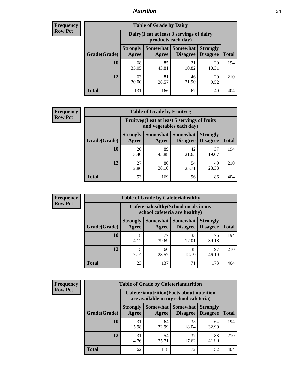### *Nutrition* **54**

| <b>Frequency</b><br>Row Pct |  |
|-----------------------------|--|
|                             |  |

| <b>Table of Grade by Dairy</b> |                          |                                                                 |                                    |                                    |              |  |
|--------------------------------|--------------------------|-----------------------------------------------------------------|------------------------------------|------------------------------------|--------------|--|
|                                |                          | Dairy (I eat at least 3 servings of dairy<br>products each day) |                                    |                                    |              |  |
| Grade(Grade)                   | <b>Strongly</b><br>Agree | Somewhat<br>Agree                                               | <b>Somewhat</b><br><b>Disagree</b> | <b>Strongly</b><br><b>Disagree</b> | <b>Total</b> |  |
| 10                             | 68<br>35.05              | 85<br>43.81                                                     | 21<br>10.82                        | 20<br>10.31                        | 194          |  |
| 12                             | 63<br>30.00              | 81<br>38.57                                                     | 46<br>21.90                        | 20<br>9.52                         | 210          |  |
| <b>Total</b>                   | 131                      | 166                                                             | 67                                 | 40                                 | 404          |  |

| <b>Frequency</b> |  |
|------------------|--|
| <b>Row Pct</b>   |  |

| <b>Table of Grade by Fruitveg</b> |                          |                                                                          |                                      |                                    |              |
|-----------------------------------|--------------------------|--------------------------------------------------------------------------|--------------------------------------|------------------------------------|--------------|
|                                   |                          | Fruitveg(I eat at least 5 servings of fruits<br>and vegetables each day) |                                      |                                    |              |
| Grade(Grade)                      | <b>Strongly</b><br>Agree | Agree                                                                    | <b>Somewhat</b> Somewhat<br>Disagree | <b>Strongly</b><br><b>Disagree</b> | <b>Total</b> |
| 10                                | 26<br>13.40              | 89<br>45.88                                                              | 42<br>21.65                          | 37<br>19.07                        | 194          |
| 12                                | 27<br>12.86              | 80<br>38.10                                                              | 54<br>25.71                          | 49<br>23.33                        | 210          |
| <b>Total</b>                      | 53                       | 169                                                                      | 96                                   | 86                                 | 404          |

| <b>Frequency</b> |              | <b>Table of Grade by Cafeteriahealthy</b> |                                                                       |                                      |                                    |              |
|------------------|--------------|-------------------------------------------|-----------------------------------------------------------------------|--------------------------------------|------------------------------------|--------------|
| <b>Row Pct</b>   |              |                                           | Cafeteriahealthy (School meals in my<br>school cafeteria are healthy) |                                      |                                    |              |
|                  | Grade(Grade) | <b>Strongly</b><br>Agree                  | Agree                                                                 | Somewhat Somewhat<br><b>Disagree</b> | <b>Strongly</b><br><b>Disagree</b> | <b>Total</b> |
|                  | 10           | 8<br>4.12                                 | 77<br>39.69                                                           | 33<br>17.01                          | 76<br>39.18                        | 194          |
|                  | 12           | 15<br>7.14                                | 60<br>28.57                                                           | 38<br>18.10                          | 97<br>46.19                        | 210          |
|                  | Total        | 23                                        | 137                                                                   | 71                                   | 173                                | 404          |

| <b>Frequency</b> |
|------------------|
| <b>Row Pct</b>   |

| <b>Table of Grade by Cafeterianutrition</b> |                          |                                                                                           |                                        |                                    |              |  |
|---------------------------------------------|--------------------------|-------------------------------------------------------------------------------------------|----------------------------------------|------------------------------------|--------------|--|
|                                             |                          | <b>Cafeterianutrition</b> (Facts about nutrition<br>are available in my school cafeteria) |                                        |                                    |              |  |
| Grade(Grade)                                | <b>Strongly</b><br>Agree | Agree                                                                                     | Somewhat   Somewhat<br><b>Disagree</b> | <b>Strongly</b><br><b>Disagree</b> | <b>Total</b> |  |
| 10                                          | 31<br>15.98              | 64<br>32.99                                                                               | 35<br>18.04                            | 64<br>32.99                        | 194          |  |
| 12                                          | 31<br>14.76              | 54<br>25.71                                                                               | 37<br>17.62                            | 88<br>41.90                        | 210          |  |
| <b>Total</b>                                | 62                       | 118                                                                                       | 72                                     | 152                                | 404          |  |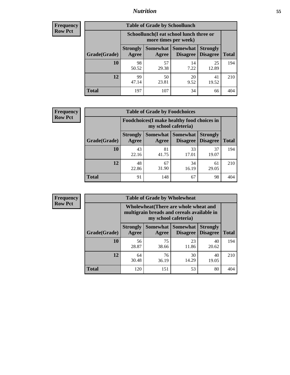### *Nutrition* **55**

| Frequency      |
|----------------|
| <b>Row Pct</b> |

| <b>Table of Grade by Schoollunch</b> |                          |                                                                 |                             |                                    |       |  |
|--------------------------------------|--------------------------|-----------------------------------------------------------------|-----------------------------|------------------------------------|-------|--|
|                                      |                          | Schoollunch(I eat school lunch three or<br>more times per week) |                             |                                    |       |  |
| Grade(Grade)                         | <b>Strongly</b><br>Agree | Somewhat  <br>Agree                                             | <b>Somewhat</b><br>Disagree | <b>Strongly</b><br><b>Disagree</b> | Total |  |
| 10                                   | 98<br>50.52              | 57<br>29.38                                                     | 14<br>7.22                  | 25<br>12.89                        | 194   |  |
| 12                                   | 99<br>47.14              | 50<br>23.81                                                     | 20<br>9.52                  | 41<br>19.52                        | 210   |  |
| <b>Total</b>                         | 197                      | 107                                                             | 34                          | 66                                 | 404   |  |

| <b>Frequency</b> |  |
|------------------|--|
| <b>Row Pct</b>   |  |

| <b>Table of Grade by Foodchoices</b> |                          |                                                                     |                     |                                        |              |  |
|--------------------------------------|--------------------------|---------------------------------------------------------------------|---------------------|----------------------------------------|--------------|--|
|                                      |                          | Foodchoices (I make healthy food choices in<br>my school cafeteria) |                     |                                        |              |  |
| Grade(Grade)                         | <b>Strongly</b><br>Agree | Agree                                                               | Somewhat   Somewhat | <b>Strongly</b><br>Disagree   Disagree | <b>Total</b> |  |
| 10                                   | 43<br>22.16              | 81<br>41.75                                                         | 33<br>17.01         | 37<br>19.07                            | 194          |  |
| 12                                   | 48<br>22.86              | 67<br>31.90                                                         | 34<br>16.19         | 61<br>29.05                            | 210          |  |
| <b>Total</b>                         | 91                       | 148                                                                 | 67                  | 98                                     |              |  |

| <b>Frequency</b> |
|------------------|
| <b>Row Pct</b>   |

| $\overline{z}$ | <b>Table of Grade by Wholewheat</b> |                                                                                                             |             |                                        |                                    |              |
|----------------|-------------------------------------|-------------------------------------------------------------------------------------------------------------|-------------|----------------------------------------|------------------------------------|--------------|
|                |                                     | Wholewheat (There are whole wheat and<br>multigrain breads and cereals available in<br>my school cafeteria) |             |                                        |                                    |              |
|                | Grade(Grade)                        | <b>Strongly</b><br>Agree                                                                                    | Agree       | Somewhat   Somewhat<br><b>Disagree</b> | <b>Strongly</b><br><b>Disagree</b> | <b>Total</b> |
|                | 10                                  | 56<br>28.87                                                                                                 | 75<br>38.66 | 23<br>11.86                            | 40<br>20.62                        | 194          |
|                | 12                                  | 64<br>30.48                                                                                                 | 76<br>36.19 | 30<br>14.29                            | 40<br>19.05                        | 210          |
|                | <b>Total</b>                        | 120                                                                                                         | 151         | 53                                     | 80                                 | 404          |

Ē,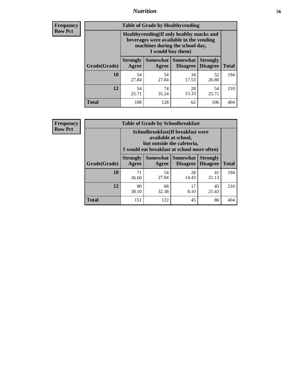### *Nutrition* **56**

**Frequency Row Pct**

| <b>Table of Grade by Healthyvending</b> |                                                                                                                                               |                          |                                    |                                    |              |  |  |
|-----------------------------------------|-----------------------------------------------------------------------------------------------------------------------------------------------|--------------------------|------------------------------------|------------------------------------|--------------|--|--|
|                                         | Healthyvending (If only healthy snacks and<br>beverages were available in the vending<br>machines during the school day,<br>I would buy them) |                          |                                    |                                    |              |  |  |
| Grade(Grade)                            | <b>Strongly</b><br>Agree                                                                                                                      | <b>Somewhat</b><br>Agree | <b>Somewhat</b><br><b>Disagree</b> | <b>Strongly</b><br><b>Disagree</b> | <b>Total</b> |  |  |
| 10                                      | 54<br>27.84                                                                                                                                   | 54<br>27.84              | 34<br>17.53                        | 52<br>26.80                        | 194          |  |  |
| 12                                      | 54<br>25.71                                                                                                                                   | 74<br>35.24              | 28<br>13.33                        | 54<br>25.71                        | 210          |  |  |
| Total                                   | 108                                                                                                                                           | 128                      | 62                                 | 106                                | 404          |  |  |

**Frequency Row Pct**

| <b>Table of Grade by Schoolbreakfast</b> |                                                                                                                                         |             |                                      |                                    |              |  |
|------------------------------------------|-----------------------------------------------------------------------------------------------------------------------------------------|-------------|--------------------------------------|------------------------------------|--------------|--|
|                                          | Schoolbreakfast (If breakfast were<br>available at school,<br>but outside the cafeteria,<br>I would eat breakfast at school more often) |             |                                      |                                    |              |  |
| Grade(Grade)                             | <b>Strongly</b><br>Agree                                                                                                                | Agree       | Somewhat Somewhat<br><b>Disagree</b> | <b>Strongly</b><br><b>Disagree</b> | <b>Total</b> |  |
| 10                                       | 71<br>36.60                                                                                                                             | 54<br>27.84 | 28<br>14.43                          | 41<br>21.13                        | 194          |  |
| 12                                       | 80<br>38.10                                                                                                                             | 68<br>32.38 | 17<br>8.10                           | 45<br>21.43                        | 210          |  |
| <b>Total</b>                             | 151                                                                                                                                     | 122         | 45                                   | 86                                 | 404          |  |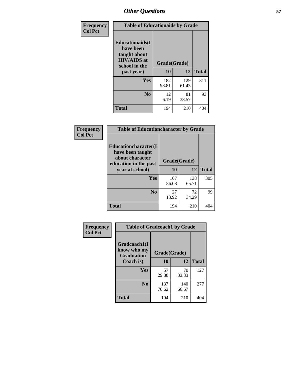| Frequency<br><b>Col Pct</b> | <b>Table of Educationaids by Grade</b>                                                                    |                    |              |              |
|-----------------------------|-----------------------------------------------------------------------------------------------------------|--------------------|--------------|--------------|
|                             | <b>Educationaids</b> (I<br>have been<br>taught about<br><b>HIV/AIDS</b> at<br>school in the<br>past year) | Grade(Grade)<br>10 | 12           | <b>Total</b> |
|                             | Yes                                                                                                       | 182<br>93.81       | 129<br>61.43 | 311          |
|                             | N <sub>0</sub>                                                                                            | 12<br>6.19         | 81<br>38.57  | 93           |
|                             | <b>Total</b>                                                                                              | 194                | 210          | 404          |

| Frequency      | <b>Table of Educationcharacter by Grade</b>                 |              |       |              |  |
|----------------|-------------------------------------------------------------|--------------|-------|--------------|--|
| <b>Col Pct</b> | Educationcharacter(I<br>have been taught<br>about character |              |       |              |  |
|                | education in the past                                       | Grade(Grade) |       |              |  |
|                | year at school)                                             | 10           | 12    | <b>Total</b> |  |
|                | Yes                                                         | 167          | 138   | 305          |  |
|                |                                                             | 86.08        | 65.71 |              |  |
|                | N <sub>0</sub>                                              | 27           | 72    | 99           |  |
|                |                                                             | 13.92        | 34.29 |              |  |
|                | <b>Total</b>                                                | 194          | 210   | 404          |  |

| Frequency      | <b>Table of Gradcoach1 by Grade</b>              |              |              |              |
|----------------|--------------------------------------------------|--------------|--------------|--------------|
| <b>Col Pct</b> | Gradcoach1(I<br>know who my<br><b>Graduation</b> | Grade(Grade) |              |              |
|                | Coach is)                                        | 10           | 12           | <b>Total</b> |
|                | Yes                                              | 57<br>29.38  | 70<br>33.33  | 127          |
|                | N <sub>0</sub>                                   | 137<br>70.62 | 140<br>66.67 | 277          |
|                | <b>Total</b>                                     | 194          | 210          | 404          |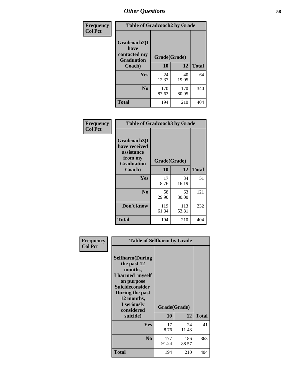| Frequency      | <b>Table of Gradcoach2 by Grade</b> |              |              |              |
|----------------|-------------------------------------|--------------|--------------|--------------|
| <b>Col Pct</b> | Gradcoach2(I<br>have                |              |              |              |
|                | contacted my<br><b>Graduation</b>   | Grade(Grade) |              |              |
|                | Coach)                              | 10           | 12           | <b>Total</b> |
|                | Yes                                 | 24<br>12.37  | 40<br>19.05  | 64           |
|                | N <sub>0</sub>                      | 170<br>87.63 | 170<br>80.95 | 340          |
|                | <b>Total</b>                        | 194          | 210          | 404          |

| Frequency<br><b>Col Pct</b> | <b>Table of Gradcoach3 by Grade</b>                                         |              |              |              |
|-----------------------------|-----------------------------------------------------------------------------|--------------|--------------|--------------|
|                             | Gradcoach3(I<br>have received<br>assistance<br>from my<br><b>Graduation</b> | Grade(Grade) |              |              |
|                             | Coach)                                                                      | 10           | 12           | <b>Total</b> |
|                             | Yes                                                                         | 17<br>8.76   | 34<br>16.19  | 51           |
|                             | N <sub>0</sub>                                                              | 58<br>29.90  | 63<br>30.00  | 121          |
|                             | Don't know                                                                  | 119<br>61.34 | 113<br>53.81 | 232          |
|                             | <b>Total</b>                                                                | 194          | 210          | 404          |

| Frequency      | <b>Table of Selfharm by Grade</b>                                                                                                                                                      |                    |              |              |
|----------------|----------------------------------------------------------------------------------------------------------------------------------------------------------------------------------------|--------------------|--------------|--------------|
| <b>Col Pct</b> | <b>Selfharm</b> (During<br>the past 12<br>months,<br>I harmed myself<br>on purpose<br><b>Suicideconsider</b><br>During the past<br>12 months,<br>I seriously<br>considered<br>suicide) | Grade(Grade)<br>10 | 12           | <b>Total</b> |
|                | <b>Yes</b>                                                                                                                                                                             | 17<br>8.76         | 24<br>11.43  | 41           |
|                | N <sub>0</sub>                                                                                                                                                                         | 177<br>91.24       | 186<br>88.57 | 363          |
|                | <b>Total</b>                                                                                                                                                                           | 194                | 210          | 404          |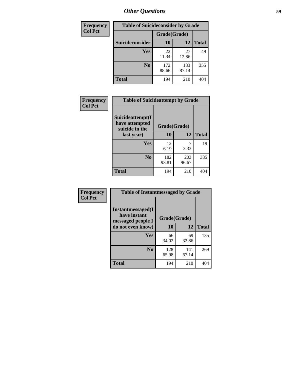| <b>Frequency</b> | <b>Table of Suicideconsider by Grade</b> |              |              |              |
|------------------|------------------------------------------|--------------|--------------|--------------|
| <b>Col Pct</b>   |                                          | Grade(Grade) |              |              |
|                  | Suicideconsider                          | <b>10</b>    | 12           | <b>Total</b> |
|                  | Yes                                      | 22<br>11.34  | 27<br>12.86  | 49           |
|                  | N <sub>0</sub>                           | 172<br>88.66 | 183<br>87.14 | 355          |
|                  | <b>Total</b>                             | 194          | 210          | 404          |

| Frequency      | <b>Table of Suicideattempt by Grade</b>              |              |              |              |
|----------------|------------------------------------------------------|--------------|--------------|--------------|
| <b>Col Pct</b> | Suicideattempt(I<br>have attempted<br>suicide in the | Grade(Grade) |              |              |
|                | last year)                                           | 10           | 12           | <b>Total</b> |
|                | Yes                                                  | 12<br>6.19   | 3.33         | 19           |
|                | $\bf No$                                             | 182<br>93.81 | 203<br>96.67 | 385          |
|                | <b>Total</b>                                         | 194          | 210          | 404          |

| Frequency      | <b>Table of Instantmessaged by Grade</b>               |              |              |              |
|----------------|--------------------------------------------------------|--------------|--------------|--------------|
| <b>Col Pct</b> | Instantmessaged(I<br>have instant<br>messaged people I | Grade(Grade) |              |              |
|                | do not even know)                                      | 10           | 12           | <b>Total</b> |
|                | Yes                                                    | 66<br>34.02  | 69<br>32.86  | 135          |
|                | N <sub>0</sub>                                         | 128<br>65.98 | 141<br>67.14 | 269          |
|                | <b>Total</b>                                           | 194          | 210          | 404          |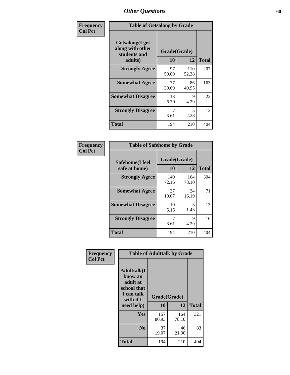| Frequency      | <b>Table of Getsalong by Grade</b>                          |              |              |              |  |  |  |
|----------------|-------------------------------------------------------------|--------------|--------------|--------------|--|--|--|
| <b>Col Pct</b> | <b>Getsalong</b> (I get<br>along with other<br>students and | Grade(Grade) |              |              |  |  |  |
|                | adults)                                                     | 10           | 12           | <b>Total</b> |  |  |  |
|                | <b>Strongly Agree</b>                                       | 97<br>50.00  | 110<br>52.38 | 207          |  |  |  |
|                | <b>Somewhat Agree</b>                                       | 77<br>39.69  | 86<br>40.95  | 163          |  |  |  |
|                | <b>Somewhat Disagree</b>                                    | 13<br>6.70   | 9<br>4.29    | 22           |  |  |  |
|                | <b>Strongly Disagree</b>                                    | 7<br>3.61    | 5<br>2.38    | 12           |  |  |  |
|                | <b>Total</b>                                                | 194          | 210          | 404          |  |  |  |

| Frequency      | <b>Table of Safehome by Grade</b> |                    |              |              |  |  |  |
|----------------|-----------------------------------|--------------------|--------------|--------------|--|--|--|
| <b>Col Pct</b> | Safehome(I feel<br>safe at home)  | Grade(Grade)<br>10 | 12           | <b>Total</b> |  |  |  |
|                | <b>Strongly Agree</b>             | 140<br>72.16       | 164<br>78.10 | 304          |  |  |  |
|                | <b>Somewhat Agree</b>             | 37<br>19.07        | 34<br>16.19  | 71           |  |  |  |
|                | <b>Somewhat Disagree</b>          | 10<br>5.15         | 3<br>1.43    | 13           |  |  |  |
|                | <b>Strongly Disagree</b>          | 7<br>3.61          | 9<br>4.29    | 16           |  |  |  |
|                | <b>Total</b>                      | 194                | 210          | 404          |  |  |  |

| Frequency<br><b>Col Pct</b> |                                                                                                    | <b>Table of Adulttalk by Grade</b> |              |              |
|-----------------------------|----------------------------------------------------------------------------------------------------|------------------------------------|--------------|--------------|
|                             | <b>Adulttalk</b> (I<br>know an<br>adult at<br>school that<br>I can talk<br>with if I<br>need help) | Grade(Grade)<br>10                 | 12           | <b>Total</b> |
|                             | <b>Yes</b>                                                                                         | 157<br>80.93                       | 164<br>78.10 | 321          |
|                             | N <sub>0</sub>                                                                                     | 37<br>19.07                        | 46<br>21.90  | 83           |
|                             | <b>Total</b>                                                                                       | 194                                | 210          | 404          |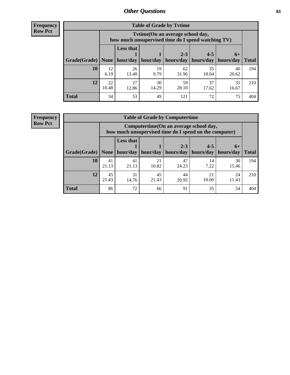**Frequency Row Pct**

| <b>Table of Grade by Tytime</b> |             |                                                                                         |            |             |             |             |              |  |  |  |
|---------------------------------|-------------|-----------------------------------------------------------------------------------------|------------|-------------|-------------|-------------|--------------|--|--|--|
|                                 |             | Tytime (On an average school day,<br>how much unsupervised time do I spend watching TV) |            |             |             |             |              |  |  |  |
|                                 |             | <b>Less that</b>                                                                        |            | $2 - 3$     | $4 - 5$     | $6+$        |              |  |  |  |
| Grade(Grade)                    | None        | hour/day                                                                                | hour/day   | hours/day   | hours/day   | hours/day   | <b>Total</b> |  |  |  |
| 10                              | 12<br>6.19  | 26<br>13.40                                                                             | 19<br>9.79 | 62<br>31.96 | 35<br>18.04 | 40<br>20.62 | 194          |  |  |  |
| 12                              | 22<br>10.48 | 27<br>30<br>37<br>35<br>59<br>12.86<br>14.29<br>28.10<br>17.62<br>16.67                 |            |             |             |             |              |  |  |  |
| <b>Total</b>                    | 34          | 53                                                                                      | 49         | 121         | 72          | 75          | 404          |  |  |  |

**Frequency Row Pct**

| <b>Table of Grade by Computertime</b> |             |                                                                                                   |                     |                      |                      |                   |              |  |  |  |  |
|---------------------------------------|-------------|---------------------------------------------------------------------------------------------------|---------------------|----------------------|----------------------|-------------------|--------------|--|--|--|--|
|                                       |             | Computertime (On an average school day,<br>how much unsupervised time do I spend on the computer) |                     |                      |                      |                   |              |  |  |  |  |
| Grade(Grade)                          | None $ $    | <b>Less that</b>                                                                                  | hour/day   hour/day | $2 - 3$<br>hours/day | $4 - 5$<br>hours/day | $6+$<br>hours/day | <b>Total</b> |  |  |  |  |
| 10                                    | 41          | 41                                                                                                | 21                  | 47                   | 14                   | 30                | 194          |  |  |  |  |
|                                       | 21.13       | 21.13                                                                                             | 10.82               | 24.23                | 7.22                 | 15.46             |              |  |  |  |  |
| 12                                    | 45<br>21.43 | 45<br>44<br>31<br>21<br>24<br>21.43<br>10.00<br>20.95<br>11.43<br>14.76                           |                     |                      |                      |                   |              |  |  |  |  |
| <b>Total</b>                          | 86          | 72                                                                                                | 66                  | 91                   | 35                   | 54                | 404          |  |  |  |  |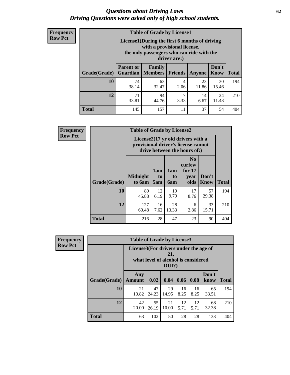#### *Questions about Driving Laws* **62** *Driving Questions were asked only of high school students.*

| <b>Frequency</b> |
|------------------|
| <b>Row Pct</b>   |

| <b>Table of Grade by License1</b> |                              |                                                                                                                                           |                |             |               |              |  |  |  |  |  |
|-----------------------------------|------------------------------|-------------------------------------------------------------------------------------------------------------------------------------------|----------------|-------------|---------------|--------------|--|--|--|--|--|
|                                   |                              | License1(During the first 6 months of driving<br>with a provisional license,<br>the only passengers who can ride with the<br>driver are:) |                |             |               |              |  |  |  |  |  |
| Grade(Grade)                      | <b>Parent or</b><br>Guardian | Family<br><b>Members</b>                                                                                                                  | <b>Friends</b> | Anyone      | Don't<br>Know | <b>Total</b> |  |  |  |  |  |
| 10                                | 74<br>38.14                  | 63<br>32.47                                                                                                                               | 4<br>2.06      | 23<br>11.86 | 30<br>15.46   | 194          |  |  |  |  |  |
| 12                                | 71<br>33.81                  | 7<br>94<br>14<br>24<br>11.43<br>3.33<br>44.76<br>6.67                                                                                     |                |             |               |              |  |  |  |  |  |
| Total                             | 145                          | 157                                                                                                                                       | 11             | 37          | 54            | 404          |  |  |  |  |  |

| Frequency      |                                                                                                          | <b>Table of Grade by License2</b> |                  |                  |                                                      |                      |              |  |  |
|----------------|----------------------------------------------------------------------------------------------------------|-----------------------------------|------------------|------------------|------------------------------------------------------|----------------------|--------------|--|--|
| <b>Row Pct</b> | License2(17 yr old drivers with a<br>provisional driver's license cannot<br>drive between the hours of:) |                                   |                  |                  |                                                      |                      |              |  |  |
|                | Grade(Grade)                                                                                             | <b>Midnight</b><br>to 6am         | 1am<br>to<br>5am | 1am<br>to<br>6am | N <sub>0</sub><br>curfew<br>for $17$<br>year<br>olds | Don't<br><b>Know</b> | <b>Total</b> |  |  |
|                | 10                                                                                                       | 89<br>45.88                       | 12<br>6.19       | 19<br>9.79       | 17<br>8.76                                           | 57<br>29.38          | 194          |  |  |
|                | 12                                                                                                       | 127<br>60.48                      | 16<br>7.62       | 28<br>13.33      | 6<br>2.86                                            | 33<br>15.71          | 210          |  |  |
|                | <b>Total</b>                                                                                             | 216                               | 28               | 47               | 23                                                   | 90                   | 404          |  |  |

| Frequency                                                                                                         |              | <b>Table of Grade by License3</b> |             |             |            |            |               |              |
|-------------------------------------------------------------------------------------------------------------------|--------------|-----------------------------------|-------------|-------------|------------|------------|---------------|--------------|
| <b>Row Pct</b><br>License3(For drivers under the age of<br>21,<br>what level of alcohol is considered<br>$DUI$ ?) |              |                                   |             |             |            |            |               |              |
|                                                                                                                   | Grade(Grade) | Any<br><b>Amount</b>              | 0.02        | 0.04        | 0.06       | 0.08       | Don't<br>know | <b>Total</b> |
|                                                                                                                   | <b>10</b>    | 21<br>10.82                       | 47<br>24.23 | 29<br>14.95 | 16<br>8.25 | 16<br>8.25 | 65<br>33.51   | 194          |
|                                                                                                                   | 12           | 42<br>20.00                       | 55<br>26.19 | 21<br>10.00 | 12<br>5.71 | 12<br>5.71 | 68<br>32.38   | 210          |
|                                                                                                                   | <b>Total</b> | 63                                | 102         | 50          | 28         | 28         | 133           | 404          |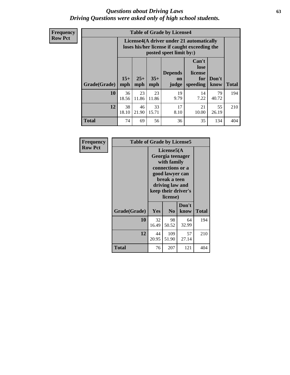#### *Questions about Driving Laws* **63** *Driving Questions were asked only of high school students.*

**Frequency Row Pct**

| <b>Table of Grade by License4</b> |             |                                                                                                                                                                                                                                                                                       |             |            |            |             |     |  |  |  |
|-----------------------------------|-------------|---------------------------------------------------------------------------------------------------------------------------------------------------------------------------------------------------------------------------------------------------------------------------------------|-------------|------------|------------|-------------|-----|--|--|--|
|                                   |             | License4(A driver under 21 automatically<br>loses his/her license if caught exceeding the<br>posted speet limit by:)<br>Can't<br>lose<br><b>Depends</b><br>license<br>$15+$<br>$25+$<br>$35+$<br>Don't<br>for<br><b>on</b><br>mph<br>speeding<br><b>Total</b><br>know<br>mph<br>judge |             |            |            |             |     |  |  |  |
| Grade(Grade)                      | mph         |                                                                                                                                                                                                                                                                                       |             |            |            |             |     |  |  |  |
| 10                                | 36<br>18.56 | 23<br>11.86                                                                                                                                                                                                                                                                           | 23<br>11.86 | 19<br>9.79 | 14<br>7.22 | 79<br>40.72 | 194 |  |  |  |
| 12                                | 38<br>18.10 | 33<br>17<br>21<br>46<br>55<br>15.71<br>21.90<br>8.10<br>10.00<br>26.19                                                                                                                                                                                                                |             |            |            |             |     |  |  |  |
| <b>Total</b>                      | 74          | 69                                                                                                                                                                                                                                                                                    | 56          | 36         | 35         | 134         | 404 |  |  |  |

| Frequency      | <b>Table of Grade by License5</b> |             |                                                                                                                                      |                     |              |
|----------------|-----------------------------------|-------------|--------------------------------------------------------------------------------------------------------------------------------------|---------------------|--------------|
| <b>Row Pct</b> |                                   |             | License5(A)<br>Georgia teenager<br>with family<br>connections or a<br>good lawyer can<br>break a teen<br>driving law and<br>license) | keep their driver's |              |
|                | Grade(Grade)                      | Yes         | N <sub>0</sub>                                                                                                                       | Don't<br>know       | <b>Total</b> |
|                | 10                                | 32<br>16.49 | 98<br>50.52                                                                                                                          | 64<br>32.99         | 194          |
|                | 12                                | 44<br>20.95 | 109<br>51.90                                                                                                                         | 57<br>27.14         | 210          |
|                | <b>Total</b>                      | 76          | 207                                                                                                                                  | 121                 | 404          |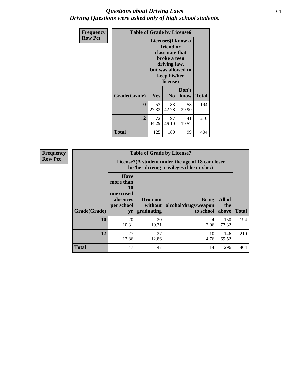#### *Questions about Driving Laws* **64** *Driving Questions were asked only of high school students.*

| <b>Frequency</b> | <b>Table of Grade by License6</b> |                                                                                                                                                 |                |               |       |
|------------------|-----------------------------------|-------------------------------------------------------------------------------------------------------------------------------------------------|----------------|---------------|-------|
| <b>Row Pct</b>   |                                   | License <sub>6</sub> (I know a<br>friend or<br>classmate that<br>broke a teen<br>driving law,<br>but was allowed to<br>keep his/her<br>license) |                |               |       |
|                  | Grade(Grade)                      | Yes                                                                                                                                             | N <sub>0</sub> | Don't<br>know | Total |
|                  | 10                                | 53<br>27.32                                                                                                                                     | 83<br>42.78    | 58<br>29.90   | 194   |
|                  | 12                                | 72<br>34.29                                                                                                                                     | 210            |               |       |
|                  | <b>Total</b>                      | 125                                                                                                                                             | 180            | 99            | 404   |

| <b>Frequency</b> | <b>Table of Grade by License7</b> |                                                                             |                                                                                               |                                                   |                        |              |  |
|------------------|-----------------------------------|-----------------------------------------------------------------------------|-----------------------------------------------------------------------------------------------|---------------------------------------------------|------------------------|--------------|--|
| <b>Row Pct</b>   |                                   |                                                                             | License7(A student under the age of 18 cam loser<br>his/her driving privileges if he or she:) |                                                   |                        |              |  |
|                  | Grade(Grade)                      | <b>Have</b><br>more than<br>10<br>unexcused<br>absences<br>per school<br>yr | Drop out<br>without  <br>graduating                                                           | <b>Bring</b><br>alcohol/drugs/weapon<br>to school | All of<br>the<br>above | <b>Total</b> |  |
|                  | 10                                | 20<br>10.31                                                                 | 20<br>10.31                                                                                   | 4<br>2.06                                         | 150<br>77.32           | 194          |  |
|                  | 12                                | 27<br>12.86                                                                 | 27<br>12.86                                                                                   | 10<br>4.76                                        | 146<br>69.52           | 210          |  |
|                  | <b>Total</b>                      | 47                                                                          | 47                                                                                            | 14                                                | 296                    | 404          |  |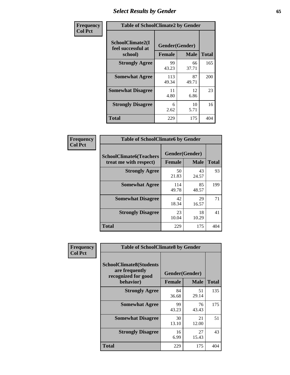# *Select Results by Gender* **65**

| Frequency      | <b>Table of SchoolClimate2 by Gender</b>          |                                 |             |              |
|----------------|---------------------------------------------------|---------------------------------|-------------|--------------|
| <b>Col Pct</b> | SchoolClimate2(I<br>feel successful at<br>school) | Gender(Gender)<br><b>Female</b> | <b>Male</b> | <b>Total</b> |
|                | <b>Strongly Agree</b>                             | 99<br>43.23                     | 66<br>37.71 | 165          |
|                | <b>Somewhat Agree</b>                             | 113<br>49.34                    | 87<br>49.71 | 200          |
|                | <b>Somewhat Disagree</b>                          | 11<br>4.80                      | 12<br>6.86  | 23           |
|                | <b>Strongly Disagree</b>                          | 6<br>2.62                       | 10<br>5.71  | 16           |
|                | <b>Total</b>                                      | 229                             | 175         | 404          |

| Frequency      | <b>Table of SchoolClimate6 by Gender</b>                 |               |                               |              |  |
|----------------|----------------------------------------------------------|---------------|-------------------------------|--------------|--|
| <b>Col Pct</b> | <b>SchoolClimate6(Teachers</b><br>treat me with respect) | <b>Female</b> | Gender(Gender)<br><b>Male</b> | <b>Total</b> |  |
|                | <b>Strongly Agree</b>                                    | 50<br>21.83   | 43<br>24.57                   | 93           |  |
|                | <b>Somewhat Agree</b>                                    | 114<br>49.78  | 85<br>48.57                   | 199          |  |
|                | <b>Somewhat Disagree</b>                                 | 42<br>18.34   | 29<br>16.57                   | 71           |  |
|                | <b>Strongly Disagree</b>                                 | 23<br>10.04   | 18<br>10.29                   | 41           |  |
|                | <b>Total</b>                                             | 229           | 175                           | 404          |  |

| Frequency      | <b>Table of SchoolClimate8 by Gender</b>                                             |                                 |             |              |
|----------------|--------------------------------------------------------------------------------------|---------------------------------|-------------|--------------|
| <b>Col Pct</b> | <b>SchoolClimate8(Students</b><br>are frequently<br>recognized for good<br>behavior) | Gender(Gender)<br><b>Female</b> | <b>Male</b> | <b>Total</b> |
|                | <b>Strongly Agree</b>                                                                | 84<br>36.68                     | 51<br>29.14 | 135          |
|                | <b>Somewhat Agree</b>                                                                | 99<br>43.23                     | 76<br>43.43 | 175          |
|                | <b>Somewhat Disagree</b>                                                             | 30<br>13.10                     | 21<br>12.00 | 51           |
|                | <b>Strongly Disagree</b>                                                             | 16<br>6.99                      | 27<br>15.43 | 43           |
|                | Total                                                                                | 229                             | 175         | 404          |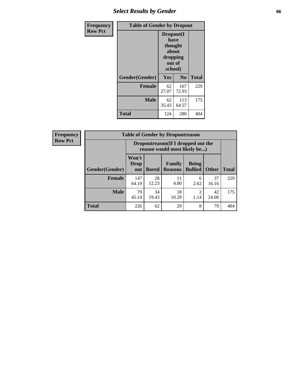# *Select Results by Gender* **66**

| Frequency      | <b>Table of Gender by Dropout</b> |                                                                        |                |              |
|----------------|-----------------------------------|------------------------------------------------------------------------|----------------|--------------|
| <b>Row Pct</b> |                                   | Dropout(I<br>have<br>thought<br>about<br>dropping<br>out of<br>school) |                |              |
|                | Gender(Gender)                    | Yes                                                                    | N <sub>0</sub> | <b>Total</b> |
|                | <b>Female</b>                     | 62<br>27.07                                                            | 167<br>72.93   | 229          |
|                | <b>Male</b>                       | 62<br>35.43                                                            | 113<br>64.57   | 175          |
|                | <b>Total</b>                      | 124                                                                    | 280            | 404          |

| <b>Frequency</b> |                | <b>Table of Gender by Dropoutreason</b>                            |              |                                 |                                |              |              |
|------------------|----------------|--------------------------------------------------------------------|--------------|---------------------------------|--------------------------------|--------------|--------------|
| <b>Row Pct</b>   |                | Dropoutreason(If I dropped out the<br>reason would most likely be) |              |                                 |                                |              |              |
|                  | Gender(Gender) | Won't<br>Drop<br>out                                               | <b>Bored</b> | <b>Family</b><br><b>Reasons</b> | <b>Being</b><br><b>Bullied</b> | <b>Other</b> | <b>Total</b> |
|                  | Female         | 147<br>64.19                                                       | 28<br>12.23  | 11<br>4.80                      | 6<br>2.62                      | 37<br>16.16  | 229          |
|                  | <b>Male</b>    | 79<br>45.14                                                        | 34<br>19.43  | 18<br>10.29                     | ↑<br>1.14                      | 42<br>24.00  | 175          |
|                  | <b>Total</b>   | 226                                                                | 62           | 29                              | 8                              | 79           | 404          |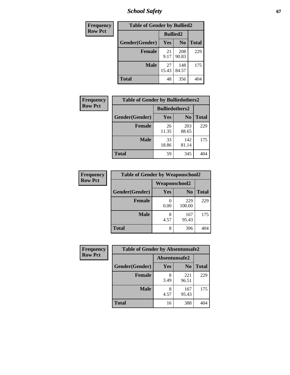*School Safety* **67**

| Frequency      | <b>Table of Gender by Bullied2</b> |                 |                |              |
|----------------|------------------------------------|-----------------|----------------|--------------|
| <b>Row Pct</b> |                                    | <b>Bullied2</b> |                |              |
|                | Gender(Gender)                     | Yes             | N <sub>0</sub> | <b>Total</b> |
|                | <b>Female</b>                      | 21<br>9.17      | 208<br>90.83   | 229          |
|                | <b>Male</b>                        | 27<br>15.43     | 148<br>84.57   | 175          |
|                | <b>Total</b>                       | 48              | 356            | 404          |

| Frequency      | <b>Table of Gender by Bulliedothers2</b> |                       |                |              |
|----------------|------------------------------------------|-----------------------|----------------|--------------|
| <b>Row Pct</b> |                                          | <b>Bulliedothers2</b> |                |              |
|                | Gender(Gender)                           | <b>Yes</b>            | N <sub>0</sub> | <b>Total</b> |
|                | <b>Female</b>                            | 26<br>11.35           | 203<br>88.65   | 229          |
|                | <b>Male</b>                              | 33<br>18.86           | 142<br>81.14   | 175          |
|                | <b>Total</b>                             | 59                    | 345            | 404          |

| Frequency      | <b>Table of Gender by Weaponschool2</b> |                      |                |              |
|----------------|-----------------------------------------|----------------------|----------------|--------------|
| <b>Row Pct</b> |                                         | <b>Weaponschool2</b> |                |              |
|                | Gender(Gender)                          | Yes                  | N <sub>0</sub> | <b>Total</b> |
|                | <b>Female</b>                           | 0.00                 | 229<br>100.00  | 229          |
|                | <b>Male</b>                             | 8<br>4.57            | 167<br>95.43   | 175          |
|                | <b>Total</b>                            | 8                    | 396            | 404          |

| <b>Frequency</b> | <b>Table of Gender by Absentunsafe2</b> |               |                |              |
|------------------|-----------------------------------------|---------------|----------------|--------------|
| <b>Row Pct</b>   |                                         | Absentunsafe2 |                |              |
|                  | Gender(Gender)                          | Yes           | N <sub>0</sub> | <b>Total</b> |
|                  | <b>Female</b>                           | 8<br>3.49     | 221<br>96.51   | 229          |
|                  | <b>Male</b>                             | 8<br>4.57     | 167<br>95.43   | 175          |
|                  | <b>Total</b>                            | 16            | 388            | 404          |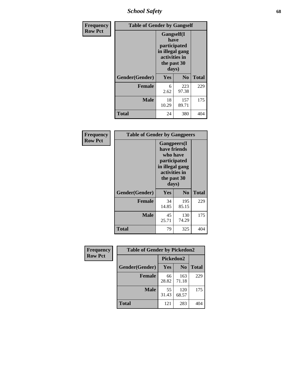*School Safety* **68**

| Frequency      | <b>Table of Gender by Gangself</b> |                                                                                                |                |              |
|----------------|------------------------------------|------------------------------------------------------------------------------------------------|----------------|--------------|
| <b>Row Pct</b> |                                    | Gangself(I<br>have<br>participated<br>in illegal gang<br>activities in<br>the past 30<br>days) |                |              |
|                | Gender(Gender)                     | Yes                                                                                            | N <sub>0</sub> | <b>Total</b> |
|                | <b>Female</b>                      | 6<br>2.62                                                                                      | 223<br>97.38   | 229          |
|                | <b>Male</b>                        | 18<br>10.29                                                                                    | 157<br>89.71   | 175          |
|                | <b>Total</b>                       | 24                                                                                             | 380            | 404          |

| Frequency      | <b>Table of Gender by Gangpeers</b> |                                                                                                                             |                |              |
|----------------|-------------------------------------|-----------------------------------------------------------------------------------------------------------------------------|----------------|--------------|
| <b>Row Pct</b> |                                     | <b>Gangpeers</b> (I<br>have friends<br>who have<br>participated<br>in illegal gang<br>activities in<br>the past 30<br>days) |                |              |
|                | Gender(Gender)                      | Yes                                                                                                                         | N <sub>0</sub> | <b>Total</b> |
|                | <b>Female</b>                       | 34<br>14.85                                                                                                                 | 195<br>85.15   | 229          |
|                | <b>Male</b>                         | 45<br>25.71                                                                                                                 | 130<br>74.29   | 175          |
|                | <b>Total</b>                        | 79                                                                                                                          | 325            | 404          |

| Frequency      | <b>Table of Gender by Pickedon2</b> |             |                |              |
|----------------|-------------------------------------|-------------|----------------|--------------|
| <b>Row Pct</b> |                                     | Pickedon2   |                |              |
|                | Gender(Gender)                      | <b>Yes</b>  | N <sub>0</sub> | <b>Total</b> |
|                | <b>Female</b>                       | 66<br>28.82 | 163<br>71.18   | 229          |
|                | <b>Male</b>                         | 55<br>31.43 | 120<br>68.57   | 175          |
|                | <b>Total</b>                        | 121         | 283            | 404          |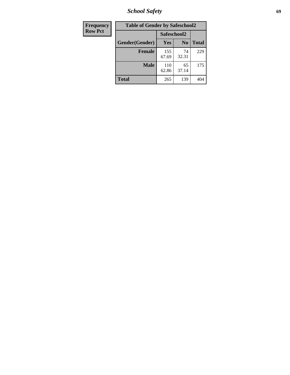*School Safety* **69**

| Frequency      | <b>Table of Gender by Safeschool2</b> |              |                |              |  |
|----------------|---------------------------------------|--------------|----------------|--------------|--|
| <b>Row Pct</b> |                                       | Safeschool2  |                |              |  |
|                | Gender(Gender)                        | Yes          | N <sub>0</sub> | <b>Total</b> |  |
|                | <b>Female</b>                         | 155<br>67.69 | 74<br>32.31    | 229          |  |
|                | <b>Male</b>                           | 110<br>62.86 | 65<br>37.14    | 175          |  |
|                | <b>Total</b>                          | 265          | 139            | 404          |  |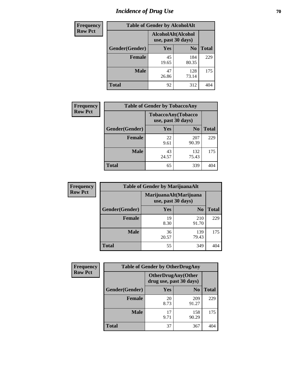# *Incidence of Drug Use* **70**

| <b>Frequency</b> | <b>Table of Gender by AlcoholAlt</b> |                                          |                |              |  |
|------------------|--------------------------------------|------------------------------------------|----------------|--------------|--|
| <b>Row Pct</b>   |                                      | AlcoholAlt(Alcohol<br>use, past 30 days) |                |              |  |
|                  | Gender(Gender)                       | <b>Yes</b>                               | N <sub>0</sub> | <b>Total</b> |  |
|                  | <b>Female</b>                        | 45<br>19.65                              | 184<br>80.35   | 229          |  |
|                  | <b>Male</b>                          | 47<br>26.86                              | 128<br>73.14   | 175          |  |
|                  | <b>Total</b>                         | 92                                       | 312            | 404          |  |

| Frequency      | <b>Table of Gender by TobaccoAny</b> |                                          |                |              |  |
|----------------|--------------------------------------|------------------------------------------|----------------|--------------|--|
| <b>Row Pct</b> |                                      | TobaccoAny(Tobacco<br>use, past 30 days) |                |              |  |
|                | Gender(Gender)                       | Yes                                      | N <sub>0</sub> | <b>Total</b> |  |
|                | <b>Female</b>                        | 22<br>9.61                               | 207<br>90.39   | 229          |  |
|                | <b>Male</b>                          | 43<br>24.57                              | 132<br>75.43   | 175          |  |
|                | Total                                | 65                                       | 339            |              |  |

| <b>Frequency</b> | <b>Table of Gender by MarijuanaAlt</b> |                                              |                |              |
|------------------|----------------------------------------|----------------------------------------------|----------------|--------------|
| <b>Row Pct</b>   |                                        | MarijuanaAlt(Marijuana<br>use, past 30 days) |                |              |
|                  | Gender(Gender)                         | <b>Yes</b>                                   | N <sub>0</sub> | <b>Total</b> |
|                  | Female                                 | 19<br>8.30                                   | 210<br>91.70   | 229          |
|                  | <b>Male</b>                            | 36<br>20.57                                  | 139<br>79.43   | 175          |
|                  | <b>Total</b>                           | 55                                           | 349            | 404          |

| <b>Frequency</b> | <b>Table of Gender by OtherDrugAny</b> |                                                      |                |              |  |
|------------------|----------------------------------------|------------------------------------------------------|----------------|--------------|--|
| <b>Row Pct</b>   |                                        | <b>OtherDrugAny(Other</b><br>drug use, past 30 days) |                |              |  |
|                  | Gender(Gender)                         | <b>Yes</b>                                           | N <sub>0</sub> | <b>Total</b> |  |
|                  | <b>Female</b>                          | 20<br>8.73                                           | 209<br>91.27   | 229          |  |
|                  | <b>Male</b>                            | 17<br>9.71                                           | 158<br>90.29   | 175          |  |
|                  | <b>Total</b>                           | 37                                                   | 367            | 404          |  |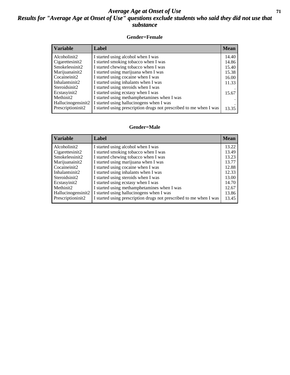#### *Average Age at Onset of Use* **71** *Results for "Average Age at Onset of Use" questions exclude students who said they did not use that substance*

#### **Gender=Female**

| <b>Variable</b>    | <b>Label</b>                                                       | <b>Mean</b> |
|--------------------|--------------------------------------------------------------------|-------------|
| Alcoholinit2       | I started using alcohol when I was                                 | 14.40       |
| Cigarettesinit2    | I started smoking tobacco when I was                               | 14.86       |
| Smokelessinit2     | I started chewing tobacco when I was                               | 15.40       |
| Marijuanainit2     | I started using marijuana when I was                               | 15.38       |
| Cocaineinit2       | I started using cocaine when I was                                 | 16.00       |
| Inhalantsinit2     | I started using inhalants when I was                               | 11.33       |
| Steroidsinit2      | I started using steroids when I was                                |             |
| Ecstasyinit2       | I started using ecstasy when I was                                 | 15.67       |
| Methinit2          | I started using methamphetamines when I was                        |             |
| Hallucinogensinit2 | I started using hallucinogens when I was                           |             |
| Prescription in t2 | I started using prescription drugs not prescribed to me when I was | 13.35       |

#### **Gender=Male**

| <b>Variable</b>                 | Label                                                              | <b>Mean</b> |
|---------------------------------|--------------------------------------------------------------------|-------------|
| Alcoholinit2                    | I started using alcohol when I was                                 | 13.22       |
| Cigarettesinit2                 | I started smoking tobacco when I was                               | 13.49       |
| Smokelessinit2                  | I started chewing tobacco when I was                               | 13.23       |
| Marijuanainit2                  | I started using marijuana when I was                               | 13.77       |
| Cocaineinit2                    | I started using cocaine when I was                                 | 12.88       |
| Inhalantsinit2                  | I started using inhalants when I was                               | 12.33       |
| Steroidsinit2                   | I started using steroids when I was                                | 13.00       |
| Ecstasyinit2                    | I started using ecstasy when I was                                 | 14.70       |
| Methinit2                       | I started using methamphetamines when I was                        | 12.67       |
| Hallucinogensinit2              | I started using hallucinogens when I was                           | 13.86       |
| Prescription in it <sub>2</sub> | I started using prescription drugs not prescribed to me when I was | 13.45       |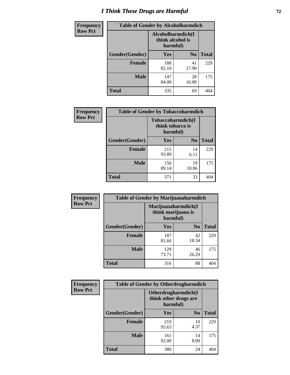# *I Think These Drugs are Harmful* **72**

| <b>Frequency</b> | <b>Table of Gender by Alcoholharmdich</b> |                              |                   |              |
|------------------|-------------------------------------------|------------------------------|-------------------|--------------|
| <b>Row Pct</b>   |                                           | think alcohol is<br>harmful) | Alcoholharmdich(I |              |
|                  | Gender(Gender)                            | Yes                          | N <sub>0</sub>    | <b>Total</b> |
|                  | <b>Female</b>                             | 188<br>82.10                 | 41<br>17.90       | 229          |
|                  | <b>Male</b>                               | 147<br>84.00                 | 28<br>16.00       | 175          |
|                  | <b>Total</b>                              | 335                          | 69                |              |

| Frequency      | <b>Table of Gender by Tobaccoharmdich</b> |                  |                               |              |  |
|----------------|-------------------------------------------|------------------|-------------------------------|--------------|--|
| <b>Row Pct</b> |                                           | think tobacco is | Tobaccoharmdich(I<br>harmful) |              |  |
|                | Gender(Gender)                            | <b>Yes</b>       | N <sub>0</sub>                | <b>Total</b> |  |
|                | <b>Female</b>                             | 215<br>93.89     | 14<br>6.11                    | 229          |  |
|                | <b>Male</b>                               | 156<br>89.14     | 19<br>10.86                   | 175          |  |
|                | <b>Total</b>                              | 371              | 33                            | 404          |  |

| Frequency      | <b>Table of Gender by Marijuanaharmdich</b> |                                                       |                |              |  |
|----------------|---------------------------------------------|-------------------------------------------------------|----------------|--------------|--|
| <b>Row Pct</b> |                                             | Marijuanaharmdich(I<br>think marijuana is<br>harmful) |                |              |  |
|                | Gender(Gender)                              | <b>Yes</b>                                            | N <sub>0</sub> | <b>Total</b> |  |
|                | <b>Female</b>                               | 187<br>81.66                                          | 42<br>18.34    | 229          |  |
|                | <b>Male</b>                                 | 129<br>73.71                                          | 46<br>26.29    | 175          |  |
|                | <b>Total</b>                                | 316                                                   | 88             | 404          |  |

| Frequency      | <b>Table of Gender by Otherdrugharmdich</b> |                                                          |                |              |  |
|----------------|---------------------------------------------|----------------------------------------------------------|----------------|--------------|--|
| <b>Row Pct</b> |                                             | Otherdrugharmdich(I<br>think other drugs are<br>harmful) |                |              |  |
|                | Gender(Gender)                              | <b>Yes</b>                                               | N <sub>0</sub> | <b>Total</b> |  |
|                | <b>Female</b>                               | 219<br>95.63                                             | 10<br>4.37     | 229          |  |
|                | <b>Male</b>                                 | 161<br>92.00                                             | 14<br>8.00     | 175          |  |
|                | <b>Total</b>                                | 380                                                      | 24             | 404          |  |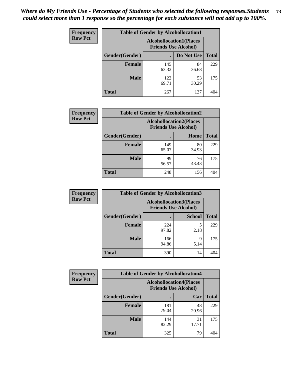| <b>Frequency</b> | <b>Table of Gender by Alcohollocation1</b> |                                                               |             |              |
|------------------|--------------------------------------------|---------------------------------------------------------------|-------------|--------------|
| <b>Row Pct</b>   |                                            | <b>Alcohollocation1(Places</b><br><b>Friends Use Alcohol)</b> |             |              |
|                  | Gender(Gender)                             |                                                               | Do Not Use  | <b>Total</b> |
|                  | <b>Female</b>                              | 145<br>63.32                                                  | 84<br>36.68 | 229          |
|                  | <b>Male</b>                                | 122<br>69.71                                                  | 53<br>30.29 | 175          |
|                  | <b>Total</b>                               | 267                                                           | 137         | 404          |

| <b>Frequency</b> | <b>Table of Gender by Alcohollocation2</b> |              |                                                               |              |
|------------------|--------------------------------------------|--------------|---------------------------------------------------------------|--------------|
| <b>Row Pct</b>   |                                            |              | <b>Alcohollocation2(Places</b><br><b>Friends Use Alcohol)</b> |              |
|                  | Gender(Gender)                             |              | Home                                                          | <b>Total</b> |
|                  | <b>Female</b>                              | 149<br>65.07 | 80<br>34.93                                                   | 229          |
|                  | <b>Male</b>                                | 99<br>56.57  | 76<br>43.43                                                   | 175          |
|                  | <b>Total</b>                               | 248          | 156                                                           | 404          |

| Frequency      | <b>Table of Gender by Alcohollocation3</b> |                                                               |               |              |
|----------------|--------------------------------------------|---------------------------------------------------------------|---------------|--------------|
| <b>Row Pct</b> |                                            | <b>Alcohollocation3(Places</b><br><b>Friends Use Alcohol)</b> |               |              |
|                | Gender(Gender)                             |                                                               | <b>School</b> | <b>Total</b> |
|                | <b>Female</b>                              | 224<br>97.82                                                  | 2.18          | 229          |
|                | <b>Male</b>                                | 166<br>94.86                                                  | q<br>5.14     | 175          |
|                | <b>Total</b>                               | 390                                                           | 14            | 404          |

| Frequency      | <b>Table of Gender by Alcohollocation4</b> |                                                               |             |              |
|----------------|--------------------------------------------|---------------------------------------------------------------|-------------|--------------|
| <b>Row Pct</b> |                                            | <b>Alcohollocation4(Places</b><br><b>Friends Use Alcohol)</b> |             |              |
|                | Gender(Gender)                             |                                                               | Car         | <b>Total</b> |
|                | <b>Female</b>                              | 181<br>79.04                                                  | 48<br>20.96 | 229          |
|                | <b>Male</b>                                | 144<br>82.29                                                  | 31<br>17.71 | 175          |
|                | <b>Total</b>                               | 325                                                           | 79          | 404          |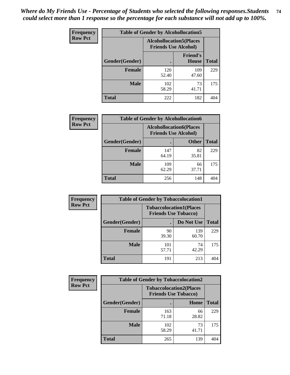| <b>Frequency</b> | <b>Table of Gender by Alcohollocation5</b> |                                                               |                          |              |
|------------------|--------------------------------------------|---------------------------------------------------------------|--------------------------|--------------|
| <b>Row Pct</b>   |                                            | <b>Alcohollocation5(Places</b><br><b>Friends Use Alcohol)</b> |                          |              |
|                  | Gender(Gender)                             |                                                               | <b>Friend's</b><br>House | <b>Total</b> |
|                  | <b>Female</b>                              | 120<br>52.40                                                  | 109<br>47.60             | 229          |
|                  | <b>Male</b>                                | 102<br>58.29                                                  | 73<br>41.71              | 175          |
|                  | <b>Total</b>                               | 222                                                           | 182                      | 404          |

| <b>Frequency</b> | <b>Table of Gender by Alcohollocation6</b> |                                                               |              |              |
|------------------|--------------------------------------------|---------------------------------------------------------------|--------------|--------------|
| <b>Row Pct</b>   |                                            | <b>Alcohollocation6(Places</b><br><b>Friends Use Alcohol)</b> |              |              |
|                  | Gender(Gender)                             |                                                               | <b>Other</b> | <b>Total</b> |
|                  | <b>Female</b>                              | 147<br>64.19                                                  | 82<br>35.81  | 229          |
|                  | <b>Male</b>                                | 109<br>62.29                                                  | 66<br>37.71  | 175          |
|                  | <b>Total</b>                               | 256                                                           | 148          | 404          |

| Frequency      | <b>Table of Gender by Tobaccolocation1</b> |                                                               |              |              |  |
|----------------|--------------------------------------------|---------------------------------------------------------------|--------------|--------------|--|
| <b>Row Pct</b> |                                            | <b>Tobaccolocation1(Places</b><br><b>Friends Use Tobacco)</b> |              |              |  |
|                | Gender(Gender)                             |                                                               | Do Not Use   | <b>Total</b> |  |
|                | <b>Female</b>                              | 90<br>39.30                                                   | 139<br>60.70 | 229          |  |
|                | <b>Male</b>                                | 101<br>57.71                                                  | 74<br>42.29  | 175          |  |
|                | <b>Total</b>                               | 191                                                           | 213          | 404          |  |

| Frequency      |                | <b>Table of Gender by Tobaccolocation2</b>                    |             |              |
|----------------|----------------|---------------------------------------------------------------|-------------|--------------|
| <b>Row Pct</b> |                | <b>Tobaccolocation2(Places</b><br><b>Friends Use Tobacco)</b> |             |              |
|                | Gender(Gender) |                                                               | Home        | <b>Total</b> |
|                | Female         | 163<br>71.18                                                  | 66<br>28.82 | 229          |
|                | <b>Male</b>    | 102<br>58.29                                                  | 73<br>41.71 | 175          |
|                | <b>Total</b>   | 265                                                           | 139         | 404          |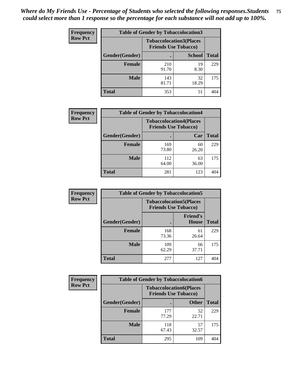| <b>Frequency</b> | <b>Table of Gender by Tobaccolocation3</b> |                                                               |               |              |
|------------------|--------------------------------------------|---------------------------------------------------------------|---------------|--------------|
| <b>Row Pct</b>   |                                            | <b>Tobaccolocation3(Places</b><br><b>Friends Use Tobacco)</b> |               |              |
|                  | <b>Gender</b> (Gender)                     |                                                               | <b>School</b> | <b>Total</b> |
|                  | <b>Female</b>                              | 210<br>91.70                                                  | 19<br>8.30    | 229          |
|                  | <b>Male</b>                                | 143<br>81.71                                                  | 32<br>18.29   | 175          |
|                  | <b>Total</b>                               | 353                                                           | 51            | 404          |

| <b>Frequency</b> | <b>Table of Gender by Tobaccolocation4</b> |                                                               |             |              |
|------------------|--------------------------------------------|---------------------------------------------------------------|-------------|--------------|
| <b>Row Pct</b>   |                                            | <b>Tobaccolocation4(Places</b><br><b>Friends Use Tobacco)</b> |             |              |
|                  | Gender(Gender)                             |                                                               | Car         | <b>Total</b> |
|                  | <b>Female</b>                              | 169<br>73.80                                                  | 60<br>26.20 | 229          |
|                  | <b>Male</b>                                | 112<br>64.00                                                  | 63<br>36.00 | 175          |
|                  | <b>Total</b>                               | 281                                                           | 123         | 404          |

| <b>Frequency</b> | <b>Table of Gender by Tobaccolocation5</b> |                                                               |                          |              |
|------------------|--------------------------------------------|---------------------------------------------------------------|--------------------------|--------------|
| <b>Row Pct</b>   |                                            | <b>Tobaccolocation5(Places</b><br><b>Friends Use Tobacco)</b> |                          |              |
|                  | Gender(Gender)                             |                                                               | <b>Friend's</b><br>House | <b>Total</b> |
|                  | <b>Female</b>                              | 168<br>73.36                                                  | 61<br>26.64              | 229          |
|                  | <b>Male</b>                                | 109<br>62.29                                                  | 66<br>37.71              | 175          |
|                  | <b>Total</b>                               | 277                                                           | 127                      | 404          |

| <b>Frequency</b> | <b>Table of Gender by Tobaccolocation6</b> |                                                               |              |              |
|------------------|--------------------------------------------|---------------------------------------------------------------|--------------|--------------|
| <b>Row Pct</b>   |                                            | <b>Tobaccolocation6(Places</b><br><b>Friends Use Tobacco)</b> |              |              |
|                  | Gender(Gender)                             |                                                               | <b>Other</b> | <b>Total</b> |
|                  | Female                                     | 177<br>77.29                                                  | 52<br>22.71  | 229          |
|                  | <b>Male</b>                                | 118<br>67.43                                                  | 57<br>32.57  | 175          |
|                  | <b>Total</b>                               | 295                                                           | 109          | 404          |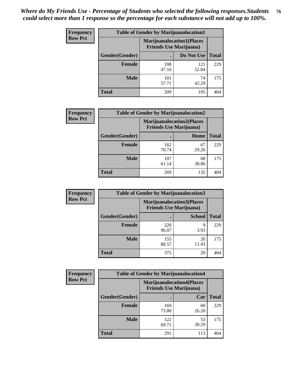| <b>Frequency</b> | <b>Table of Gender by Marijuanalocation1</b> |                                                                    |              |              |
|------------------|----------------------------------------------|--------------------------------------------------------------------|--------------|--------------|
| <b>Row Pct</b>   |                                              | <b>Marijuanalocation1(Places</b><br><b>Friends Use Marijuana</b> ) |              |              |
|                  | Gender(Gender)                               |                                                                    | Do Not Use   | <b>Total</b> |
|                  | <b>Female</b>                                | 108<br>47.16                                                       | 121<br>52.84 | 229          |
|                  | <b>Male</b>                                  | 101<br>57.71                                                       | 74<br>42.29  | 175          |
|                  | <b>Total</b>                                 | 209                                                                | 195          | 404          |

| <b>Frequency</b> | <b>Table of Gender by Marijuanalocation2</b> |                                                                    |             |              |  |
|------------------|----------------------------------------------|--------------------------------------------------------------------|-------------|--------------|--|
| <b>Row Pct</b>   |                                              | <b>Marijuanalocation2(Places</b><br><b>Friends Use Marijuana</b> ) |             |              |  |
|                  | Gender(Gender)                               |                                                                    | Home        | <b>Total</b> |  |
|                  | <b>Female</b>                                | 162<br>70.74                                                       | 67<br>29.26 | 229          |  |
|                  | <b>Male</b>                                  | 107<br>61.14                                                       | 68<br>38.86 | 175          |  |
|                  | <b>Total</b>                                 | 269                                                                | 135         | 404          |  |

| Frequency      |                | <b>Table of Gender by Marijuanalocation3</b> |                                                                    |              |
|----------------|----------------|----------------------------------------------|--------------------------------------------------------------------|--------------|
| <b>Row Pct</b> |                |                                              | <b>Marijuanalocation3(Places</b><br><b>Friends Use Marijuana</b> ) |              |
|                | Gender(Gender) |                                              | <b>School</b>                                                      | <b>Total</b> |
|                | Female         | 220<br>96.07                                 | q<br>3.93                                                          | 229          |
|                | <b>Male</b>    | 155<br>88.57                                 | 20<br>11.43                                                        | 175          |
|                | <b>Total</b>   | 375                                          | 29                                                                 | 404          |

| <b>Frequency</b> | <b>Table of Gender by Marijuanalocation4</b> |                                                                    |             |              |  |
|------------------|----------------------------------------------|--------------------------------------------------------------------|-------------|--------------|--|
| <b>Row Pct</b>   |                                              | <b>Marijuanalocation4(Places</b><br><b>Friends Use Marijuana</b> ) |             |              |  |
|                  | Gender(Gender)                               |                                                                    | Car         | <b>Total</b> |  |
|                  | <b>Female</b>                                | 169<br>73.80                                                       | 60<br>26.20 | 229          |  |
|                  | <b>Male</b>                                  | 122<br>69.71                                                       | 53<br>30.29 | 175          |  |
|                  | <b>Total</b>                                 | 291                                                                | 113         | 404          |  |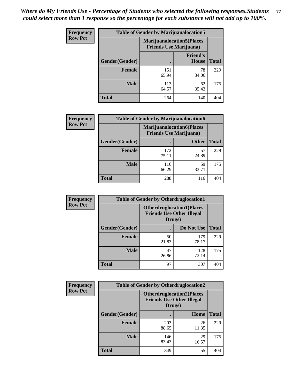| <b>Frequency</b> | <b>Table of Gender by Marijuanalocation5</b> |                                                                    |                          |              |
|------------------|----------------------------------------------|--------------------------------------------------------------------|--------------------------|--------------|
| <b>Row Pct</b>   |                                              | <b>Marijuanalocation5(Places</b><br><b>Friends Use Marijuana</b> ) |                          |              |
|                  | Gender(Gender)                               |                                                                    | <b>Friend's</b><br>House | <b>Total</b> |
|                  | <b>Female</b>                                | 151<br>65.94                                                       | 78<br>34.06              | 229          |
|                  | <b>Male</b>                                  | 113<br>64.57                                                       | 62<br>35.43              | 175          |
|                  | <b>Total</b>                                 | 264                                                                | 140                      | 404          |

| <b>Frequency</b> | <b>Table of Gender by Marijuanalocation6</b> |                                |                                  |              |
|------------------|----------------------------------------------|--------------------------------|----------------------------------|--------------|
| <b>Row Pct</b>   |                                              | <b>Friends Use Marijuana</b> ) | <b>Marijuanalocation6(Places</b> |              |
|                  | <b>Gender</b> (Gender)                       |                                | <b>Other</b>                     | <b>Total</b> |
|                  | <b>Female</b>                                | 172<br>75.11                   | 57<br>24.89                      | 229          |
|                  | <b>Male</b>                                  | 116<br>66.29                   | 59<br>33.71                      | 175          |
|                  | Total                                        | 288                            | 116                              | 404          |

| <b>Frequency</b> | <b>Table of Gender by Otherdruglocation1</b> |                                                                                |              |              |
|------------------|----------------------------------------------|--------------------------------------------------------------------------------|--------------|--------------|
| <b>Row Pct</b>   |                                              | <b>Otherdruglocation1(Places</b><br><b>Friends Use Other Illegal</b><br>Drugs) |              |              |
|                  | Gender(Gender)                               |                                                                                | Do Not Use   | <b>Total</b> |
|                  | <b>Female</b>                                | 50<br>21.83                                                                    | 179<br>78.17 | 229          |
|                  | <b>Male</b>                                  | 47<br>26.86                                                                    | 128<br>73.14 | 175          |
|                  | <b>Total</b>                                 | 97                                                                             | 307          | 404          |

| <b>Frequency</b> | <b>Table of Gender by Otherdruglocation2</b> |                                                                                |             |              |
|------------------|----------------------------------------------|--------------------------------------------------------------------------------|-------------|--------------|
| <b>Row Pct</b>   |                                              | <b>Otherdruglocation2(Places</b><br><b>Friends Use Other Illegal</b><br>Drugs) |             |              |
|                  | Gender(Gender)                               |                                                                                | Home        | <b>Total</b> |
|                  | Female                                       | 203<br>88.65                                                                   | 26<br>11.35 | 229          |
|                  | <b>Male</b>                                  | 146<br>83.43                                                                   | 29<br>16.57 | 175          |
|                  | <b>Total</b>                                 | 349                                                                            | 55          | 404          |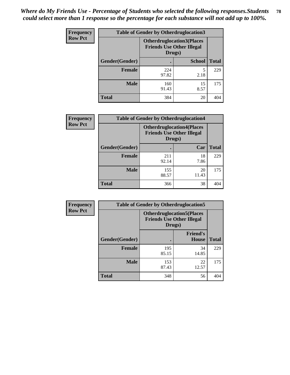| <b>Frequency</b> | <b>Table of Gender by Otherdruglocation3</b> |                                                                                |               |              |
|------------------|----------------------------------------------|--------------------------------------------------------------------------------|---------------|--------------|
| <b>Row Pct</b>   |                                              | <b>Otherdruglocation3(Places</b><br><b>Friends Use Other Illegal</b><br>Drugs) |               |              |
|                  | Gender(Gender)                               |                                                                                | <b>School</b> | <b>Total</b> |
|                  | <b>Female</b>                                | 224<br>97.82                                                                   | 2.18          | 229          |
|                  | <b>Male</b>                                  | 160<br>91.43                                                                   | 15<br>8.57    | 175          |
|                  | <b>Total</b>                                 | 384                                                                            | 20            | 404          |

| Frequency      | <b>Table of Gender by Otherdruglocation4</b> |                                            |                                  |              |
|----------------|----------------------------------------------|--------------------------------------------|----------------------------------|--------------|
| <b>Row Pct</b> |                                              | <b>Friends Use Other Illegal</b><br>Drugs) | <b>Otherdruglocation4(Places</b> |              |
|                | Gender(Gender)                               |                                            | Car                              | <b>Total</b> |
|                | <b>Female</b>                                | 211<br>92.14                               | 18<br>7.86                       | 229          |
|                | <b>Male</b>                                  | 155<br>88.57                               | 20<br>11.43                      | 175          |
|                | <b>Total</b>                                 | 366                                        | 38                               | 404          |

| Frequency      | <b>Table of Gender by Otherdruglocation5</b> |                                                                                |                                 |              |
|----------------|----------------------------------------------|--------------------------------------------------------------------------------|---------------------------------|--------------|
| <b>Row Pct</b> |                                              | <b>Otherdruglocation5(Places</b><br><b>Friends Use Other Illegal</b><br>Drugs) |                                 |              |
|                | Gender(Gender)                               |                                                                                | <b>Friend's</b><br><b>House</b> | <b>Total</b> |
|                | <b>Female</b>                                | 195<br>85.15                                                                   | 34<br>14.85                     | 229          |
|                | <b>Male</b>                                  | 153<br>87.43                                                                   | 22<br>12.57                     | 175          |
|                | <b>Total</b>                                 | 348                                                                            | 56                              | 404          |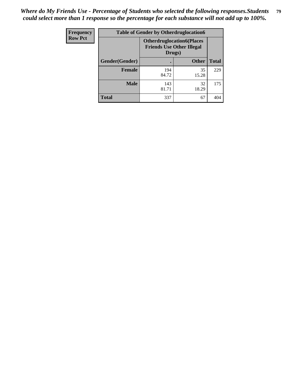| <b>Frequency</b> | <b>Table of Gender by Otherdruglocation6</b> |                                            |                                  |              |
|------------------|----------------------------------------------|--------------------------------------------|----------------------------------|--------------|
| <b>Row Pct</b>   |                                              | <b>Friends Use Other Illegal</b><br>Drugs) | <b>Otherdruglocation6(Places</b> |              |
|                  | Gender(Gender)                               |                                            | <b>Other</b>                     | <b>Total</b> |
|                  | <b>Female</b>                                | 194<br>84.72                               | 35<br>15.28                      | 229          |
|                  | <b>Male</b>                                  | 143<br>81.71                               | 32<br>18.29                      | 175          |
|                  | <b>Total</b>                                 | 337                                        | 67                               | 404          |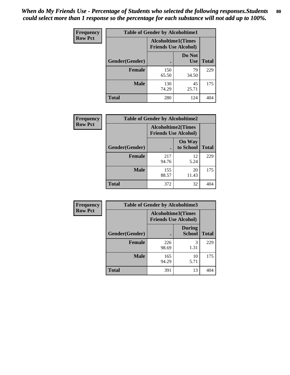| <b>Frequency</b> | <b>Table of Gender by Alcoholtime1</b> |                                                          |                      |              |
|------------------|----------------------------------------|----------------------------------------------------------|----------------------|--------------|
| <b>Row Pct</b>   |                                        | <b>Alcoholtime1(Times</b><br><b>Friends Use Alcohol)</b> |                      |              |
|                  | Gender(Gender)                         | $\bullet$                                                | Do Not<br><b>Use</b> | <b>Total</b> |
|                  | <b>Female</b>                          | 150<br>65.50                                             | 79<br>34.50          | 229          |
|                  | <b>Male</b>                            | 130<br>74.29                                             | 45<br>25.71          | 175          |
|                  | <b>Total</b>                           | 280                                                      | 124                  | 404          |

| Frequency      | <b>Table of Gender by Alcoholtime2</b> |                                                          |                            |              |
|----------------|----------------------------------------|----------------------------------------------------------|----------------------------|--------------|
| <b>Row Pct</b> |                                        | <b>Alcoholtime2(Times</b><br><b>Friends Use Alcohol)</b> |                            |              |
|                | Gender(Gender)                         |                                                          | <b>On Way</b><br>to School | <b>Total</b> |
|                | <b>Female</b>                          | 217<br>94.76                                             | 12<br>5.24                 | 229          |
|                | <b>Male</b>                            | 155<br>88.57                                             | 20<br>11.43                | 175          |
|                | <b>Total</b>                           | 372                                                      | 32                         | 404          |

| Frequency      | <b>Table of Gender by Alcoholtime3</b> |                                                          |                                |              |
|----------------|----------------------------------------|----------------------------------------------------------|--------------------------------|--------------|
| <b>Row Pct</b> |                                        | <b>Alcoholtime3(Times</b><br><b>Friends Use Alcohol)</b> |                                |              |
|                | Gender(Gender)                         |                                                          | <b>During</b><br><b>School</b> | <b>Total</b> |
|                | Female                                 | 226<br>98.69                                             | 3<br>1.31                      | 229          |
|                | <b>Male</b>                            | 165<br>94.29                                             | 10<br>5.71                     | 175          |
|                | <b>Total</b>                           | 391                                                      | 13                             | 404          |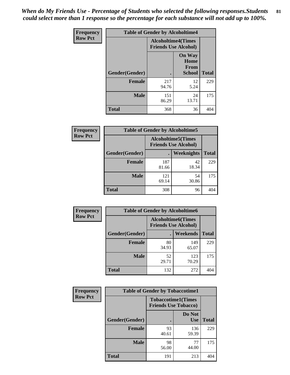*When do My Friends Use - Percentage of Students who selected the following responses.Students could select more than 1 response so the percentage for each substance will not add up to 100%.* **81**

| <b>Frequency</b> | <b>Table of Gender by Alcoholtime4</b> |                                                          |                                                |              |
|------------------|----------------------------------------|----------------------------------------------------------|------------------------------------------------|--------------|
| <b>Row Pct</b>   |                                        | <b>Alcoholtime4(Times</b><br><b>Friends Use Alcohol)</b> |                                                |              |
|                  | Gender(Gender)                         |                                                          | <b>On Way</b><br>Home<br>From<br><b>School</b> | <b>Total</b> |
|                  | <b>Female</b>                          | 217<br>94.76                                             | 12<br>5.24                                     | 229          |
|                  | <b>Male</b>                            | 151<br>86.29                                             | 24<br>13.71                                    | 175          |
|                  | <b>Total</b>                           | 368                                                      | 36                                             | 404          |

| <b>Frequency</b> | <b>Table of Gender by Alcoholtime5</b> |                                                           |             |              |
|------------------|----------------------------------------|-----------------------------------------------------------|-------------|--------------|
| <b>Row Pct</b>   |                                        | <b>Alcoholtime5</b> (Times<br><b>Friends Use Alcohol)</b> |             |              |
|                  | Gender(Gender)                         |                                                           | Weeknights  | <b>Total</b> |
|                  | <b>Female</b>                          | 187<br>81.66                                              | 42<br>18.34 | 229          |
|                  | <b>Male</b>                            | 121<br>69.14                                              | 54<br>30.86 | 175          |
|                  | <b>Total</b>                           | 308                                                       | 96          | 404          |

| <b>Frequency</b> | <b>Table of Gender by Alcoholtime6</b> |                                                          |                 |              |
|------------------|----------------------------------------|----------------------------------------------------------|-----------------|--------------|
| <b>Row Pct</b>   |                                        | <b>Alcoholtime6(Times</b><br><b>Friends Use Alcohol)</b> |                 |              |
|                  | Gender(Gender)                         |                                                          | <b>Weekends</b> | <b>Total</b> |
|                  | <b>Female</b>                          | 80<br>34.93                                              | 149<br>65.07    | 229          |
|                  | <b>Male</b>                            | 52<br>29.71                                              | 123<br>70.29    | 175          |
|                  | <b>Total</b>                           | 132                                                      | 272             | 404          |

| Frequency      | <b>Table of Gender by Tobaccotime1</b> |                                                          |                      |              |
|----------------|----------------------------------------|----------------------------------------------------------|----------------------|--------------|
| <b>Row Pct</b> |                                        | <b>Tobaccotime1(Times</b><br><b>Friends Use Tobacco)</b> |                      |              |
|                | Gender(Gender)                         |                                                          | Do Not<br><b>Use</b> | <b>Total</b> |
|                | <b>Female</b>                          | 93<br>40.61                                              | 136<br>59.39         | 229          |
|                | <b>Male</b>                            | 98<br>56.00                                              | 77<br>44.00          | 175          |
|                | <b>Total</b>                           | 191                                                      | 213                  | 404          |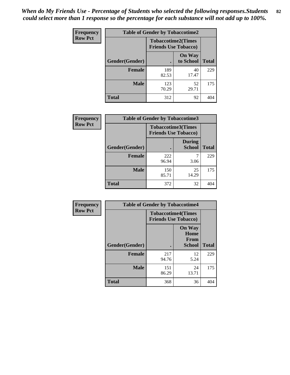*When do My Friends Use - Percentage of Students who selected the following responses.Students could select more than 1 response so the percentage for each substance will not add up to 100%.* **82**

| <b>Frequency</b> | <b>Table of Gender by Tobaccotime2</b> |                                                          |                            |              |
|------------------|----------------------------------------|----------------------------------------------------------|----------------------------|--------------|
| <b>Row Pct</b>   |                                        | <b>Tobaccotime2(Times</b><br><b>Friends Use Tobacco)</b> |                            |              |
|                  | Gender(Gender)                         | $\bullet$                                                | <b>On Way</b><br>to School | <b>Total</b> |
|                  | <b>Female</b>                          | 189<br>82.53                                             | 40<br>17.47                | 229          |
|                  | <b>Male</b>                            | 123<br>70.29                                             | 52<br>29.71                | 175          |
|                  | Total                                  | 312                                                      | 92                         | 404          |

| Frequency      | <b>Table of Gender by Tobaccotime3</b> |                                                          |                                |              |
|----------------|----------------------------------------|----------------------------------------------------------|--------------------------------|--------------|
| <b>Row Pct</b> |                                        | <b>Tobaccotime3(Times</b><br><b>Friends Use Tobacco)</b> |                                |              |
|                | Gender(Gender)                         |                                                          | <b>During</b><br><b>School</b> | <b>Total</b> |
|                | <b>Female</b>                          | 222<br>96.94                                             | 3.06                           | 229          |
|                | <b>Male</b>                            | 150<br>85.71                                             | 25<br>14.29                    | 175          |
|                | <b>Total</b>                           | 372                                                      | 32                             | 404          |

| <b>Frequency</b> | <b>Table of Gender by Tobaccotime4</b> |                                                          |                                                |              |
|------------------|----------------------------------------|----------------------------------------------------------|------------------------------------------------|--------------|
| <b>Row Pct</b>   |                                        | <b>Tobaccotime4(Times</b><br><b>Friends Use Tobacco)</b> |                                                |              |
|                  | Gender(Gender)                         |                                                          | <b>On Way</b><br>Home<br><b>From</b><br>School | <b>Total</b> |
|                  | <b>Female</b>                          | 217<br>94.76                                             | 12<br>5.24                                     | 229          |
|                  | <b>Male</b>                            | 151<br>86.29                                             | 24<br>13.71                                    | 175          |
|                  | <b>Total</b>                           | 368                                                      | 36                                             | 404          |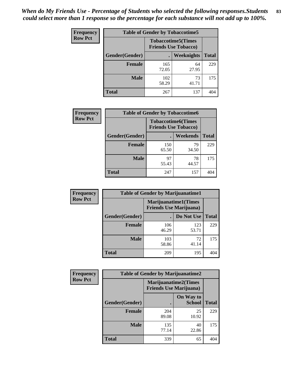| Frequency      | <b>Table of Gender by Tobaccotime5</b> |              |                                                          |              |  |
|----------------|----------------------------------------|--------------|----------------------------------------------------------|--------------|--|
| <b>Row Pct</b> |                                        |              | <b>Tobaccotime5(Times</b><br><b>Friends Use Tobacco)</b> |              |  |
|                | <b>Gender</b> (Gender)                 |              | Weeknights                                               | <b>Total</b> |  |
|                | <b>Female</b>                          | 165<br>72.05 | 64<br>27.95                                              | 229          |  |
|                | <b>Male</b>                            | 102<br>58.29 | 73<br>41.71                                              | 175          |  |
|                | <b>Total</b>                           | 267          | 137                                                      | 404          |  |

| Frequency      |                | <b>Table of Gender by Tobaccotime6</b>                   |             |              |
|----------------|----------------|----------------------------------------------------------|-------------|--------------|
| <b>Row Pct</b> |                | <b>Tobaccotime6(Times</b><br><b>Friends Use Tobacco)</b> |             |              |
|                | Gender(Gender) |                                                          | Weekends    | <b>Total</b> |
|                | Female         | 150<br>65.50                                             | 79<br>34.50 | 229          |
|                | <b>Male</b>    | 97<br>55.43                                              | 78<br>44.57 | 175          |
|                | <b>Total</b>   | 247                                                      | 157         | 404          |

| <b>Frequency</b> | <b>Table of Gender by Marijuanatime1</b> |                                                               |              |              |  |
|------------------|------------------------------------------|---------------------------------------------------------------|--------------|--------------|--|
| <b>Row Pct</b>   |                                          | <b>Marijuanatime1(Times</b><br><b>Friends Use Marijuana</b> ) |              |              |  |
|                  | Gender(Gender)                           |                                                               | Do Not Use   | <b>Total</b> |  |
|                  | <b>Female</b>                            | 106<br>46.29                                                  | 123<br>53.71 | 229          |  |
|                  | <b>Male</b>                              | 103<br>58.86                                                  | 72<br>41.14  | 175          |  |
|                  | <b>Total</b>                             | 209                                                           | 195          | 404          |  |

| <b>Frequency</b> | <b>Table of Gender by Marijuanatime2</b> |                                                               |                            |              |
|------------------|------------------------------------------|---------------------------------------------------------------|----------------------------|--------------|
| <b>Row Pct</b>   |                                          | <b>Marijuanatime2(Times</b><br><b>Friends Use Marijuana</b> ) |                            |              |
|                  | Gender(Gender)                           |                                                               | On Way to<br><b>School</b> | <b>Total</b> |
|                  | <b>Female</b>                            | 204<br>89.08                                                  | 25<br>10.92                | 229          |
|                  | <b>Male</b>                              | 135<br>77.14                                                  | 40<br>22.86                | 175          |
|                  | <b>Total</b>                             | 339                                                           | 65                         | 404          |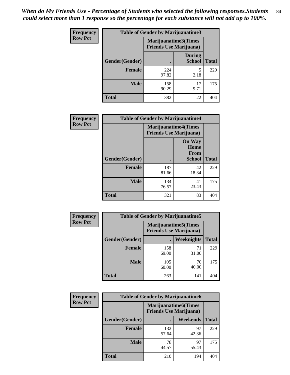*When do My Friends Use - Percentage of Students who selected the following responses.Students could select more than 1 response so the percentage for each substance will not add up to 100%.* **84**

| <b>Frequency</b> | <b>Table of Gender by Marijuanatime3</b> |                                                        |                                |              |
|------------------|------------------------------------------|--------------------------------------------------------|--------------------------------|--------------|
| <b>Row Pct</b>   |                                          | Marijuanatime3(Times<br><b>Friends Use Marijuana</b> ) |                                |              |
|                  | Gender(Gender)                           |                                                        | <b>During</b><br><b>School</b> | <b>Total</b> |
|                  | <b>Female</b>                            | 224<br>97.82                                           | 2.18                           | 229          |
|                  | <b>Male</b>                              | 158<br>90.29                                           | 17<br>9.71                     | 175          |
|                  | <b>Total</b>                             | 382                                                    | 22                             | 404          |

| Frequency      | <b>Table of Gender by Marijuanatime4</b> |              |                                                                |              |
|----------------|------------------------------------------|--------------|----------------------------------------------------------------|--------------|
| <b>Row Pct</b> |                                          |              | <b>Marijuanatime4</b> (Times<br><b>Friends Use Marijuana</b> ) |              |
|                | Gender(Gender)                           |              | <b>On Way</b><br>Home<br><b>From</b><br><b>School</b>          | <b>Total</b> |
|                | <b>Female</b>                            | 187<br>81.66 | 42<br>18.34                                                    | 229          |
|                | <b>Male</b>                              | 134<br>76.57 | 41<br>23.43                                                    | 175          |
|                | <b>Total</b>                             | 321          | 83                                                             | 404          |

| <b>Frequency</b> | <b>Table of Gender by Marijuanatime5</b> |                                                                |             |              |
|------------------|------------------------------------------|----------------------------------------------------------------|-------------|--------------|
| <b>Row Pct</b>   |                                          | <b>Marijuanatime5</b> (Times<br><b>Friends Use Marijuana</b> ) |             |              |
|                  | Gender(Gender)                           | ٠                                                              | Weeknights  | <b>Total</b> |
|                  | <b>Female</b>                            | 158<br>69.00                                                   | 71<br>31.00 | 229          |
|                  | <b>Male</b>                              | 105<br>60.00                                                   | 70<br>40.00 | 175          |
|                  | <b>Total</b>                             | 263                                                            | 141         | 404          |

| <b>Frequency</b> | <b>Table of Gender by Marijuanatime6</b> |                                                               |             |              |
|------------------|------------------------------------------|---------------------------------------------------------------|-------------|--------------|
| <b>Row Pct</b>   |                                          | <b>Marijuanatime6(Times</b><br><b>Friends Use Marijuana</b> ) |             |              |
|                  | Gender(Gender)                           |                                                               | Weekends    | <b>Total</b> |
|                  | <b>Female</b>                            | 132<br>57.64                                                  | 97<br>42.36 | 229          |
|                  | <b>Male</b>                              | 78<br>44.57                                                   | 97<br>55.43 | 175          |
|                  | <b>Total</b>                             | 210                                                           | 194         | 404          |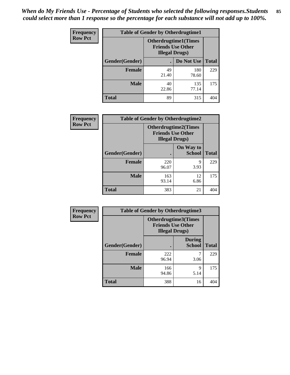| <b>Frequency</b> | <b>Table of Gender by Otherdrugtime1</b> |                        |                                                         |              |
|------------------|------------------------------------------|------------------------|---------------------------------------------------------|--------------|
| <b>Row Pct</b>   |                                          | <b>Illegal Drugs</b> ) | <b>Otherdrugtime1(Times</b><br><b>Friends Use Other</b> |              |
|                  | Gender(Gender)                           |                        | Do Not Use                                              | <b>Total</b> |
|                  | <b>Female</b>                            | 49<br>21.40            | 180<br>78.60                                            | 229          |
|                  | <b>Male</b>                              | 40<br>22.86            | 135<br>77.14                                            | 175          |
|                  | <b>Total</b>                             | 89                     | 315                                                     | 404          |

| Frequency      | <b>Table of Gender by Otherdrugtime2</b> |                                                                                   |                            |              |
|----------------|------------------------------------------|-----------------------------------------------------------------------------------|----------------------------|--------------|
| <b>Row Pct</b> |                                          | <b>Otherdrugtime2(Times</b><br><b>Friends Use Other</b><br><b>Illegal Drugs</b> ) |                            |              |
|                | Gender(Gender)                           |                                                                                   | On Way to<br><b>School</b> | <b>Total</b> |
|                | <b>Female</b>                            | 220<br>96.07                                                                      | 9<br>3.93                  | 229          |
|                | <b>Male</b>                              | 163<br>93.14                                                                      | 12<br>6.86                 | 175          |
|                | <b>Total</b>                             | 383                                                                               | 21                         | 404          |

| Frequency      | <b>Table of Gender by Otherdrugtime3</b> |                                                                                   |                                |              |
|----------------|------------------------------------------|-----------------------------------------------------------------------------------|--------------------------------|--------------|
| <b>Row Pct</b> |                                          | <b>Otherdrugtime3(Times</b><br><b>Friends Use Other</b><br><b>Illegal Drugs</b> ) |                                |              |
|                | Gender(Gender)                           |                                                                                   | <b>During</b><br><b>School</b> | <b>Total</b> |
|                | <b>Female</b>                            | 222<br>96.94                                                                      | 3.06                           | 229          |
|                | <b>Male</b>                              | 166<br>94.86                                                                      | 9<br>5.14                      | 175          |
|                | <b>Total</b>                             | 388                                                                               | 16                             | 404          |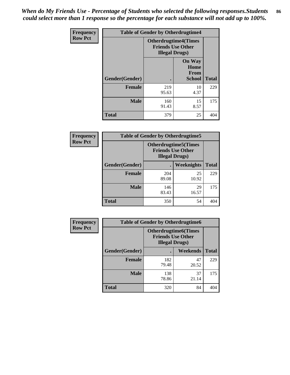*When do My Friends Use - Percentage of Students who selected the following responses.Students could select more than 1 response so the percentage for each substance will not add up to 100%.* **86**

| <b>Frequency</b> | <b>Table of Gender by Otherdrugtime4</b> |                                                    |                                         |              |
|------------------|------------------------------------------|----------------------------------------------------|-----------------------------------------|--------------|
| <b>Row Pct</b>   |                                          | <b>Friends Use Other</b><br><b>Illegal Drugs</b> ) | <b>Otherdrugtime4(Times</b>             |              |
|                  | Gender(Gender)                           |                                                    | <b>On Way</b><br>Home<br>From<br>School | <b>Total</b> |
|                  | <b>Female</b>                            | 219<br>95.63                                       | 10<br>4.37                              | 229          |
|                  | <b>Male</b>                              | 160<br>91.43                                       | 15<br>8.57                              | 175          |
|                  | <b>Total</b>                             | 379                                                | 25                                      | 404          |

| Frequency      | <b>Table of Gender by Otherdrugtime5</b> |                                                                                    |             |              |
|----------------|------------------------------------------|------------------------------------------------------------------------------------|-------------|--------------|
| <b>Row Pct</b> |                                          | <b>Otherdrugtime5</b> (Times<br><b>Friends Use Other</b><br><b>Illegal Drugs</b> ) |             |              |
|                | Gender(Gender)                           |                                                                                    | Weeknights  | <b>Total</b> |
|                | <b>Female</b>                            | 204<br>89.08                                                                       | 25<br>10.92 | 229          |
|                | <b>Male</b>                              | 146<br>83.43                                                                       | 29<br>16.57 | 175          |
|                | <b>Total</b>                             | 350                                                                                | 54          | 404          |

| <b>Frequency</b> | <b>Table of Gender by Otherdrugtime6</b> |                                                                                   |             |              |
|------------------|------------------------------------------|-----------------------------------------------------------------------------------|-------------|--------------|
| <b>Row Pct</b>   |                                          | <b>Otherdrugtime6(Times</b><br><b>Friends Use Other</b><br><b>Illegal Drugs</b> ) |             |              |
|                  | Gender(Gender)                           |                                                                                   | Weekends    | <b>Total</b> |
|                  | <b>Female</b>                            | 182<br>79.48                                                                      | 47<br>20.52 | 229          |
|                  | <b>Male</b>                              | 138<br>78.86                                                                      | 37<br>21.14 | 175          |
|                  | <b>Total</b>                             | 320                                                                               | 84          | 404          |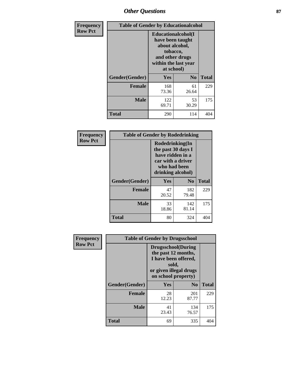# *Other Questions* **87**

| <b>Frequency</b> | <b>Table of Gender by Educationalcohol</b> |                                                                                                                                       |                |              |
|------------------|--------------------------------------------|---------------------------------------------------------------------------------------------------------------------------------------|----------------|--------------|
| <b>Row Pct</b>   |                                            | <b>Educationalcohol</b> (I<br>have been taught<br>about alcohol,<br>tobacco,<br>and other drugs<br>within the last year<br>at school) |                |              |
|                  | Gender(Gender)                             | <b>Yes</b>                                                                                                                            | N <sub>0</sub> | <b>Total</b> |
|                  | <b>Female</b>                              | 168<br>73.36                                                                                                                          | 61<br>26.64    | 229          |
|                  | <b>Male</b>                                | 122<br>69.71                                                                                                                          | 53<br>30.29    | 175          |
|                  | <b>Total</b>                               | 290                                                                                                                                   | 114            | 404          |

| Frequency      | <b>Table of Gender by Rodedrinking</b> |                                                                                                                     |                |              |
|----------------|----------------------------------------|---------------------------------------------------------------------------------------------------------------------|----------------|--------------|
| <b>Row Pct</b> |                                        | Rodedrinking(In<br>the past 30 days I<br>have ridden in a<br>car with a driver<br>who had been<br>drinking alcohol) |                |              |
|                | Gender(Gender)                         | Yes                                                                                                                 | N <sub>0</sub> | <b>Total</b> |
|                | <b>Female</b>                          | 47<br>20.52                                                                                                         | 182<br>79.48   | 229          |
|                | <b>Male</b>                            | 33<br>18.86                                                                                                         | 142<br>81.14   | 175          |
|                | <b>Total</b>                           | 80                                                                                                                  | 324            | 404          |

| Frequency      | <b>Table of Gender by Drugsschool</b> |                                                                                                                                     |                |              |  |
|----------------|---------------------------------------|-------------------------------------------------------------------------------------------------------------------------------------|----------------|--------------|--|
| <b>Row Pct</b> |                                       | <b>Drugsschool</b> (During<br>the past 12 months,<br>I have been offered,<br>sold,<br>or given illegal drugs<br>on school property) |                |              |  |
|                | Gender(Gender)                        | <b>Yes</b>                                                                                                                          | N <sub>0</sub> | <b>Total</b> |  |
|                | <b>Female</b>                         | 28<br>12.23                                                                                                                         | 201<br>87.77   | 229          |  |
|                | <b>Male</b>                           | 41<br>23.43                                                                                                                         | 134<br>76.57   | 175          |  |
|                | <b>Total</b>                          | 69                                                                                                                                  | 335            | 404          |  |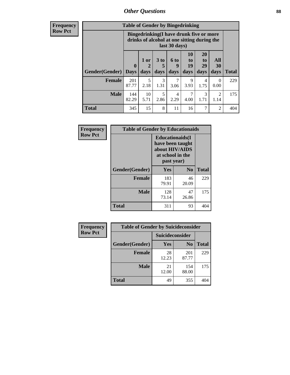## *Other Questions* **88**

**Frequency Row Pct**

| <b>Table of Gender by Bingedrinking</b> |              |                                                                                                         |           |           |                |                       |                        |              |
|-----------------------------------------|--------------|---------------------------------------------------------------------------------------------------------|-----------|-----------|----------------|-----------------------|------------------------|--------------|
|                                         |              | Bingedrinking(I have drunk five or more<br>drinks of alcohol at one sitting during the<br>last 30 days) |           |           |                |                       |                        |              |
|                                         | $\bf{0}$     | $1$ or                                                                                                  | 3 to<br>5 | 6 to<br>9 | 10<br>to<br>19 | <b>20</b><br>to<br>29 | All<br>30              |              |
| <b>Gender</b> (Gender)                  | <b>Days</b>  | days                                                                                                    | days      | days      | days           | days                  | days                   | <b>Total</b> |
| <b>Female</b>                           | 201<br>87.77 | 5<br>2.18                                                                                               | 3<br>1.31 | 3.06      | 9<br>3.93      | 4<br>1.75             | $\Omega$<br>0.00       | 229          |
| <b>Male</b>                             | 144<br>82.29 | 10<br>5.71                                                                                              | 5<br>2.86 | 4<br>2.29 | 7<br>4.00      | 3<br>1.71             | $\mathfrak{D}$<br>1.14 | 175          |

| Frequency      | <b>Table of Gender by Educationaids</b> |                                                                                                 |             |              |  |
|----------------|-----------------------------------------|-------------------------------------------------------------------------------------------------|-------------|--------------|--|
| <b>Row Pct</b> |                                         | <b>Educationaids</b> (I<br>have been taught<br>about HIV/AIDS<br>at school in the<br>past year) |             |              |  |
|                | Gender(Gender)                          | Yes                                                                                             | $\bf N_0$   | <b>Total</b> |  |
|                | <b>Female</b>                           | 183<br>79.91                                                                                    | 46<br>20.09 | 229          |  |
|                | <b>Male</b>                             | 128<br>73.14                                                                                    | 47<br>26.86 | 175          |  |
|                | <b>Total</b>                            | 311                                                                                             | 93          | 404          |  |

| Frequency      | <b>Table of Gender by Suicideconsider</b> |                 |                |       |  |
|----------------|-------------------------------------------|-----------------|----------------|-------|--|
| <b>Row Pct</b> |                                           | Suicideconsider |                |       |  |
|                | Gender(Gender)                            | Yes             | N <sub>0</sub> | Total |  |
|                | <b>Female</b>                             | 28<br>12.23     | 201<br>87.77   | 229   |  |
|                | <b>Male</b>                               | 21<br>12.00     | 154<br>88.00   | 175   |  |
|                | <b>Total</b>                              | 49              | 355            | 404   |  |